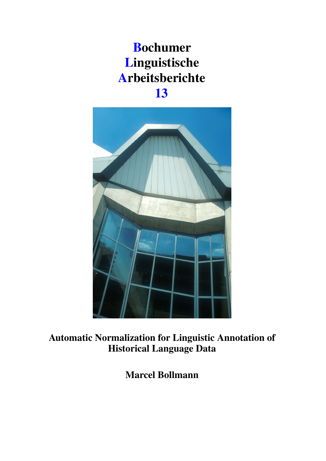# Bochumer Linguistische Arbeitsberichte 13



Automatic Normalization for Linguistic Annotation of Historical Language Data

Marcel Bollmann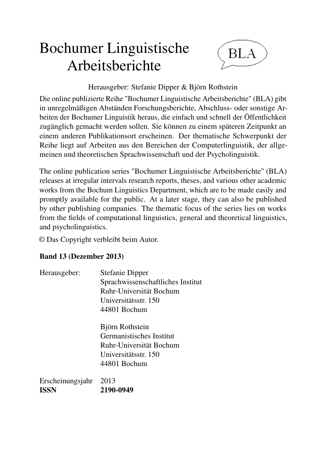# Bochumer Linguistische Arbeitsberichte



Herausgeber: Stefanie Dipper & Björn Rothstein

Die online publizierte Reihe "Bochumer Linguistische Arbeitsberichte" (BLA) gibt in unregelmäßigen Abständen Forschungsberichte, Abschluss- oder sonstige Arbeiten der Bochumer Linguistik heraus, die einfach und schnell der Öffentlichkeit zugänglich gemacht werden sollen. Sie können zu einem späteren Zeitpunkt an einem anderen Publikationsort erscheinen. Der thematische Schwerpunkt der Reihe liegt auf Arbeiten aus den Bereichen der Computerlinguistik, der allgemeinen und theoretischen Sprachwissenschaft und der Psycholinguistik.

The online publication series "Bochumer Linguistische Arbeitsberichte" (BLA) releases at irregular intervals research reports, theses, and various other academic works from the Bochum Linguistics Department, which are to be made easily and promptly available for the public. At a later stage, they can also be published by other publishing companies. The thematic focus of the series lies on works from the fields of computational linguistics, general and theoretical linguistics, and psycholinguistics.

© Das Copyright verbleibt beim Autor.

# Band 13 (Dezember 2013)

| Herausgeber: | <b>Stefanie Dipper</b>            |
|--------------|-----------------------------------|
|              | Sprachwissenschaftliches Institut |
|              | Ruhr-Universität Bochum           |
|              | Universitätsstr. 150              |
|              | 44801 Bochum                      |

Björn Rothstein Germanistisches Institut Ruhr-Universität Bochum Universitätsstr. 150 44801 Bochum

Erscheinungsjahr 2013 ISSN 2190-0949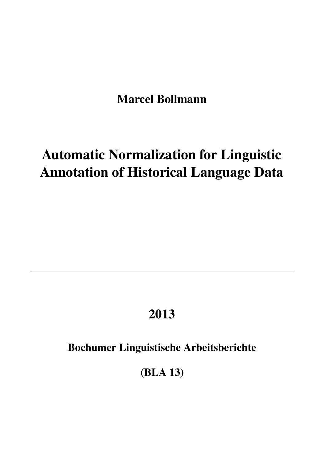Marcel Bollmann

# Automatic Normalization for Linguistic Annotation of Historical Language Data

# 2013

Bochumer Linguistische Arbeitsberichte

(BLA 13)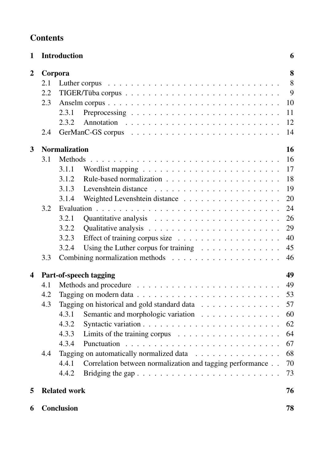| <b>Contents</b> |
|-----------------|
|-----------------|

| 1              |         | <b>Introduction</b>                                                                 | 6  |
|----------------|---------|-------------------------------------------------------------------------------------|----|
| $\overline{2}$ | Corpora |                                                                                     | 8  |
|                | 2.1     |                                                                                     | 8  |
|                | 2.2     |                                                                                     | 9  |
|                | 2.3     |                                                                                     | 10 |
|                |         | 2.3.1                                                                               | 11 |
|                |         | 2.3.2                                                                               | 12 |
|                | 2.4     |                                                                                     | 14 |
| 3              |         | <b>Normalization</b>                                                                | 16 |
|                | 3.1     | <b>Methods</b>                                                                      | 16 |
|                |         | 3.1.1                                                                               | 17 |
|                |         | 3.1.2                                                                               | 18 |
|                |         | 3.1.3                                                                               | 19 |
|                |         | 3.1.4                                                                               | 20 |
|                | 3.2     | Weighted Levenshtein distance                                                       | 24 |
|                |         | 3.2.1                                                                               | 26 |
|                |         | 3.2.2                                                                               | 29 |
|                |         | 3.2.3                                                                               | 40 |
|                |         | Effect of training corpus size $\dots \dots \dots \dots \dots \dots \dots$<br>3.2.4 | 45 |
|                | 3.3     | Using the Luther corpus for training $\dots \dots \dots \dots \dots$                |    |
|                |         |                                                                                     | 46 |
| 4              |         | Part-of-speech tagging                                                              | 49 |
|                | 4.1     |                                                                                     | 49 |
|                | 4.2     | Tagging on modern data $\ldots \ldots \ldots \ldots \ldots \ldots \ldots \ldots$    | 53 |
|                | 4.3     | Tagging on historical and gold standard data                                        | 57 |
|                |         | 4.3.1<br>Semantic and morphologic variation                                         | 60 |
|                |         | 4.3.2                                                                               | 62 |
|                |         | 4.3.3<br>Limits of the training corpus $\dots \dots \dots \dots \dots \dots \dots$  | 64 |
|                |         | 4.3.4                                                                               | 67 |
|                | 4.4     | Tagging on automatically normalized data                                            | 68 |
|                |         | 4.4.1<br>Correlation between normalization and tagging performance                  | 70 |
|                |         | 4.4.2                                                                               | 73 |
| 5              |         | <b>Related work</b>                                                                 | 76 |
| 6              |         | <b>Conclusion</b>                                                                   | 78 |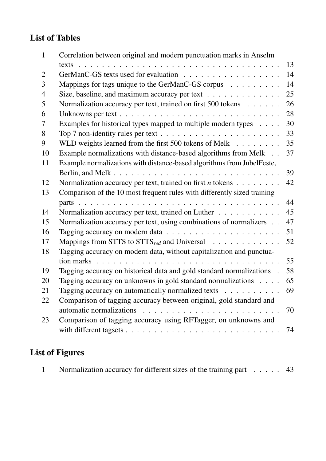# List of Tables

| $\mathbf{1}$   | Correlation between original and modern punctuation marks in Anselm      |    |
|----------------|--------------------------------------------------------------------------|----|
|                |                                                                          | 13 |
| $\overline{2}$ |                                                                          | 14 |
| 3              | Mappings for tags unique to the GerManC-GS corpus                        | 14 |
| $\overline{4}$ | Size, baseline, and maximum accuracy per text                            | 25 |
| 5              | Normalization accuracy per text, trained on first 500 tokens             | 26 |
| 6              |                                                                          | 28 |
| 7              | Examples for historical types mapped to multiple modern types            | 30 |
| 8              |                                                                          | 33 |
| 9              | WLD weights learned from the first 500 tokens of Melk                    | 35 |
| 10             | Example normalizations with distance-based algorithms from Melk          | 37 |
| 11             | Example normalizations with distance-based algorithms from JubelFeste,   |    |
|                |                                                                          | 39 |
| 12             | Normalization accuracy per text, trained on first $n$ tokens             | 42 |
| 13             | Comparison of the 10 most frequent rules with differently sized training |    |
|                |                                                                          | 44 |
| 14             | Normalization accuracy per text, trained on Luther                       | 45 |
| 15             | Normalization accuracy per text, using combinations of normalizers       | 47 |
| 16             |                                                                          | 51 |
| 17             |                                                                          | 52 |
| 18             | Tagging accuracy on modern data, without capitalization and punctua-     |    |
|                |                                                                          | 55 |
| 19             | Tagging accuracy on historical data and gold standard normalizations .   | 58 |
| 20             | Tagging accuracy on unknowns in gold standard normalizations             | 65 |
| 21             | Tagging accuracy on automatically normalized texts $\dots \dots \dots$   | 69 |
| 22             | Comparison of tagging accuracy between original, gold standard and       |    |
|                | automatic normalizations                                                 | 70 |
| 23             | Comparison of tagging accuracy using RFTagger, on unknowns and           |    |
|                |                                                                          | 74 |
|                |                                                                          |    |

# List of Figures

|  | Normalization accuracy for different sizes of the training part | $\ldots$ 43 |  |
|--|-----------------------------------------------------------------|-------------|--|
|  |                                                                 |             |  |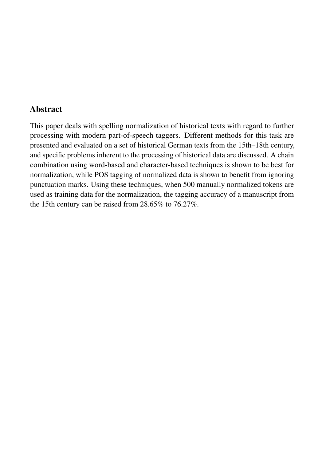# Abstract

This paper deals with spelling normalization of historical texts with regard to further processing with modern part-of-speech taggers. Different methods for this task are presented and evaluated on a set of historical German texts from the 15th–18th century, and specific problems inherent to the processing of historical data are discussed. A chain combination using word-based and character-based techniques is shown to be best for normalization, while POS tagging of normalized data is shown to benefit from ignoring punctuation marks. Using these techniques, when 500 manually normalized tokens are used as training data for the normalization, the tagging accuracy of a manuscript from the 15th century can be raised from 28.65% to 76.27%.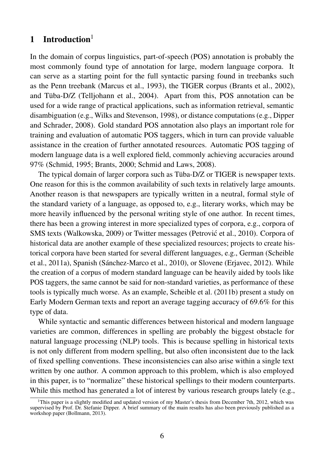# 1 Introduction $<sup>1</sup>$ </sup>

In the domain of corpus linguistics, part-of-speech (POS) annotation is probably the most commonly found type of annotation for large, modern language corpora. It can serve as a starting point for the full syntactic parsing found in treebanks such as the Penn treebank (Marcus et al., 1993), the TIGER corpus (Brants et al., 2002), and Tüba-D/Z (Telljohann et al., 2004). Apart from this, POS annotation can be used for a wide range of practical applications, such as information retrieval, semantic disambiguation (e.g., Wilks and Stevenson, 1998), or distance computations (e.g., Dipper and Schrader, 2008). Gold standard POS annotation also plays an important role for training and evaluation of automatic POS taggers, which in turn can provide valuable assistance in the creation of further annotated resources. Automatic POS tagging of modern language data is a well explored field, commonly achieving accuracies around 97% (Schmid, 1995; Brants, 2000; Schmid and Laws, 2008).

The typical domain of larger corpora such as Tüba-D/Z or TIGER is newspaper texts. One reason for this is the common availability of such texts in relatively large amounts. Another reason is that newspapers are typically written in a neutral, formal style of the standard variety of a language, as opposed to, e.g., literary works, which may be more heavily influenced by the personal writing style of one author. In recent times, there has been a growing interest in more specialized types of corpora, e.g., corpora of SMS texts (Walkowska, 2009) or Twitter messages (Petrović et al., 2010). Corpora of historical data are another example of these specialized resources; projects to create historical corpora have been started for several different languages, e.g., German (Scheible et al., 2011a), Spanish (Sánchez-Marco et al., 2010), or Slovene (Erjavec, 2012). While the creation of a corpus of modern standard language can be heavily aided by tools like POS taggers, the same cannot be said for non-standard varieties, as performance of these tools is typically much worse. As an example, Scheible et al. (2011b) present a study on Early Modern German texts and report an average tagging accuracy of 69.6% for this type of data.

While syntactic and semantic differences between historical and modern language varieties are common, differences in spelling are probably the biggest obstacle for natural language processing (NLP) tools. This is because spelling in historical texts is not only different from modern spelling, but also often inconsistent due to the lack of fixed spelling conventions. These inconsistencies can also arise within a single text written by one author. A common approach to this problem, which is also employed in this paper, is to "normalize" these historical spellings to their modern counterparts. While this method has generated a lot of interest by various research groups lately (e.g.,

<sup>&</sup>lt;sup>1</sup>This paper is a slightly modified and updated version of my Master's thesis from December 7th, 2012, which was supervised by Prof. Dr. Stefanie Dipper. A brief summary of the main results has also been previously published as a workshop paper (Bollmann, 2013).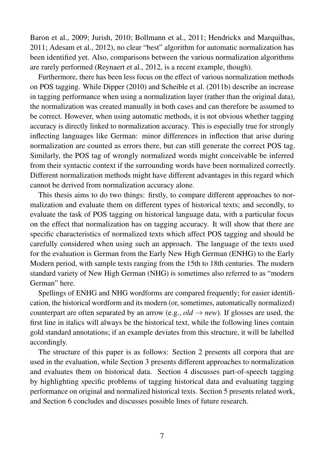Baron et al., 2009; Jurish, 2010; Bollmann et al., 2011; Hendrickx and Marquilhas, 2011; Adesam et al., 2012), no clear "best" algorithm for automatic normalization has been identified yet. Also, comparisons between the various normalization algorithms are rarely performed (Reynaert et al., 2012, is a recent example, though).

Furthermore, there has been less focus on the effect of various normalization methods on POS tagging. While Dipper (2010) and Scheible et al. (2011b) describe an increase in tagging performance when using a normalization layer (rather than the original data), the normalization was created manually in both cases and can therefore be assumed to be correct. However, when using automatic methods, it is not obvious whether tagging accuracy is directly linked to normalization accuracy. This is especially true for strongly inflecting languages like German: minor differences in inflection that arise during normalization are counted as errors there, but can still generate the correct POS tag. Similarly, the POS tag of wrongly normalized words might conceivable be inferred from their syntactic context if the surrounding words have been normalized correctly. Different normalization methods might have different advantages in this regard which cannot be derived from normalization accuracy alone.

This thesis aims to do two things: firstly, to compare different approaches to normalization and evaluate them on different types of historical texts; and secondly, to evaluate the task of POS tagging on historical language data, with a particular focus on the effect that normalization has on tagging accuracy. It will show that there are specific characteristics of normalized texts which affect POS tagging and should be carefully considered when using such an approach. The language of the texts used for the evaluation is German from the Early New High German (ENHG) to the Early Modern period, with sample texts ranging from the 15th to 18th centuries. The modern standard variety of New High German (NHG) is sometimes also referred to as "modern German" here.

Spellings of ENHG and NHG wordforms are compared frequently; for easier identification, the historical wordform and its modern (or, sometimes, automatically normalized) counterpart are often separated by an arrow (e.g.,  $old \rightarrow new$ ). If glosses are used, the first line in italics will always be the historical text, while the following lines contain gold standard annotations; if an example deviates from this structure, it will be labelled accordingly.

The structure of this paper is as follows: Section 2 presents all corpora that are used in the evaluation, while Section 3 presents different approaches to normalization and evaluates them on historical data. Section 4 discusses part-of-speech tagging by highlighting specific problems of tagging historical data and evaluating tagging performance on original and normalized historical texts. Section 5 presents related work, and Section 6 concludes and discusses possible lines of future research.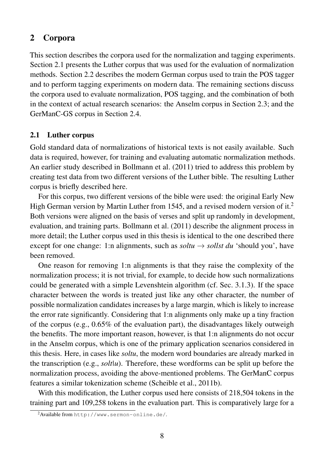# 2 Corpora

This section describes the corpora used for the normalization and tagging experiments. Section 2.1 presents the Luther corpus that was used for the evaluation of normalization methods. Section 2.2 describes the modern German corpus used to train the POS tagger and to perform tagging experiments on modern data. The remaining sections discuss the corpora used to evaluate normalization, POS tagging, and the combination of both in the context of actual research scenarios: the Anselm corpus in Section 2.3; and the GerManC-GS corpus in Section 2.4.

# 2.1 Luther corpus

Gold standard data of normalizations of historical texts is not easily available. Such data is required, however, for training and evaluating automatic normalization methods. An earlier study described in Bollmann et al. (2011) tried to address this problem by creating test data from two different versions of the Luther bible. The resulting Luther corpus is briefly described here.

For this corpus, two different versions of the bible were used: the original Early New High German version by Martin Luther from 1545, and a revised modern version of it.<sup>2</sup> Both versions were aligned on the basis of verses and split up randomly in development, evaluation, and training parts. Bollmann et al. (2011) describe the alignment process in more detail; the Luther corpus used in this thesis is identical to the one described there except for one change: 1:n alignments, such as  $soltu \rightarrow \text{sollst } du$  'should you', have been removed.

One reason for removing 1:n alignments is that they raise the complexity of the normalization process; it is not trivial, for example, to decide how such normalizations could be generated with a simple Levenshtein algorithm (cf. Sec. 3.1.3). If the space character between the words is treated just like any other character, the number of possible normalization candidates increases by a large margin, which is likely to increase the error rate significantly. Considering that 1:n alignments only make up a tiny fraction of the corpus (e.g., 0.65% of the evaluation part), the disadvantages likely outweigh the benefits. The more important reason, however, is that 1:n alignments do not occur in the Anselm corpus, which is one of the primary application scenarios considered in this thesis. Here, in cases like *soltu*, the modern word boundaries are already marked in the transcription (e.g., *solt|u*). Therefore, these wordforms can be split up before the normalization process, avoiding the above-mentioned problems. The GerManC corpus features a similar tokenization scheme (Scheible et al., 2011b).

With this modification, the Luther corpus used here consists of 218,504 tokens in the training part and 109,258 tokens in the evaluation part. This is comparatively large for a

<sup>&</sup>lt;sup>2</sup>Available from http://www.sermon-online.de/.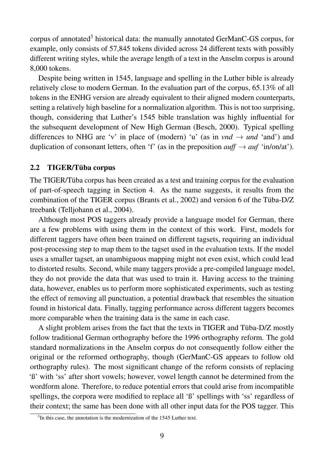corpus of annotated<sup>3</sup> historical data: the manually annotated GerManC-GS corpus, for example, only consists of 57,845 tokens divided across 24 different texts with possibly different writing styles, while the average length of a text in the Anselm corpus is around 8,000 tokens.

Despite being written in 1545, language and spelling in the Luther bible is already relatively close to modern German. In the evaluation part of the corpus, 65.13% of all tokens in the ENHG version are already equivalent to their aligned modern counterparts, setting a relatively high baseline for a normalization algorithm. This is not too surprising, though, considering that Luther's 1545 bible translation was highly influential for the subsequent development of New High German (Besch, 2000). Typical spelling differences to NHG are 'v' in place of (modern) 'u' (as in *vnd*  $\rightarrow$  *und* 'and') and duplication of consonant letters, often 'f' (as in the preposition  $\alpha u f f \rightarrow \alpha u f$  'in/on/at').

#### 2.2 TIGER/Tüba corpus

The TIGER/Tüba corpus has been created as a test and training corpus for the evaluation of part-of-speech tagging in Section 4. As the name suggests, it results from the combination of the TIGER corpus (Brants et al., 2002) and version 6 of the Tüba-D/Z treebank (Telljohann et al., 2004).

Although most POS taggers already provide a language model for German, there are a few problems with using them in the context of this work. First, models for different taggers have often been trained on different tagsets, requiring an individual post-processing step to map them to the tagset used in the evaluation texts. If the model uses a smaller tagset, an unambiguous mapping might not even exist, which could lead to distorted results. Second, while many taggers provide a pre-compiled language model, they do not provide the data that was used to train it. Having access to the training data, however, enables us to perform more sophisticated experiments, such as testing the effect of removing all punctuation, a potential drawback that resembles the situation found in historical data. Finally, tagging performance across different taggers becomes more comparable when the training data is the same in each case.

A slight problem arises from the fact that the texts in TIGER and Tüba-D/Z mostly follow traditional German orthography before the 1996 orthography reform. The gold standard normalizations in the Anselm corpus do not consequently follow either the original or the reformed orthography, though (GerManC-GS appears to follow old orthography rules). The most significant change of the reform consists of replacing 'ß' with 'ss' after short vowels; however, vowel length cannot be determined from the wordform alone. Therefore, to reduce potential errors that could arise from incompatible spellings, the corpora were modified to replace all 'ß' spellings with 'ss' regardless of their context; the same has been done with all other input data for the POS tagger. This

<sup>&</sup>lt;sup>3</sup>In this case, the annotation is the modernization of the 1545 Luther text.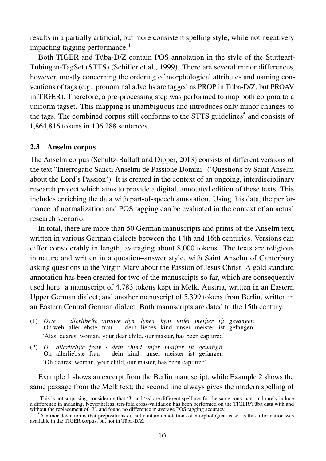results in a partially artificial, but more consistent spelling style, while not negatively impacting tagging performance.<sup>4</sup>

Both TIGER and Tüba-D/Z contain POS annotation in the style of the Stuttgart-Tübingen-TagSet (STTS) (Schiller et al., 1999). There are several minor differences, however, mostly concerning the ordering of morphological attributes and naming conventions of tags (e.g., pronominal adverbs are tagged as PROP in Tüba-D/Z, but PROAV in TIGER). Therefore, a pre-processing step was performed to map both corpora to a uniform tagset. This mapping is unambiguous and introduces only minor changes to the tags. The combined corpus still conforms to the STTS guidelines<sup>5</sup> and consists of 1,864,816 tokens in 106,288 sentences.

## 2.3 Anselm corpus

The Anselm corpus (Schultz-Balluff and Dipper, 2013) consists of different versions of the text "Interrogatio Sancti Anselmi de Passione Domini" ('Questions by Saint Anselm about the Lord's Passion'). It is created in the context of an ongoing, interdisciplinary research project which aims to provide a digital, annotated edition of these texts. This includes enriching the data with part-of-speech annotation. Using this data, the performance of normalization and POS tagging can be evaluated in the context of an actual research scenario.

In total, there are more than 50 German manuscripts and prints of the Anselm text, written in various German dialects between the 14th and 16th centuries. Versions can differ considerably in length, averaging about 8,000 tokens. The texts are religious in nature and written in a question–answer style, with Saint Anselm of Canterbury asking questions to the Virgin Mary about the Passion of Jesus Christ. A gold standard annotation has been created for two of the manuscripts so far, which are consequently used here: a manuscript of 4,783 tokens kept in Melk, Austria, written in an Eastern Upper German dialect; and another manuscript of 5,399 tokens from Berlin, written in an Eastern Central German dialect. Both manuscripts are dated to the 15th century.

- (1) *Owe* Oh weh allerliebste frau *allerlibeſte vrouwe dyn lybes kynt unſer meiſter iſt gevangen* dein liebes kind unser meister ist gefangen 'Alas, dearest woman, your dear child, our master, has been captured'
- (2) *O* Oh *allerliebſte* allerliebste *fraw* frau · *dein* dein *chind* kind *vnſer* unser *maiſter* meister *iſt* ist  $geu$ *a* $\bar{n}$ *g* $\bar{n}$ gefangen 'Oh dearest woman, your child, our master, has been captured'

Example 1 shows an excerpt from the Berlin manuscript, while Example 2 shows the same passage from the Melk text; the second line always gives the modern spelling of

<sup>&</sup>lt;sup>4</sup>This is not surprising, considering that 'ß' and 'ss' are different spellings for the same consonant and rarely induce a difference in meaning. Nevertheless, ten-fold cross-validation has been performed on the TIGER/Tüba data with and without the replacement of 'ß', and found no difference in average POS tagging accuracy.

<sup>5</sup>A minor deviation is that prepositions do not contain annotations of morphological case, as this information was available in the TIGER corpus, but not in Tüba-D/Z.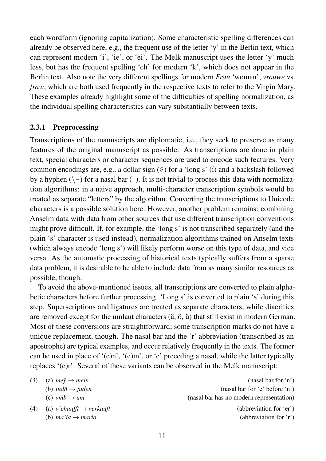each wordform (ignoring capitalization). Some characteristic spelling differences can already be observed here, e.g., the frequent use of the letter 'y' in the Berlin text, which can represent modern 'i', 'ie', or 'ei'. The Melk manuscript uses the letter 'y' much less, but has the frequent spelling 'ch' for modern 'k', which does not appear in the Berlin text. Also note the very different spellings for modern *Frau* 'woman', *vrouwe* vs. *fraw*, which are both used frequently in the respective texts to refer to the Virgin Mary. These examples already highlight some of the difficulties of spelling normalization, as the individual spelling characteristics can vary substantially between texts.

### 2.3.1 Preprocessing

Transcriptions of the manuscripts are diplomatic, i.e., they seek to preserve as many features of the original manuscript as possible. As transcriptions are done in plain text, special characters or character sequences are used to encode such features. Very common encodings are, e.g., a dollar sign  $(\xi)$  for a 'long s' (f) and a backslash followed by a hyphen  $(\neg)$  for a nasal bar  $(\neg)$ . It is not trivial to process this data with normalization algorithms: in a naive approach, multi-character transcription symbols would be treated as separate "letters" by the algorithm. Converting the transcriptions to Unicode characters is a possible solution here. However, another problem remains: combining Anselm data with data from other sources that use different transcription conventions might prove difficult. If, for example, the 'long s' is not transcribed separately (and the plain 's' character is used instead), normalization algorithms trained on Anselm texts (which always encode 'long s') will likely perform worse on this type of data, and vice versa. As the automatic processing of historical texts typically suffers from a sparse data problem, it is desirable to be able to include data from as many similar resources as possible, though.

To avoid the above-mentioned issues, all transcriptions are converted to plain alphabetic characters before further processing. 'Long s' is converted to plain 's' during this step. Superscriptions and ligatures are treated as separate characters, while diacritics are removed except for the umlaut characters (ä, ö, ü) that still exist in modern German. Most of these conversions are straightforward; some transcription marks do not have a unique replacement, though. The nasal bar and the 'r' abbreviation (transcribed as an apostrophe) are typical examples, and occur relatively frequently in the texts. The former can be used in place of '(e)n', '(e)m', or 'e' preceding a nasal, while the latter typically replaces '(e)r'. Several of these variants can be observed in the Melk manuscript:

| (3) | (a) $me\bar{v} \rightarrow mein$           | (nasal bar for 'n')                      |
|-----|--------------------------------------------|------------------------------------------|
|     | (b) <i>iudn</i> $\rightarrow$ <i>juden</i> | (nasal bar for 'e' before 'n')           |
|     | (c) $\nu \bar{m} b \rightarrow \mu m$      | (nasal bar has no modern representation) |
| (4) | (a) v'chaufft $\rightarrow$ verkauft       | (abbreviation for 'er')                  |
|     | (b) ma'ia $\rightarrow$ maria              | (abbreviation for $r'$ )                 |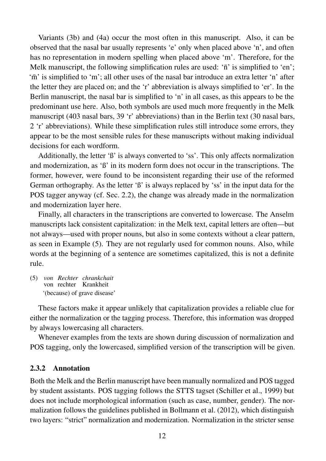Variants (3b) and (4a) occur the most often in this manuscript. Also, it can be observed that the nasal bar usually represents 'e' only when placed above 'n', and often has no representation in modern spelling when placed above 'm'. Therefore, for the Melk manuscript, the following simplification rules are used: ' $\bar{n}$ ' is simplified to 'en'; 'm' is simplified to 'm'; all other uses of the nasal bar introduce an extra letter 'n' after the letter they are placed on; and the 'r' abbreviation is always simplified to 'er'. In the Berlin manuscript, the nasal bar is simplified to 'n' in all cases, as this appears to be the predominant use here. Also, both symbols are used much more frequently in the Melk manuscript (403 nasal bars, 39 'r' abbreviations) than in the Berlin text (30 nasal bars, 2 'r' abbreviations). While these simplification rules still introduce some errors, they appear to be the most sensible rules for these manuscripts without making individual decisions for each wordform.

Additionally, the letter 'ß' is always converted to 'ss'. This only affects normalization and modernization, as 'ß' in its modern form does not occur in the transcriptions. The former, however, were found to be inconsistent regarding their use of the reformed German orthography. As the letter 'ß' is always replaced by 'ss' in the input data for the POS tagger anyway (cf. Sec. 2.2), the change was already made in the normalization and modernization layer here.

Finally, all characters in the transcriptions are converted to lowercase. The Anselm manuscripts lack consistent capitalization: in the Melk text, capital letters are often—but not always—used with proper nouns, but also in some contexts without a clear pattern, as seen in Example (5). They are not regularly used for common nouns. Also, while words at the beginning of a sentence are sometimes capitalized, this is not a definite rule.

(5) *von Rechter chrankchait* von rechter Krankheit '(because) of grave disease'

These factors make it appear unlikely that capitalization provides a reliable clue for either the normalization or the tagging process. Therefore, this information was dropped by always lowercasing all characters.

Whenever examples from the texts are shown during discussion of normalization and POS tagging, only the lowercased, simplified version of the transcription will be given.

# 2.3.2 Annotation

Both the Melk and the Berlin manuscript have been manually normalized and POS tagged by student assistants. POS tagging follows the STTS tagset (Schiller et al., 1999) but does not include morphological information (such as case, number, gender). The normalization follows the guidelines published in Bollmann et al. (2012), which distinguish two layers: "strict" normalization and modernization. Normalization in the stricter sense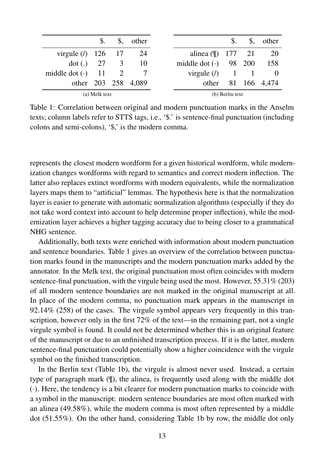|                                      |  |  | $\$\,$ . $\$\,$ other |                               |  | $\$\,$ $\$\,$ other |
|--------------------------------------|--|--|-----------------------|-------------------------------|--|---------------------|
| virgule ( $/$ ) 126 17 24            |  |  |                       | alinea ( $\parallel$ ) 177 21 |  | - 20                |
| dot (.) $27 \t 3 \t 10$              |  |  |                       | middle dot (·) 98 200 158     |  |                     |
| middle dot $\left(\cdot\right)$ 11 2 |  |  |                       | virgule $(1)$ 1 1 0           |  |                     |
|                                      |  |  | other 203 258 4,089   |                               |  | other 81 166 4,474  |
| (a) Melk text                        |  |  |                       | (b) Berlin text               |  |                     |

Table 1: Correlation between original and modern punctuation marks in the Anselm texts; column labels refer to STTS tags, i.e., '\$.' is sentence-final punctuation (including colons and semi-colons), '\$,' is the modern comma.

represents the closest modern wordform for a given historical wordform, while modernization changes wordforms with regard to semantics and correct modern inflection. The latter also replaces extinct wordforms with modern equivalents, while the normalization layers maps them to "artificial" lemmas. The hypothesis here is that the normalization layer is easier to generate with automatic normalization algorithms (especially if they do not take word context into account to help determine proper inflection), while the modernization layer achieves a higher tagging accuracy due to being closer to a grammatical NHG sentence.

Additionally, both texts were enriched with information about modern punctuation and sentence boundaries. Table 1 gives an overview of the correlation between punctuation marks found in the manuscripts and the modern punctuation marks added by the annotator. In the Melk text, the original punctuation most often coincides with modern sentence-final punctuation, with the virgule being used the most. However, 55.31% (203) of all modern sentence boundaries are not marked in the original manuscript at all. In place of the modern comma, no punctuation mark appears in the manuscript in 92.14% (258) of the cases. The virgule symbol appears very frequently in this transcription, however only in the first 72% of the text—in the remaining part, not a single virgule symbol is found. It could not be determined whether this is an original feature of the manuscript or due to an unfinished transcription process. If it is the latter, modern sentence-final punctuation could potentially show a higher coincidence with the virgule symbol on the finished transcription.

In the Berlin text (Table 1b), the virgule is almost never used. Instead, a certain type of paragraph mark (¶), the alinea, is frequently used along with the middle dot (·). Here, the tendency is a bit clearer for modern punctuation marks to coincide with a symbol in the manuscript: modern sentence boundaries are most often marked with an alinea (49.58%), while the modern comma is most often represented by a middle dot (51.55%). On the other hand, considering Table 1b by row, the middle dot only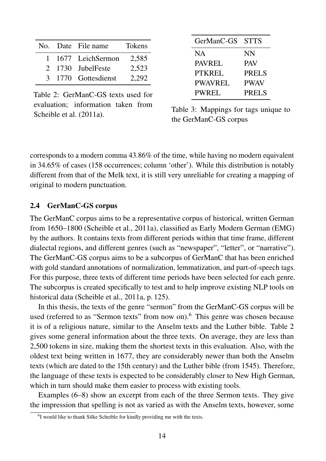|  | No. Date File name  | <b>Tokens</b> |
|--|---------------------|---------------|
|  | 1 1677 LeichSermon  | 2,585         |
|  | 2 1730 JubelFeste   | 2,523         |
|  | 3 1770 Gottesdienst | 2.292         |

Table 2: GerManC-GS texts used for evaluation; information taken from Scheible et al. (2011a).

| GerManC-GS     | <b>STTS</b>  |
|----------------|--------------|
| <b>NA</b>      | <b>NN</b>    |
| <b>PAVREL</b>  | <b>PAV</b>   |
| <b>PTKREL</b>  | <b>PRELS</b> |
| <b>PWAVREL</b> | <b>PWAV</b>  |
| <b>PWREL</b>   | <b>PRELS</b> |

Table 3: Mappings for tags unique to the GerManC-GS corpus

corresponds to a modern comma 43.86% of the time, while having no modern equivalent in 34.65% of cases (158 occurrences; column 'other'). While this distribution is notably different from that of the Melk text, it is still very unreliable for creating a mapping of original to modern punctuation.

## 2.4 GerManC-GS corpus

The GerManC corpus aims to be a representative corpus of historical, written German from 1650–1800 (Scheible et al., 2011a), classified as Early Modern German (EMG) by the authors. It contains texts from different periods within that time frame, different dialectal regions, and different genres (such as "newspaper", "letter", or "narrative"). The GerManC-GS corpus aims to be a subcorpus of GerManC that has been enriched with gold standard annotations of normalization, lemmatization, and part-of-speech tags. For this purpose, three texts of different time periods have been selected for each genre. The subcorpus is created specifically to test and to help improve existing NLP tools on historical data (Scheible et al., 2011a, p. 125).

In this thesis, the texts of the genre "sermon" from the GerManC-GS corpus will be used (referred to as "Sermon texts" from now on).<sup>6</sup> This genre was chosen because it is of a religious nature, similar to the Anselm texts and the Luther bible. Table 2 gives some general information about the three texts. On average, they are less than 2,500 tokens in size, making them the shortest texts in this evaluation. Also, with the oldest text being written in 1677, they are considerably newer than both the Anselm texts (which are dated to the 15th century) and the Luther bible (from 1545). Therefore, the language of these texts is expected to be considerably closer to New High German, which in turn should make them easier to process with existing tools.

Examples (6–8) show an excerpt from each of the three Sermon texts. They give the impression that spelling is not as varied as with the Anselm texts, however, some

<sup>&</sup>lt;sup>6</sup>I would like to thank Silke Scheible for kindly providing me with the texts.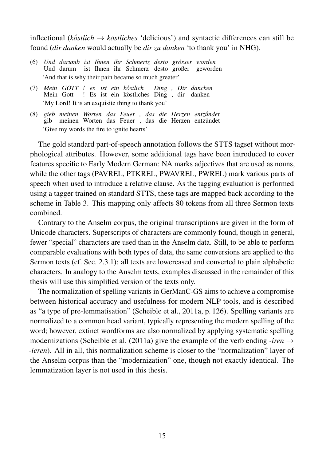inflectional ( $k\delta$ *stlich*  $\rightarrow$  *köstliches* 'delicious') and syntactic differences can still be found (*dir danken* would actually be *dir zu danken* 'to thank you' in NHG).

- (6) Und darumb ist Ihnen ihr Schmertz desto grosser worden Und darum ist Ihnen ihr Schmerz desto größer geworden 'And that is why their pain became so much greater'
- (7) *Mein GOTT ! es ist ein k e ostlich* Mein Gott ! Es ist ein köstliches Ding , dir danken *Ding , Dir dancken* 'My Lord! It is an exquisite thing to thank you'
- (8) *gieb* gib *meinen* meinen *Worten* Worten *das* das *Feuer* Feuer *,* , *das* das *die* die *Herzen* Herzen  $entz$ *undet* entzündet 'Give my words the fire to ignite hearts'

The gold standard part-of-speech annotation follows the STTS tagset without morphological attributes. However, some additional tags have been introduced to cover features specific to Early Modern German: NA marks adjectives that are used as nouns, while the other tags (PAVREL, PTKREL, PWAVREL, PWREL) mark various parts of speech when used to introduce a relative clause. As the tagging evaluation is performed using a tagger trained on standard STTS, these tags are mapped back according to the scheme in Table 3. This mapping only affects 80 tokens from all three Sermon texts combined.

Contrary to the Anselm corpus, the original transcriptions are given in the form of Unicode characters. Superscripts of characters are commonly found, though in general, fewer "special" characters are used than in the Anselm data. Still, to be able to perform comparable evaluations with both types of data, the same conversions are applied to the Sermon texts (cf. Sec. 2.3.1): all texts are lowercased and converted to plain alphabetic characters. In analogy to the Anselm texts, examples discussed in the remainder of this thesis will use this simplified version of the texts only.

The normalization of spelling variants in GerManC-GS aims to achieve a compromise between historical accuracy and usefulness for modern NLP tools, and is described as "a type of pre-lemmatisation" (Scheible et al., 2011a, p. 126). Spelling variants are normalized to a common head variant, typically representing the modern spelling of the word; however, extinct wordforms are also normalized by applying systematic spelling modernizations (Scheible et al. (2011a) give the example of the verb ending *-iren*  $\rightarrow$ *-ieren*). All in all, this normalization scheme is closer to the "normalization" layer of the Anselm corpus than the "modernization" one, though not exactly identical. The lemmatization layer is not used in this thesis.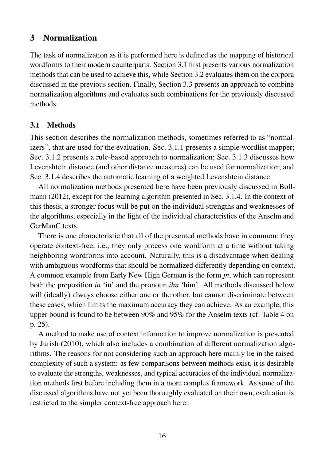# 3 Normalization

The task of normalization as it is performed here is defined as the mapping of historical wordforms to their modern counterparts. Section 3.1 first presents various normalization methods that can be used to achieve this, while Section 3.2 evaluates them on the corpora discussed in the previous section. Finally, Section 3.3 presents an approach to combine normalization algorithms and evaluates such combinations for the previously discussed methods.

# 3.1 Methods

This section describes the normalization methods, sometimes referred to as "normalizers", that are used for the evaluation. Sec. 3.1.1 presents a simple wordlist mapper; Sec. 3.1.2 presents a rule-based approach to normalization; Sec. 3.1.3 discusses how Levenshtein distance (and other distance measures) can be used for normalization; and Sec. 3.1.4 describes the automatic learning of a weighted Levenshtein distance.

All normalization methods presented here have been previously discussed in Bollmann (2012), except for the learning algorithm presented in Sec. 3.1.4. In the context of this thesis, a stronger focus will be put on the individual strengths and weaknesses of the algorithms, especially in the light of the individual characteristics of the Anselm and GerManC texts.

There is one characteristic that all of the presented methods have in common: they operate context-free, i.e., they only process one wordform at a time without taking neighboring wordforms into account. Naturally, this is a disadvantage when dealing with ambiguous wordforms that should be normalized differently depending on context. A common example from Early New High German is the form *jn*, which can represent both the preposition *in* 'in' and the pronoun *ihn* 'him'. All methods discussed below will (ideally) always choose either one or the other, but cannot discriminate between these cases, which limits the maximum accuracy they can achieve. As an example, this upper bound is found to be between 90% and 95% for the Anselm texts (cf. Table 4 on p. 25).

A method to make use of context information to improve normalization is presented by Jurish (2010), which also includes a combination of different normalization algorithms. The reasons for not considering such an approach here mainly lie in the raised complexity of such a system: as few comparisons between methods exist, it is desirable to evaluate the strengths, weaknesses, and typical accuracies of the individual normalization methods first before including them in a more complex framework. As some of the discussed algorithms have not yet been thoroughly evaluated on their own, evaluation is restricted to the simpler context-free approach here.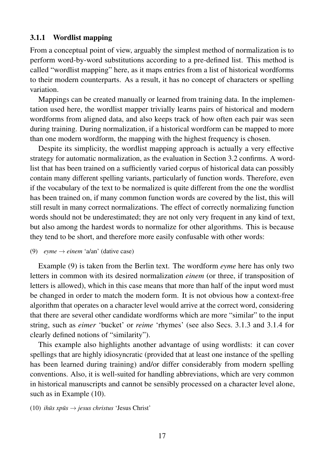# 3.1.1 Wordlist mapping

From a conceptual point of view, arguably the simplest method of normalization is to perform word-by-word substitutions according to a pre-defined list. This method is called "wordlist mapping" here, as it maps entries from a list of historical wordforms to their modern counterparts. As a result, it has no concept of characters or spelling variation.

Mappings can be created manually or learned from training data. In the implementation used here, the wordlist mapper trivially learns pairs of historical and modern wordforms from aligned data, and also keeps track of how often each pair was seen during training. During normalization, if a historical wordform can be mapped to more than one modern wordform, the mapping with the highest frequency is chosen.

Despite its simplicity, the wordlist mapping approach is actually a very effective strategy for automatic normalization, as the evaluation in Section 3.2 confirms. A wordlist that has been trained on a sufficiently varied corpus of historical data can possibly contain many different spelling variants, particularly of function words. Therefore, even if the vocabulary of the text to be normalized is quite different from the one the wordlist has been trained on, if many common function words are covered by the list, this will still result in many correct normalizations. The effect of correctly normalizing function words should not be underestimated; they are not only very frequent in any kind of text, but also among the hardest words to normalize for other algorithms. This is because they tend to be short, and therefore more easily confusable with other words:

#### (9)  $e$ *yme*  $\rightarrow$  *einem* 'a/an' (dative case)

Example (9) is taken from the Berlin text. The wordform *eyme* here has only two letters in common with its desired normalization *einem* (or three, if transposition of letters is allowed), which in this case means that more than half of the input word must be changed in order to match the modern form. It is not obvious how a context-free algorithm that operates on a character level would arrive at the correct word, considering that there are several other candidate wordforms which are more "similar" to the input string, such as *eimer* 'bucket' or *reime* 'rhymes' (see also Secs. 3.1.3 and 3.1.4 for clearly defined notions of "similarity").

This example also highlights another advantage of using wordlists: it can cover spellings that are highly idiosyncratic (provided that at least one instance of the spelling has been learned during training) and/or differ considerably from modern spelling conventions. Also, it is well-suited for handling abbreviations, which are very common in historical manuscripts and cannot be sensibly processed on a character level alone, such as in Example  $(10)$ .

 $(10)$  *ihus xpus*  $\rightarrow$  *jesus christus* 'Jesus Christ'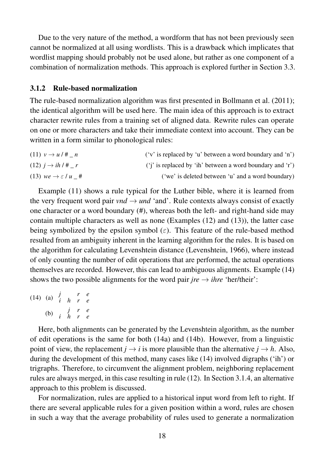Due to the very nature of the method, a wordform that has not been previously seen cannot be normalized at all using wordlists. This is a drawback which implicates that wordlist mapping should probably not be used alone, but rather as one component of a combination of normalization methods. This approach is explored further in Section 3.3.

#### 3.1.2 Rule-based normalization

The rule-based normalization algorithm was first presented in Bollmann et al. (2011); the identical algorithm will be used here. The main idea of this approach is to extract character rewrite rules from a training set of aligned data. Rewrite rules can operate on one or more characters and take their immediate context into account. They can be written in a form similar to phonological rules:

(11)  $v \rightarrow u/\# n$  ('v' is replaced by 'u' between a word boundary and 'n') (12)  $j \rightarrow ih / # _r$  ('i' is replaced by 'ih' between a word boundary and 'r') (13)  $we \rightarrow \varepsilon / u$  # ('we' is deleted between 'u' and a word boundary)

Example (11) shows a rule typical for the Luther bible, where it is learned from the very frequent word pair *vnd*  $\rightarrow$  *und* 'and'. Rule contexts always consist of exactly one character or a word boundary (#), whereas both the left- and right-hand side may contain multiple characters as well as none (Examples (12) and (13)), the latter case being symbolized by the epsilon symbol ( $\varepsilon$ ). This feature of the rule-based method resulted from an ambiguity inherent in the learning algorithm for the rules. It is based on the algorithm for calculating Levenshtein distance (Levenshtein, 1966), where instead of only counting the number of edit operations that are performed, the actual operations themselves are recorded. However, this can lead to ambiguous alignments. Example (14) shows the two possible alignments for the word pair  $jre \rightarrow ihre 'her/their'$ :

(14) (a) *j r e i h r e* (b) *j r e i h r e*

Here, both alignments can be generated by the Levenshtein algorithm, as the number of edit operations is the same for both (14a) and (14b). However, from a linguistic point of view, the replacement  $j \rightarrow i$  is more plausible than the alternative  $j \rightarrow h$ . Also, during the development of this method, many cases like (14) involved digraphs ('ih') or trigraphs. Therefore, to circumvent the alignment problem, neighboring replacement rules are always merged, in this case resulting in rule (12). In Section 3.1.4, an alternative approach to this problem is discussed.

For normalization, rules are applied to a historical input word from left to right. If there are several applicable rules for a given position within a word, rules are chosen in such a way that the average probability of rules used to generate a normalization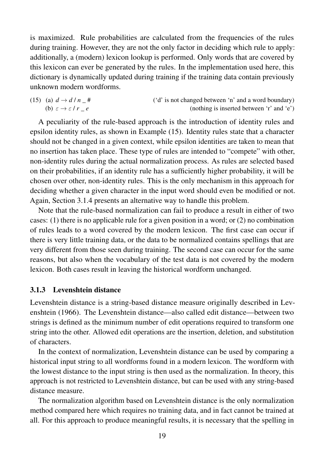is maximized. Rule probabilities are calculated from the frequencies of the rules during training. However, they are not the only factor in deciding which rule to apply: additionally, a (modern) lexicon lookup is performed. Only words that are covered by this lexicon can ever be generated by the rules. In the implementation used here, this dictionary is dynamically updated during training if the training data contain previously unknown modern wordforms.

(15) (a)  $d \rightarrow d / n$  # ('d' is not changed between 'n' and a word boundary) (b)  $\varepsilon \to \varepsilon / r_e$  (nothing is inserted between 'r' and 'e')

A peculiarity of the rule-based approach is the introduction of identity rules and epsilon identity rules, as shown in Example (15). Identity rules state that a character should not be changed in a given context, while epsilon identities are taken to mean that no insertion has taken place. These type of rules are intended to "compete" with other, non-identity rules during the actual normalization process. As rules are selected based on their probabilities, if an identity rule has a sufficiently higher probability, it will be chosen over other, non-identity rules. This is the only mechanism in this approach for deciding whether a given character in the input word should even be modified or not. Again, Section 3.1.4 presents an alternative way to handle this problem.

Note that the rule-based normalization can fail to produce a result in either of two cases: (1) there is no applicable rule for a given position in a word; or (2) no combination of rules leads to a word covered by the modern lexicon. The first case can occur if there is very little training data, or the data to be normalized contains spellings that are very different from those seen during training. The second case can occur for the same reasons, but also when the vocabulary of the test data is not covered by the modern lexicon. Both cases result in leaving the historical wordform unchanged.

#### 3.1.3 Levenshtein distance

Levenshtein distance is a string-based distance measure originally described in Levenshtein (1966). The Levenshtein distance—also called edit distance—between two strings is defined as the minimum number of edit operations required to transform one string into the other. Allowed edit operations are the insertion, deletion, and substitution of characters.

In the context of normalization, Levenshtein distance can be used by comparing a historical input string to all wordforms found in a modern lexicon. The wordform with the lowest distance to the input string is then used as the normalization. In theory, this approach is not restricted to Levenshtein distance, but can be used with any string-based distance measure.

The normalization algorithm based on Levenshtein distance is the only normalization method compared here which requires no training data, and in fact cannot be trained at all. For this approach to produce meaningful results, it is necessary that the spelling in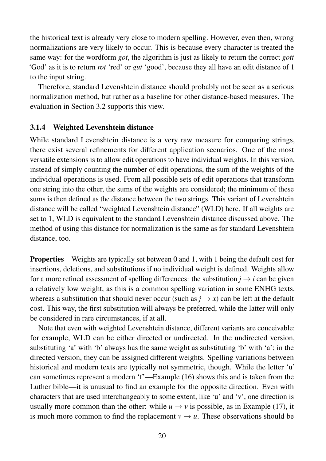the historical text is already very close to modern spelling. However, even then, wrong normalizations are very likely to occur. This is because every character is treated the same way: for the wordform *got*, the algorithm is just as likely to return the correct *gott* 'God' as it is to return *rot* 'red' or *gut* 'good', because they all have an edit distance of 1 to the input string.

Therefore, standard Levenshtein distance should probably not be seen as a serious normalization method, but rather as a baseline for other distance-based measures. The evaluation in Section 3.2 supports this view.

### 3.1.4 Weighted Levenshtein distance

While standard Levenshtein distance is a very raw measure for comparing strings, there exist several refinements for different application scenarios. One of the most versatile extensions is to allow edit operations to have individual weights. In this version, instead of simply counting the number of edit operations, the sum of the weights of the individual operations is used. From all possible sets of edit operations that transform one string into the other, the sums of the weights are considered; the minimum of these sums is then defined as the distance between the two strings. This variant of Levenshtein distance will be called "weighted Levenshtein distance" (WLD) here. If all weights are set to 1, WLD is equivalent to the standard Levenshtein distance discussed above. The method of using this distance for normalization is the same as for standard Levenshtein distance, too.

**Properties** Weights are typically set between 0 and 1, with 1 being the default cost for insertions, deletions, and substitutions if no individual weight is defined. Weights allow for a more refined assessment of spelling differences: the substitution  $i \rightarrow i$  can be given a relatively low weight, as this is a common spelling variation in some ENHG texts, whereas a substitution that should never occur (such as  $j \rightarrow x$ ) can be left at the default cost. This way, the first substitution will always be preferred, while the latter will only be considered in rare circumstances, if at all.

Note that even with weighted Levenshtein distance, different variants are conceivable: for example, WLD can be either directed or undirected. In the undirected version, substituting 'a' with 'b' always has the same weight as substituting 'b' with 'a'; in the directed version, they can be assigned different weights. Spelling variations between historical and modern texts are typically not symmetric, though. While the letter 'u' can sometimes represent a modern 'f'—Example (16) shows this and is taken from the Luther bible—it is unusual to find an example for the opposite direction. Even with characters that are used interchangeably to some extent, like 'u' and 'v', one direction is usually more common than the other: while  $u \to v$  is possible, as in Example (17), it is much more common to find the replacement  $v \to u$ . These observations should be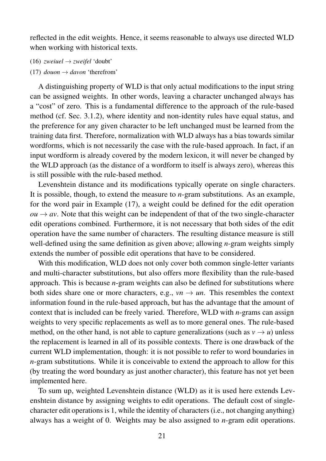reflected in the edit weights. Hence, it seems reasonable to always use directed WLD when working with historical texts.

- (16) *zweiuel*  $\rightarrow$  *zweifel* 'doubt'
- (17)  $douon \rightarrow davon$  'therefrom'

A distinguishing property of WLD is that only actual modifications to the input string can be assigned weights. In other words, leaving a character unchanged always has a "cost" of zero. This is a fundamental difference to the approach of the rule-based method (cf. Sec. 3.1.2), where identity and non-identity rules have equal status, and the preference for any given character to be left unchanged must be learned from the training data first. Therefore, normalization with WLD always has a bias towards similar wordforms, which is not necessarily the case with the rule-based approach. In fact, if an input wordform is already covered by the modern lexicon, it will never be changed by the WLD approach (as the distance of a wordform to itself is always zero), whereas this is still possible with the rule-based method.

Levenshtein distance and its modifications typically operate on single characters. It is possible, though, to extend the measure to *n*-gram substitutions. As an example, for the word pair in Example (17), a weight could be defined for the edit operation  $ou \rightarrow av$ . Note that this weight can be independent of that of the two single-character edit operations combined. Furthermore, it is not necessary that both sides of the edit operation have the same number of characters. The resulting distance measure is still well-defined using the same definition as given above; allowing *n*-gram weights simply extends the number of possible edit operations that have to be considered.

With this modification, WLD does not only cover both common single-letter variants and multi-character substitutions, but also offers more flexibility than the rule-based approach. This is because *n*-gram weights can also be defined for substitutions where both sides share one or more characters, e.g.,  $vn \rightarrow un$ . This resembles the context information found in the rule-based approach, but has the advantage that the amount of context that is included can be freely varied. Therefore, WLD with *n*-grams can assign weights to very specific replacements as well as to more general ones. The rule-based method, on the other hand, is not able to capture generalizations (such as  $v \rightarrow u$ ) unless the replacement is learned in all of its possible contexts. There is one drawback of the current WLD implementation, though: it is not possible to refer to word boundaries in *n*-gram substitutions. While it is conceivable to extend the approach to allow for this (by treating the word boundary as just another character), this feature has not yet been implemented here.

To sum up, weighted Levenshtein distance (WLD) as it is used here extends Levenshtein distance by assigning weights to edit operations. The default cost of singlecharacter edit operations is 1, while the identity of characters (i.e., not changing anything) always has a weight of 0. Weights may be also assigned to *n*-gram edit operations.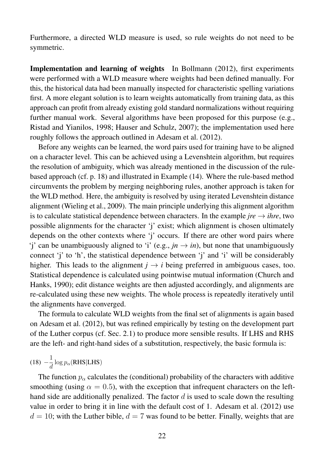Furthermore, a directed WLD measure is used, so rule weights do not need to be symmetric.

Implementation and learning of weights In Bollmann (2012), first experiments were performed with a WLD measure where weights had been defined manually. For this, the historical data had been manually inspected for characteristic spelling variations first. A more elegant solution is to learn weights automatically from training data, as this approach can profit from already existing gold standard normalizations without requiring further manual work. Several algorithms have been proposed for this purpose (e.g., Ristad and Yianilos, 1998; Hauser and Schulz, 2007); the implementation used here roughly follows the approach outlined in Adesam et al. (2012).

Before any weights can be learned, the word pairs used for training have to be aligned on a character level. This can be achieved using a Levenshtein algorithm, but requires the resolution of ambiguity, which was already mentioned in the discussion of the rulebased approach (cf. p. 18) and illustrated in Example (14). Where the rule-based method circumvents the problem by merging neighboring rules, another approach is taken for the WLD method. Here, the ambiguity is resolved by using iterated Levenshtein distance alignment (Wieling et al., 2009). The main principle underlying this alignment algorithm is to calculate statistical dependence between characters. In the example  $jre \rightarrow ihre$ , two possible alignments for the character 'j' exist; which alignment is chosen ultimately depends on the other contexts where 'j' occurs. If there are other word pairs where 'j' can be unambiguously aligned to 'i' (e.g.,  $jn \rightarrow in$ ), but none that unambiguously connect 'j' to 'h', the statistical dependence between 'j' and 'i' will be considerably higher. This leads to the alignment  $j \rightarrow i$  being preferred in ambiguous cases, too. Statistical dependence is calculated using pointwise mutual information (Church and Hanks, 1990); edit distance weights are then adjusted accordingly, and alignments are re-calculated using these new weights. The whole process is repeatedly iteratively until the alignments have converged.

The formula to calculate WLD weights from the final set of alignments is again based on Adesam et al. (2012), but was refined empirically by testing on the development part of the Luther corpus (cf. Sec. 2.1) to produce more sensible results. If LHS and RHS are the left- and right-hand sides of a substitution, respectively, the basic formula is:

$$
(18) -\frac{1}{d} \log p_{\alpha}(\text{RHS}|\text{LHS})
$$

The function  $p_{\alpha}$  calculates the (conditional) probability of the characters with additive smoothing (using  $\alpha = 0.5$ ), with the exception that infrequent characters on the lefthand side are additionally penalized. The factor  $d$  is used to scale down the resulting value in order to bring it in line with the default cost of 1. Adesam et al. (2012) use  $d = 10$ ; with the Luther bible,  $d = 7$  was found to be better. Finally, weights that are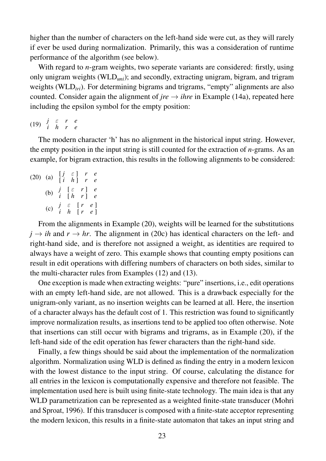higher than the number of characters on the left-hand side were cut, as they will rarely if ever be used during normalization. Primarily, this was a consideration of runtime performance of the algorithm (see below).

With regard to *n*-gram weights, two seperate variants are considered: firstly, using only unigram weights (WLD*uni*); and secondly, extracting unigram, bigram, and trigram weights (WLD<sub>tri</sub>). For determining bigrams and trigrams, "empty" alignments are also counted. Consider again the alignment of *jre*  $\rightarrow$  *ihre* in Example (14a), repeated here including the epsilon symbol for the empty position:

(19) *<sup>j</sup>* <sup>ε</sup> *r e i h r e*

The modern character 'h' has no alignment in the historical input string. However, the empty position in the input string is still counted for the extraction of *n*-grams. As an example, for bigram extraction, this results in the following alignments to be considered:

|  | (20) (a) $\begin{bmatrix} j & \varepsilon \\ i & h \end{bmatrix}$ r e                                        |  |
|--|--------------------------------------------------------------------------------------------------------------|--|
|  | (b) $\begin{array}{cc} j & \lbrack \varepsilon & r \rbrack & e \\ i & \lbrack h & r \rbrack & e \end{array}$ |  |
|  | (c) $\begin{array}{cc} j & \varepsilon & [r & e] \\ i & h & [r & e] \end{array}$                             |  |

From the alignments in Example (20), weights will be learned for the substitutions  $j \rightarrow ih$  and  $r \rightarrow hr$ . The alignment in (20c) has identical characters on the left- and right-hand side, and is therefore not assigned a weight, as identities are required to always have a weight of zero. This example shows that counting empty positions can result in edit operations with differing numbers of characters on both sides, similar to the multi-character rules from Examples (12) and (13).

One exception is made when extracting weights: "pure" insertions, i.e., edit operations with an empty left-hand side, are not allowed. This is a drawback especially for the unigram-only variant, as no insertion weights can be learned at all. Here, the insertion of a character always has the default cost of 1. This restriction was found to significantly improve normalization results, as insertions tend to be applied too often otherwise. Note that insertions can still occur with bigrams and trigrams, as in Example (20), if the left-hand side of the edit operation has fewer characters than the right-hand side.

Finally, a few things should be said about the implementation of the normalization algorithm. Normalization using WLD is defined as finding the entry in a modern lexicon with the lowest distance to the input string. Of course, calculating the distance for all entries in the lexicon is computationally expensive and therefore not feasible. The implementation used here is built using finite-state technology. The main idea is that any WLD parametrization can be represented as a weighted finite-state transducer (Mohri and Sproat, 1996). If this transducer is composed with a finite-state acceptor representing the modern lexicon, this results in a finite-state automaton that takes an input string and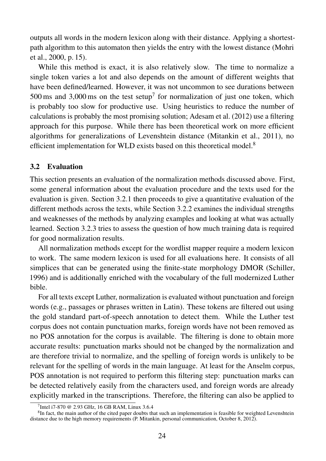outputs all words in the modern lexicon along with their distance. Applying a shortestpath algorithm to this automaton then yields the entry with the lowest distance (Mohri et al., 2000, p. 15).

While this method is exact, it is also relatively slow. The time to normalize a single token varies a lot and also depends on the amount of different weights that have been defined/learned. However, it was not uncommon to see durations between 500 ms and 3,000 ms on the test setup<sup>7</sup> for normalization of just one token, which is probably too slow for productive use. Using heuristics to reduce the number of calculations is probably the most promising solution; Adesam et al. (2012) use a filtering approach for this purpose. While there has been theoretical work on more efficient algorithms for generalizations of Levenshtein distance (Mitankin et al., 2011), no efficient implementation for WLD exists based on this theoretical model.<sup>8</sup>

### 3.2 Evaluation

This section presents an evaluation of the normalization methods discussed above. First, some general information about the evaluation procedure and the texts used for the evaluation is given. Section 3.2.1 then proceeds to give a quantitative evaluation of the different methods across the texts, while Section 3.2.2 examines the individual strengths and weaknesses of the methods by analyzing examples and looking at what was actually learned. Section 3.2.3 tries to assess the question of how much training data is required for good normalization results.

All normalization methods except for the wordlist mapper require a modern lexicon to work. The same modern lexicon is used for all evaluations here. It consists of all simplices that can be generated using the finite-state morphology DMOR (Schiller, 1996) and is additionally enriched with the vocabulary of the full modernized Luther bible.

For all texts except Luther, normalization is evaluated without punctuation and foreign words (e.g., passages or phrases written in Latin). These tokens are filtered out using the gold standard part-of-speech annotation to detect them. While the Luther test corpus does not contain punctuation marks, foreign words have not been removed as no POS annotation for the corpus is available. The filtering is done to obtain more accurate results: punctuation marks should not be changed by the normalization and are therefore trivial to normalize, and the spelling of foreign words is unlikely to be relevant for the spelling of words in the main language. At least for the Anselm corpus, POS annotation is not required to perform this filtering step: punctuation marks can be detected relatively easily from the characters used, and foreign words are already explicitly marked in the transcriptions. Therefore, the filtering can also be applied to

<sup>7</sup> Intel i7-870 @ 2.93 GHz, 16 GB RAM, Linux 3.6.4

 ${}^{8}$ In fact, the main author of the cited paper doubts that such an implementation is feasible for weighted Levenshtein distance due to the high memory requirements (P. Mitankin, personal communication, October 8, 2012).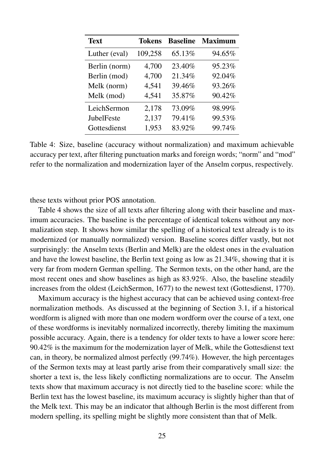| <b>Text</b>   | <b>Tokens</b> | <b>Baseline</b> | <b>Maximum</b> |
|---------------|---------------|-----------------|----------------|
| Luther (eval) | 109,258       | 65.13%          | 94.65%         |
| Berlin (norm) | 4,700         | 23.40%          | 95.23%         |
| Berlin (mod)  | 4,700         | 21.34%          | 92.04%         |
| Melk (norm)   | 4,541         | 39.46%          | 93.26%         |
| Melk (mod)    | 4,541         | 35.87%          | 90.42%         |
| LeichSermon   | 2,178         | 73.09%          | 98.99%         |
| JubelFeste    | 2,137         | 79.41%          | 99.53%         |
| Gottesdienst  | 1,953         | 83.92%          | 99.74%         |

Table 4: Size, baseline (accuracy without normalization) and maximum achievable accuracy per text, after filtering punctuation marks and foreign words; "norm" and "mod" refer to the normalization and modernization layer of the Anselm corpus, respectively.

these texts without prior POS annotation.

Table 4 shows the size of all texts after filtering along with their baseline and maximum accuracies. The baseline is the percentage of identical tokens without any normalization step. It shows how similar the spelling of a historical text already is to its modernized (or manually normalized) version. Baseline scores differ vastly, but not surprisingly: the Anselm texts (Berlin and Melk) are the oldest ones in the evaluation and have the lowest baseline, the Berlin text going as low as 21.34%, showing that it is very far from modern German spelling. The Sermon texts, on the other hand, are the most recent ones and show baselines as high as 83.92%. Also, the baseline steadily increases from the oldest (LeichSermon, 1677) to the newest text (Gottesdienst, 1770).

Maximum accuracy is the highest accuracy that can be achieved using context-free normalization methods. As discussed at the beginning of Section 3.1, if a historical wordform is aligned with more than one modern wordform over the course of a text, one of these wordforms is inevitably normalized incorrectly, thereby limiting the maximum possible accuracy. Again, there is a tendency for older texts to have a lower score here: 90.42% is the maximum for the modernization layer of Melk, while the Gottesdienst text can, in theory, be normalized almost perfectly (99.74%). However, the high percentages of the Sermon texts may at least partly arise from their comparatively small size: the shorter a text is, the less likely conflicting normalizations are to occur. The Anselm texts show that maximum accuracy is not directly tied to the baseline score: while the Berlin text has the lowest baseline, its maximum accuracy is slightly higher than that of the Melk text. This may be an indicator that although Berlin is the most different from modern spelling, its spelling might be slightly more consistent than that of Melk.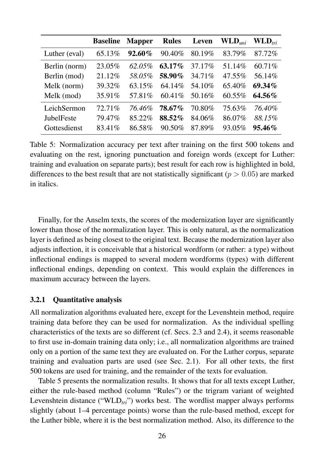|                   | <b>Baseline</b> | <b>Mapper</b> | <b>Rules</b> | Leven   | $\mathbf{WLD}_{uni}$ | $\mathbf{WLD}_{tri}$ |
|-------------------|-----------------|---------------|--------------|---------|----------------------|----------------------|
| Luther (eval)     | 65.13%          | 92.60%        | 90.40%       | 80.19%  | 83.79%               | 87.72%               |
| Berlin (norm)     | 23.05%          | 62.05%        | $63.17\%$    | 37.17%  | 51.14%               | 60.71%               |
| Berlin (mod)      | 21.12%          | 58.05%        | 58.90%       | 34.71%  | 47.55%               | 56.14%               |
| Melk (norm)       | 39.32%          | 63.15%        | 64.14%       | 54.10%  | 65.40%               | 69.34%               |
| Melk (mod)        | 35.91%          | 57.81\%       | $60.41\%$    | 50.16\% | $60.55\%$            | $64.56\%$            |
| LeichSermon       | 72.71%          | 76.46%        | 78.67%       | 70.80%  | 75.63%               | 76.40%               |
| <b>JubelFeste</b> | 79.47%          | 85.22%        | 88.52%       | 84.06%  | 86.07%               | 88.15%               |
| Gottesdienst      | 83.41\%         | 86.58%        | $90.50\%$    | 87.89%  | 93.05%               | $95.46\%$            |

Table 5: Normalization accuracy per text after training on the first 500 tokens and evaluating on the rest, ignoring punctuation and foreign words (except for Luther: training and evaluation on separate parts); best result for each row is highlighted in bold, differences to the best result that are not statistically significant ( $p > 0.05$ ) are marked in italics.

Finally, for the Anselm texts, the scores of the modernization layer are significantly lower than those of the normalization layer. This is only natural, as the normalization layer is defined as being closest to the original text. Because the modernization layer also adjusts inflection, it is conceivable that a historical wordform (or rather: a type) without inflectional endings is mapped to several modern wordforms (types) with different inflectional endings, depending on context. This would explain the differences in maximum accuracy between the layers.

#### 3.2.1 Quantitative analysis

All normalization algorithms evaluated here, except for the Levenshtein method, require training data before they can be used for normalization. As the individual spelling characteristics of the texts are so different (cf. Secs. 2.3 and 2.4), it seems reasonable to first use in-domain training data only; i.e., all normalization algorithms are trained only on a portion of the same text they are evaluated on. For the Luther corpus, separate training and evaluation parts are used (see Sec. 2.1). For all other texts, the first 500 tokens are used for training, and the remainder of the texts for evaluation.

Table 5 presents the normalization results. It shows that for all texts except Luther, either the rule-based method (column "Rules") or the trigram variant of weighted Levenshtein distance (" $WLD_{tri}$ ") works best. The wordlist mapper always performs slightly (about 1–4 percentage points) worse than the rule-based method, except for the Luther bible, where it is the best normalization method. Also, its difference to the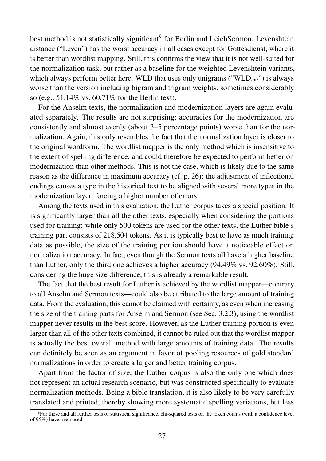best method is not statistically significant<sup>9</sup> for Berlin and LeichSermon. Levenshtein distance ("Leven") has the worst accuracy in all cases except for Gottesdienst, where it is better than wordlist mapping. Still, this confirms the view that it is not well-suited for the normalization task, but rather as a baseline for the weighted Levenshtein variants, which always perform better here. WLD that uses only unigrams ("WLD<sub>uni</sub>") is always worse than the version including bigram and trigram weights, sometimes considerably so (e.g., 51.14% vs. 60.71% for the Berlin text).

For the Anselm texts, the normalization and modernization layers are again evaluated separately. The results are not surprising; accuracies for the modernization are consistently and almost evenly (about 3–5 percentage points) worse than for the normalization. Again, this only resembles the fact that the normalization layer is closer to the original wordform. The wordlist mapper is the only method which is insensitive to the extent of spelling difference, and could therefore be expected to perform better on modernization than other methods. This is not the case, which is likely due to the same reason as the difference in maximum accuracy (cf. p. 26): the adjustment of inflectional endings causes a type in the historical text to be aligned with several more types in the modernization layer, forcing a higher number of errors.

Among the texts used in this evaluation, the Luther corpus takes a special position. It is significantly larger than all the other texts, especially when considering the portions used for training: while only 500 tokens are used for the other texts, the Luther bible's training part consists of 218,504 tokens. As it is typically best to have as much training data as possible, the size of the training portion should have a noticeable effect on normalization accuracy. In fact, even though the Sermon texts all have a higher baseline than Luther, only the third one achieves a higher accuracy (94.49% vs. 92.60%). Still, considering the huge size difference, this is already a remarkable result.

The fact that the best result for Luther is achieved by the wordlist mapper—contrary to all Anselm and Sermon texts—could also be attributed to the large amount of training data. From the evaluation, this cannot be claimed with certainty, as even when increasing the size of the training parts for Anselm and Sermon (see Sec. 3.2.3), using the wordlist mapper never results in the best score. However, as the Luther training portion is even larger than all of the other texts combined, it cannot be ruled out that the wordlist mapper is actually the best overall method with large amounts of training data. The results can definitely be seen as an argument in favor of pooling resources of gold standard normalizations in order to create a larger and better training corpus.

Apart from the factor of size, the Luther corpus is also the only one which does not represent an actual research scenario, but was constructed specifically to evaluate normalization methods. Being a bible translation, it is also likely to be very carefully translated and printed, thereby showing more systematic spelling variations, but less

<sup>&</sup>lt;sup>9</sup>For these and all further tests of statistical significance, chi-squared tests on the token counts (with a confidence level of 95%) have been used.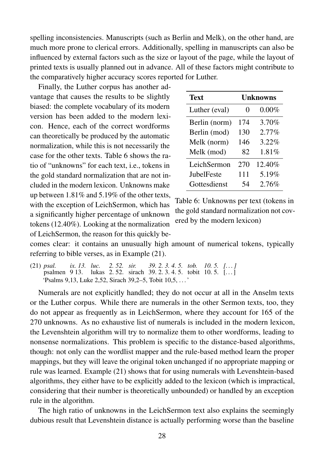spelling inconsistencies. Manuscripts (such as Berlin and Melk), on the other hand, are much more prone to clerical errors. Additionally, spelling in manuscripts can also be influenced by external factors such as the size or layout of the page, while the layout of printed texts is usually planned out in advance. All of these factors might contribute to the comparatively higher accuracy scores reported for Luther.

Finally, the Luther corpus has another advantage that causes the results to be slightly biased: the complete vocabulary of its modern version has been added to the modern lexicon. Hence, each of the correct wordforms can theoretically be produced by the automatic normalization, while this is not necessarily the case for the other texts. Table 6 shows the ratio of "unknowns" for each text, i.e., tokens in the gold standard normalization that are not included in the modern lexicon. Unknowns make up between 1.81% and 5.19% of the other texts, with the exception of LeichSermon, which has a significantly higher percentage of unknown tokens (12.40%). Looking at the normalization of LeichSermon, the reason for this quickly be-

| <b>Text</b>   | <b>Unknowns</b>   |          |  |
|---------------|-------------------|----------|--|
| Luther (eval) | $\mathbf{\Omega}$ | $0.00\%$ |  |
| Berlin (norm) | 174               | 3.70%    |  |
| Berlin (mod)  | 130               | $2.77\%$ |  |
| Melk (norm)   | 146               | 3.22%    |  |
| Melk (mod)    | 82                | 1.81%    |  |
| LeichSermon   | 270               | 12.40%   |  |
| JubelFeste    | 111               | 5.19%    |  |
| Gottesdienst  | 54                | 2.76%    |  |

Table 6: Unknowns per text (tokens in the gold standard normalization not covered by the modern lexicon)

comes clear: it contains an unusually high amount of numerical tokens, typically referring to bible verses, as in Example (21).

(21) *psal.* psalmen 9 13. *ix. 13. luc.* lukas 2. 52. sirach 39. 2. 3. 4. 5. tobit 10. 5. [. . . ] *2. 52. sir. 39. 2. 3. 4. 5. tob. 10. 5. [. . . ]* 'Psalms 9,13, Luke 2,52, Sirach 39,2–5, Tobit 10,5, . . . '

Numerals are not explicitly handled; they do not occur at all in the Anselm texts or the Luther corpus. While there are numerals in the other Sermon texts, too, they do not appear as frequently as in LeichSermon, where they account for 165 of the 270 unknowns. As no exhaustive list of numerals is included in the modern lexicon, the Levenshtein algorithm will try to normalize them to other wordforms, leading to nonsense normalizations. This problem is specific to the distance-based algorithms, though: not only can the wordlist mapper and the rule-based method learn the proper mappings, but they will leave the original token unchanged if no appropriate mapping or rule was learned. Example (21) shows that for using numerals with Levenshtein-based algorithms, they either have to be explicitly added to the lexicon (which is impractical, considering that their number is theoretically unbounded) or handled by an exception rule in the algorithm.

The high ratio of unknowns in the LeichSermon text also explains the seemingly dubious result that Levenshtein distance is actually performing worse than the baseline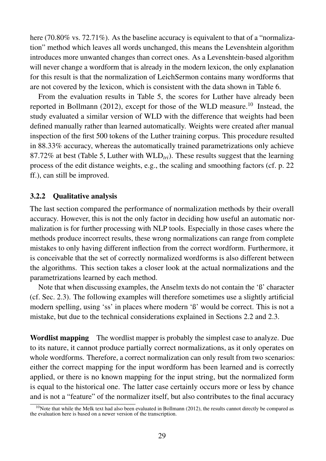here (70.80% vs. 72.71%). As the baseline accuracy is equivalent to that of a "normalization" method which leaves all words unchanged, this means the Levenshtein algorithm introduces more unwanted changes than correct ones. As a Levenshtein-based algorithm will never change a wordform that is already in the modern lexicon, the only explanation for this result is that the normalization of LeichSermon contains many wordforms that are not covered by the lexicon, which is consistent with the data shown in Table 6.

From the evaluation results in Table 5, the scores for Luther have already been reported in Bollmann (2012), except for those of the WLD measure.<sup>10</sup> Instead, the study evaluated a similar version of WLD with the difference that weights had been defined manually rather than learned automatically. Weights were created after manual inspection of the first 500 tokens of the Luther training corpus. This procedure resulted in 88.33% accuracy, whereas the automatically trained parametrizations only achieve 87.72% at best (Table 5, Luther with WLD<sub>tri</sub>). These results suggest that the learning process of the edit distance weights, e.g., the scaling and smoothing factors (cf. p. 22 ff.), can still be improved.

### 3.2.2 Qualitative analysis

The last section compared the performance of normalization methods by their overall accuracy. However, this is not the only factor in deciding how useful an automatic normalization is for further processing with NLP tools. Especially in those cases where the methods produce incorrect results, these wrong normalizations can range from complete mistakes to only having different inflection from the correct wordform. Furthermore, it is conceivable that the set of correctly normalized wordforms is also different between the algorithms. This section takes a closer look at the actual normalizations and the parametrizations learned by each method.

Note that when discussing examples, the Anselm texts do not contain the 'ß' character (cf. Sec. 2.3). The following examples will therefore sometimes use a slightly artificial modern spelling, using 'ss' in places where modern 'ß' would be correct. This is not a mistake, but due to the technical considerations explained in Sections 2.2 and 2.3.

Wordlist mapping The wordlist mapper is probably the simplest case to analyze. Due to its nature, it cannot produce partially correct normalizations, as it only operates on whole wordforms. Therefore, a correct normalization can only result from two scenarios: either the correct mapping for the input wordform has been learned and is correctly applied, or there is no known mapping for the input string, but the normalized form is equal to the historical one. The latter case certainly occurs more or less by chance and is not a "feature" of the normalizer itself, but also contributes to the final accuracy

 $10$ Note that while the Melk text had also been evaluated in Bollmann (2012), the results cannot directly be compared as the evaluation here is based on a newer version of the transcription.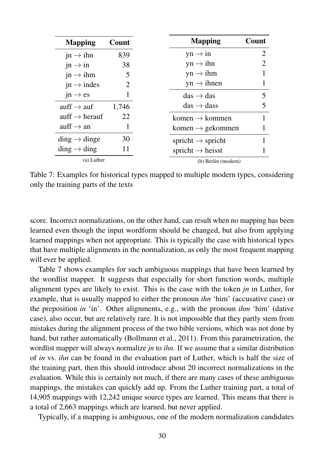| <b>Mapping</b>                        | Count | <b>Mapping</b>                      | Count                 |
|---------------------------------------|-------|-------------------------------------|-----------------------|
| $jn \rightarrow ihn$                  | 839   | $yn \rightarrow in$                 | $\mathcal{D}_{\cdot}$ |
| $in \rightarrow in$                   | 38    | $yn \rightarrow ihn$                |                       |
| $jn \rightarrow ihm$                  | 5     | $yn \rightarrow ihm$                |                       |
| $jn \rightarrow indes$                | 2     | $yn \rightarrow ihnen$              |                       |
| $jn \rightarrow es$                   |       | $\text{das} \rightarrow \text{das}$ |                       |
| auff $\rightarrow$ auf                | 1,746 | $das \rightarrow class$             |                       |
| auff $\rightarrow$ herauf             | 22    | komen $\rightarrow$ kommen          |                       |
| auff $\rightarrow$ an                 |       | komen $\rightarrow$ gekommen        |                       |
| $\text{ding} \rightarrow \text{ding}$ | 30    | spricht $\rightarrow$ spricht       |                       |
| $\dim g \to \dim g$                   | 11    | spricht $\rightarrow$ heisst        |                       |
| (a) Luther                            |       | (b) Berlin (modern)                 |                       |

Table 7: Examples for historical types mapped to multiple modern types, considering only the training parts of the texts

score. Incorrect normalizations, on the other hand, can result when no mapping has been learned even though the input wordform should be changed, but also from applying learned mappings when not appropriate. This is typically the case with historical types that have multiple alignments in the normalization, as only the most frequent mapping will ever be applied.

Table 7 shows examples for such ambiguous mappings that have been learned by the wordlist mapper. It suggests that especially for short function words, multiple alignment types are likely to exist. This is the case with the token *jn* in Luther, for example, that is usually mapped to either the pronoun *ihn* 'him' (accusative case) or the preposition *in* 'in'. Other alignments, e.g., with the pronoun *ihm* 'him' (dative case), also occur, but are relatively rare. It is not impossible that they partly stem from mistakes during the alignment process of the two bible versions, which was not done by hand, but rather automatically (Bollmann et al., 2011). From this parametrization, the wordlist mapper will always normalize *jn* to *ihn*. If we assume that a similar distribution of *in* vs. *ihn* can be found in the evaluation part of Luther, which is half the size of the training part, then this should introduce about 20 incorrect normalizations in the evaluation. While this is certainly not much, if there are many cases of these ambiguous mappings, the mistakes can quickly add up. From the Luther training part, a total of 14,905 mappings with 12,242 unique source types are learned. This means that there is a total of 2,663 mappings which are learned, but never applied.

Typically, if a mapping is ambiguous, one of the modern normalization candidates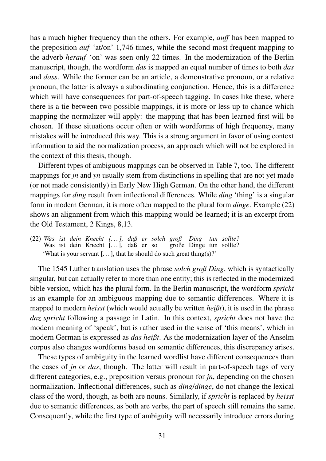has a much higher frequency than the others. For example, *auff* has been mapped to the preposition *auf* 'at/on' 1,746 times, while the second most frequent mapping to the adverb *herauf* 'on' was seen only 22 times. In the modernization of the Berlin manuscript, though, the wordform *das* is mapped an equal number of times to both *das* and *dass*. While the former can be an article, a demonstrative pronoun, or a relative pronoun, the latter is always a subordinating conjunction. Hence, this is a difference which will have consequences for part-of-speech tagging. In cases like these, where there is a tie between two possible mappings, it is more or less up to chance which mapping the normalizer will apply: the mapping that has been learned first will be chosen. If these situations occur often or with wordforms of high frequency, many mistakes will be introduced this way. This is a strong argument in favor of using context information to aid the normalization process, an approach which will not be explored in the context of this thesis, though.

Different types of ambiguous mappings can be observed in Table 7, too. The different mappings for *jn* and *yn* usually stem from distinctions in spelling that are not yet made (or not made consistently) in Early New High German. On the other hand, the different mappings for *ding* result from inflectional differences. While *ding* 'thing' is a singular form in modern German, it is more often mapped to the plural form *dinge*. Example (22) shows an alignment from which this mapping would be learned; it is an excerpt from the Old Testament, 2 Kings, 8,13.

(22) *Was ist dein Knecht [. . . ], daß er solch groß* Was ist dein Knecht [...], daß er so große Dinge tun sollte? *Ding tun sollte?* 'What is your servant [ $\dots$ ], that he should do such great thing(s)?'

The 1545 Luther translation uses the phrase *solch groß Ding*, which is syntactically singular, but can actually refer to more than one entity; this is reflected in the modernized bible version, which has the plural form. In the Berlin manuscript, the wordform *spricht* is an example for an ambiguous mapping due to semantic differences. Where it is mapped to modern *heisst* (which would actually be written *heißt*), it is used in the phrase *daz spricht* following a passage in Latin. In this context, *spricht* does not have the modern meaning of 'speak', but is rather used in the sense of 'this means', which in modern German is expressed as *das heißt*. As the modernization layer of the Anselm corpus also changes wordforms based on semantic differences, this discrepancy arises.

These types of ambiguity in the learned wordlist have different consequences than the cases of *jn* or *das*, though. The latter will result in part-of-speech tags of very different categories, e.g., preposition versus pronoun for *jn*, depending on the chosen normalization. Inflectional differences, such as *ding*/*dinge*, do not change the lexical class of the word, though, as both are nouns. Similarly, if *spricht* is replaced by *heisst* due to semantic differences, as both are verbs, the part of speech still remains the same. Consequently, while the first type of ambiguity will necessarily introduce errors during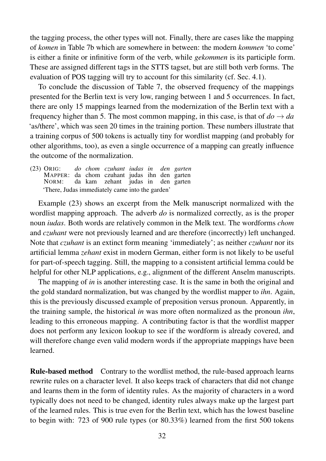the tagging process, the other types will not. Finally, there are cases like the mapping of *komen* in Table 7b which are somewhere in between: the modern *kommen* 'to come' is either a finite or infinitive form of the verb, while *gekommen* is its participle form. These are assigned different tags in the STTS tagset, but are still both verb forms. The evaluation of POS tagging will try to account for this similarity (cf. Sec. 4.1).

To conclude the discussion of Table 7, the observed frequency of the mappings presented for the Berlin text is very low, ranging between 1 and 5 occurrences. In fact, there are only 15 mappings learned from the modernization of the Berlin text with a frequency higher than 5. The most common mapping, in this case, is that of  $d\sigma \rightarrow da$ 'as/there', which was seen 20 times in the training portion. These numbers illustrate that a training corpus of 500 tokens is actually tiny for wordlist mapping (and probably for other algorithms, too), as even a single occurrence of a mapping can greatly influence the outcome of the normalization.

(23) ORIG: MAPPER: da chom czuhant judas ihn den garten NORM: *do chom czuhant iudas in* da kam zehant judas in *den garten* den garten 'There, Judas immediately came into the garden'

Example (23) shows an excerpt from the Melk manuscript normalized with the wordlist mapping approach. The adverb *do* is normalized correctly, as is the proper noun *iudas*. Both words are relatively common in the Melk text. The wordforms *chom* and *czuhant* were not previously learned and are therefore (incorrectly) left unchanged. Note that *czuhant* is an extinct form meaning 'immediately'; as neither *czuhant* nor its artificial lemma *zehant* exist in modern German, either form is not likely to be useful for part-of-speech tagging. Still, the mapping to a consistent artificial lemma could be helpful for other NLP applications, e.g., alignment of the different Anselm manuscripts.

The mapping of *in* is another interesting case. It is the same in both the original and the gold standard normalization, but was changed by the wordlist mapper to *ihn*. Again, this is the previously discussed example of preposition versus pronoun. Apparently, in the training sample, the historical *in* was more often normalized as the pronoun *ihn*, leading to this erroneous mapping. A contributing factor is that the wordlist mapper does not perform any lexicon lookup to see if the wordform is already covered, and will therefore change even valid modern words if the appropriate mappings have been learned.

Rule-based method Contrary to the wordlist method, the rule-based approach learns rewrite rules on a character level. It also keeps track of characters that did not change and learns them in the form of identity rules. As the majority of characters in a word typically does not need to be changed, identity rules always make up the largest part of the learned rules. This is true even for the Berlin text, which has the lowest baseline to begin with: 723 of 900 rule types (or 80.33%) learned from the first 500 tokens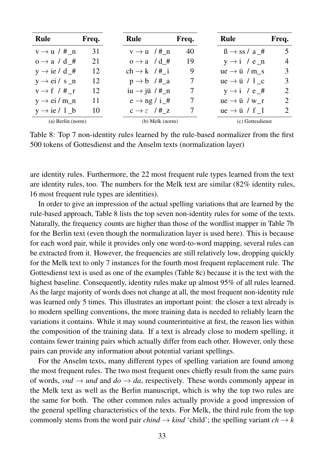| <b>Rule</b>              | Freq. | <b>Rule</b>                      | Freq. | <b>Rule</b>                     | Freq.                       |
|--------------------------|-------|----------------------------------|-------|---------------------------------|-----------------------------|
| $v \rightarrow u$ / #_n  | 31    | $v \rightarrow u$ /# n           | 40    | $\beta \rightarrow ss / a$ #    |                             |
| $o \rightarrow a / d$ #  | 21    | $o \rightarrow a$ /d #           | 19    | $y \rightarrow i$ / e_n         | $\overline{4}$              |
| $y \rightarrow ie / d$ # | 12    | $ch \rightarrow k$ /# i          | 9     | $ue \rightarrow ii$ / m s       |                             |
| $y \rightarrow ei / s_n$ | 12    | $p \rightarrow b$ /#_a           | 7     | $ue \rightarrow \ddot{u} / 1$ c |                             |
| $v \rightarrow f / #_r$  | 12    | iu $\rightarrow$ jü / #_n        |       | $y \rightarrow i$ / e_#         | $\mathcal{D}_{\mathcal{L}}$ |
| $y \rightarrow ei/m_n$   | 11    | $e \rightarrow ng / i$ #         |       | $ue \rightarrow \ddot{u} / w$ r | $\mathcal{D}_{\mathcal{L}}$ |
| $y \rightarrow ie / 1_b$ | 10    | $c \rightarrow \varepsilon$ /# z |       | $ue \rightarrow ii / f$ 1       | 2                           |
| $(a)$ Berlin (norm)      |       | $(b)$ Melk (norm)                |       | (c) Gottesdienst                |                             |

Table 8: Top 7 non-identity rules learned by the rule-based normalizer from the first 500 tokens of Gottesdienst and the Anselm texts (normalization layer)

are identity rules. Furthermore, the 22 most frequent rule types learned from the text are identity rules, too. The numbers for the Melk text are similar (82% identity rules, 16 most frequent rule types are identities).

In order to give an impression of the actual spelling variations that are learned by the rule-based approach, Table 8 lists the top seven non-identity rules for some of the texts. Naturally, the frequency counts are higher than those of the wordlist mapper in Table 7b for the Berlin text (even though the normalization layer is used here). This is because for each word pair, while it provides only one word-to-word mapping, several rules can be extracted from it. However, the frequencies are still relatively low, dropping quickly for the Melk text to only 7 instances for the fourth most frequent replacement rule. The Gottesdienst text is used as one of the examples (Table 8c) because it is the text with the highest baseline. Consequently, identity rules make up almost 95% of all rules learned. As the large majority of words does not change at all, the most frequent non-identity rule was learned only 5 times. This illustrates an important point: the closer a text already is to modern spelling conventions, the more training data is needed to reliably learn the variations it contains. While it may sound counterintuitive at first, the reason lies within the composition of the training data. If a text is already close to modern spelling, it contains fewer training pairs which actually differ from each other. However, only these pairs can provide any information about potential variant spellings.

For the Anselm texts, many different types of spelling variation are found among the most frequent rules. The two most frequent ones chiefly result from the same pairs of words, *vnd*  $\rightarrow$  *und* and *do*  $\rightarrow$  *da*, respectively. These words commonly appear in the Melk text as well as the Berlin manuscript, which is why the top two rules are the same for both. The other common rules actually provide a good impression of the general spelling characteristics of the texts. For Melk, the third rule from the top commonly stems from the word pair *chind*  $\rightarrow$  *kind* 'child'; the spelling variant *ch*  $\rightarrow$  *k*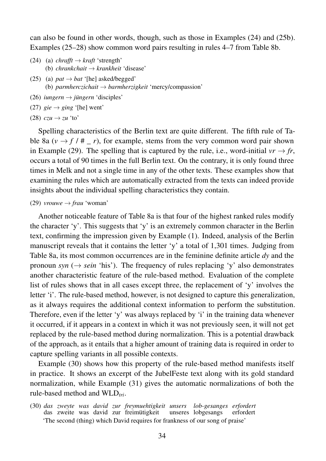can also be found in other words, though, such as those in Examples (24) and (25b). Examples (25–28) show common word pairs resulting in rules 4–7 from Table 8b.

- (24) (a) *chrafft*  $\rightarrow$  *kraft* 'strength' (b) *chrankchait* → *krankheit* 'disease'
- (25) (a)  $pat \rightarrow bat$  '[he] asked/begged' (b) *parmherczichait* → *barmherzigkeit* 'mercy/compassion'
- (26) *iungern*  $\rightarrow$  *jüngern* 'disciples'
- (27)  $\text{gie} \rightarrow \text{ging}$  '[he] went'
- (28)  $czu \rightarrow zu$  'to'

Spelling characteristics of the Berlin text are quite different. The fifth rule of Table 8a  $(v \rightarrow f / \# r)$ , for example, stems from the very common word pair shown in Example (29). The spelling that is captured by the rule, i.e., word-initial  $vr \rightarrow fr$ , occurs a total of 90 times in the full Berlin text. On the contrary, it is only found three times in Melk and not a single time in any of the other texts. These examples show that examining the rules which are automatically extracted from the texts can indeed provide insights about the individual spelling characteristics they contain.

 $(29)$  *vrouwe*  $\rightarrow$  *frau* 'woman'

Another noticeable feature of Table 8a is that four of the highest ranked rules modify the character 'y'. This suggests that 'y' is an extremely common character in the Berlin text, confirming the impression given by Example (1). Indeed, analysis of the Berlin manuscript reveals that it contains the letter 'y' a total of 1,301 times. Judging from Table 8a, its most common occurrences are in the feminine definite article *dy* and the pronoun *syn* ( $\rightarrow$  *sein* 'his'). The frequency of rules replacing 'y' also demonstrates another characteristic feature of the rule-based method. Evaluation of the complete list of rules shows that in all cases except three, the replacement of 'y' involves the letter 'i'. The rule-based method, however, is not designed to capture this generalization, as it always requires the additional context information to perform the substitution. Therefore, even if the letter 'y' was always replaced by 'i' in the training data whenever it occurred, if it appears in a context in which it was not previously seen, it will not get replaced by the rule-based method during normalization. This is a potential drawback of the approach, as it entails that a higher amount of training data is required in order to capture spelling variants in all possible contexts.

Example (30) shows how this property of the rule-based method manifests itself in practice. It shows an excerpt of the JubelFeste text along with its gold standard normalization, while Example (31) gives the automatic normalizations of both the rule-based method and WLD*tri*.

(30) *das zweyte was david zur freymuehtigkeit unsers* das zweite was david zur freimütigkeit unseres lobgesangs *lob-gesanges erfordert* erfordert 'The second (thing) which David requires for frankness of our song of praise'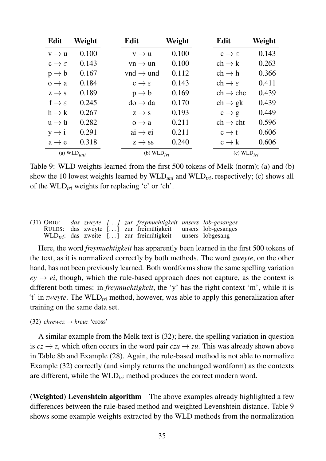| Edit                        | Weight                   | Edit                        | Weight | Edit                         | Weight |
|-----------------------------|--------------------------|-----------------------------|--------|------------------------------|--------|
| $v \rightarrow u$           | 0.100                    | $v \rightarrow u$           | 0.100  | $c \rightarrow \varepsilon$  | 0.143  |
| $c \rightarrow \varepsilon$ | 0.143                    | $vn \rightarrow un$         | 0.100  | $ch \rightarrow k$           | 0.263  |
| $p \rightarrow b$           | 0.167                    | $vnd \rightarrow und$       | 0.112  | $ch \rightarrow h$           | 0.366  |
| $0 \rightarrow a$           | 0.184                    | $c \rightarrow \varepsilon$ | 0.143  | $ch \rightarrow \varepsilon$ | 0.411  |
| $z \rightarrow s$           | 0.189                    | $p \rightarrow b$           | 0.169  | $ch \rightarrow che$         | 0.439  |
| $f \rightarrow \varepsilon$ | 0.245                    | $do \rightarrow da$         | 0.170  | $ch \rightarrow gk$          | 0.439  |
| $h \rightarrow k$           | 0.267                    | $z \rightarrow s$           | 0.193  | $c \rightarrow g$            | 0.449  |
| $u \rightarrow \ddot{u}$    | 0.282                    | $0 \rightarrow a$           | 0.211  | $ch \rightarrow cht$         | 0.596  |
| $y \rightarrow i$           | 0.291                    | $ai \rightarrow ei$         | 0.211  | $c \rightarrow t$            | 0.606  |
| $a \rightarrow e$           | 0.318                    | $z \rightarrow ss$          | 0.240  | $c \rightarrow k$            | 0.606  |
|                             | (a) $WLD$ <sub>uni</sub> | (b) $WLD_{tri}$             |        | (c) $WLD_{tri}$              |        |

Table 9: WLD weights learned from the first 500 tokens of Melk (norm); (a) and (b) show the 10 lowest weights learned by WLD*uni* and WLD*tri*, respectively; (c) shows all of the WLD*tri* weights for replacing 'c' or 'ch'.

|  |  | $(31)$ ORIG: das zweyte $\left[ \ldots \right]$ zur freymuehtigkeit unsers lob-gesanges |  |
|--|--|-----------------------------------------------------------------------------------------|--|
|  |  | RULES: das zweyte [] zur freimütigkeit unsers lob-gesanges                              |  |
|  |  | $WLD_{tri}$ : das zweite [] zur freimütigkeit unsers lobgesang                          |  |

Here, the word *freymuehtigkeit* has apparently been learned in the first 500 tokens of the text, as it is normalized correctly by both methods. The word *zweyte*, on the other hand, has not been previously learned. Both wordforms show the same spelling variation  $e_y \rightarrow ei$ , though, which the rule-based approach does not capture, as the context is different both times: in *freymuehtigkeit*, the 'y' has the right context 'm', while it is 't' in *zweyte*. The WLD*tri* method, however, was able to apply this generalization after training on the same data set.

 $(32)$  *chrewcz*  $\rightarrow$  *kreuz* 'cross'

A similar example from the Melk text is (32); here, the spelling variation in question is  $cz \rightarrow z$ , which often occurs in the word pair  $czu \rightarrow zu$ . This was already shown above in Table 8b and Example (28). Again, the rule-based method is not able to normalize Example (32) correctly (and simply returns the unchanged wordform) as the contexts are different, while the WLD*tri* method produces the correct modern word.

(Weighted) Levenshtein algorithm The above examples already highlighted a few differences between the rule-based method and weighted Levenshtein distance. Table 9 shows some example weights extracted by the WLD methods from the normalization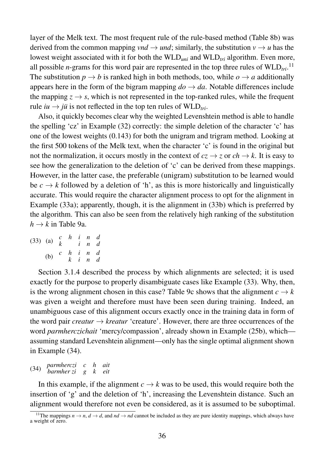layer of the Melk text. The most frequent rule of the rule-based method (Table 8b) was derived from the common mapping *vnd*  $\rightarrow$  *und*; similarly, the substitution  $v \rightarrow u$  has the lowest weight associated with it for both the WLD*uni* and WLD*tri* algorithm. Even more, all possible *n*-grams for this word pair are represented in the top three rules of  $WLD_{tri}$ .<sup>11</sup> The substitution  $p \rightarrow b$  is ranked high in both methods, too, while  $o \rightarrow a$  additionally appears here in the form of the bigram mapping  $d\sigma \rightarrow da$ . Notable differences include the mapping  $z \rightarrow s$ , which is not represented in the top-ranked rules, while the frequent rule  $iu \rightarrow jii$  is not reflected in the top ten rules of WLD<sub>tri</sub>.

Also, it quickly becomes clear why the weighted Levenshtein method is able to handle the spelling 'cz' in Example (32) correctly: the simple deletion of the character 'c' has one of the lowest weights (0.143) for both the unigram and trigram method. Looking at the first 500 tokens of the Melk text, when the character 'c' is found in the original but not the normalization, it occurs mostly in the context of  $c\overline{z} \rightarrow \overline{z}$  or  $ch \rightarrow k$ . It is easy to see how the generalization to the deletion of 'c' can be derived from these mappings. However, in the latter case, the preferable (unigram) substitution to be learned would be  $c \rightarrow k$  followed by a deletion of 'h', as this is more historically and linguistically accurate. This would require the character alignment process to opt for the alignment in Example (33a); apparently, though, it is the alignment in (33b) which is preferred by the algorithm. This can also be seen from the relatively high ranking of the substitution  $h \rightarrow k$  in Table 9a.

(33) (a) *c h i n d k i n d* (b) *c h i n d k i n d*

Section 3.1.4 described the process by which alignments are selected; it is used exactly for the purpose to properly disambiguate cases like Example (33). Why, then, is the wrong alignment chosen in this case? Table 9c shows that the alignment  $c \rightarrow k$ was given a weight and therefore must have been seen during training. Indeed, an unambiguous case of this alignment occurs exactly once in the training data in form of the word pair *creatur*  $\rightarrow$  *kreatur* 'creature'. However, there are three occurrences of the word *parmherczichait* 'mercy/compassion', already shown in Example (25b), which assuming standard Levenshtein alignment—only has the single optimal alignment shown in Example (34).

(34) *parmherczi c h ait barmher zi g k eit*

In this example, if the alignment  $c \rightarrow k$  was to be used, this would require both the insertion of 'g' and the deletion of 'h', increasing the Levenshtein distance. Such an alignment would therefore not even be considered, as it is assumed to be suboptimal.

<sup>&</sup>lt;sup>11</sup>The mappings  $n \to n$ ,  $d \to d$ , and  $nd \to nd$  cannot be included as they are pure identity mappings, which always have a weight of zero.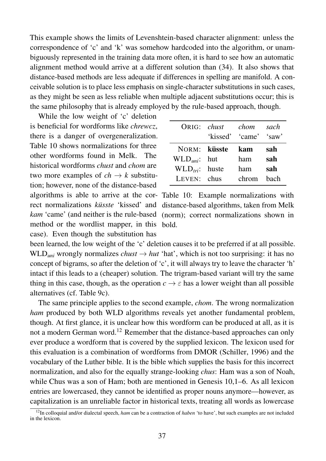This example shows the limits of Levenshtein-based character alignment: unless the correspondence of 'c' and 'k' was somehow hardcoded into the algorithm, or unambiguously represented in the training data more often, it is hard to see how an automatic alignment method would arrive at a different solution than (34). It also shows that distance-based methods are less adequate if differences in spelling are manifold. A conceivable solution is to place less emphasis on single-character substitutions in such cases, as they might be seen as less reliable when multiple adjacent substitutions occur; this is the same philosophy that is already employed by the rule-based approach, though.

method or the wordlist mapper, in this bold. While the low weight of 'c' deletion is beneficial for wordforms like *chrewcz*, there is a danger of overgeneralization. Table 10 shows normalizations for three other wordforms found in Melk. The historical wordforms *chust* and *chom* are two more examples of  $ch \rightarrow k$  substitution; however, none of the distance-based case). Even though the substitution has

| $ORIG:$ <i>chust</i> | chom                  | sach |
|----------------------|-----------------------|------|
|                      | 'kissed' 'came' 'saw' |      |
| NORM: küsste         | kam                   | sah  |
| $WLDuni$ : hut       | ham                   | sah  |
| $WLD_{tri}$ : huste  | ham                   | sah  |
| LEVEN: chus          | chrom                 | hach |

algorithms is able to arrive at the cor- Table 10: Example normalizations with rect normalizations küsste 'kissed' and distance-based algorithms, taken from Melk kam 'came' (and neither is the rule-based (norm); correct normalizations shown in

been learned, the low weight of the 'c' deletion causes it to be preferred if at all possible. WLD<sub>uni</sub> wrongly normalizes *chust*  $\rightarrow$  *hut* 'hat', which is not too surprising: it has no concept of bigrams, so after the deletion of 'c', it will always try to leave the character 'h' intact if this leads to a (cheaper) solution. The trigram-based variant will try the same thing in this case, though, as the operation  $c \to \varepsilon$  has a lower weight than all possible alternatives (cf. Table 9c).

The same principle applies to the second example, *chom*. The wrong normalization *ham* produced by both WLD algorithms reveals yet another fundamental problem, though. At first glance, it is unclear how this wordform can be produced at all, as it is not a modern German word.<sup>12</sup> Remember that the distance-based approaches can only ever produce a wordform that is covered by the supplied lexicon. The lexicon used for this evaluation is a combination of wordforms from DMOR (Schiller, 1996) and the vocabulary of the Luther bible. It is the bible which supplies the basis for this incorrect normalization, and also for the equally strange-looking *chus*: Ham was a son of Noah, while Chus was a son of Ham; both are mentioned in Genesis 10,1–6. As all lexicon entries are lowercased, they cannot be identified as proper nouns anymore—however, as capitalization is an unreliable factor in historical texts, treating all words as lowercase

<sup>&</sup>lt;sup>12</sup>In colloquial and/or dialectal speech, *ham* can be a contraction of *haben* 'to have', but such examples are not included in the lexicon.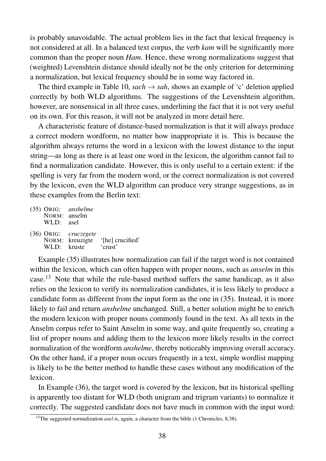is probably unavoidable. The actual problem lies in the fact that lexical frequency is not considered at all. In a balanced text corpus, the verb *kam* will be significantly more common than the proper noun *Ham*. Hence, these wrong normalizations suggest that (weighted) Levenshtein distance should ideally not be the only criterion for determining a normalization, but lexical frequency should be in some way factored in.

The third example in Table 10, *sach*  $\rightarrow$  *sah*, shows an example of 'c' deletion applied correctly by both WLD algorithms. The suggestions of the Levenshtein algorithm, however, are nonsensical in all three cases, underlining the fact that it is not very useful on its own. For this reason, it will not be analyzed in more detail here.

A characteristic feature of distance-based normalization is that it will always produce a correct modern wordform, no matter how inappropriate it is. This is because the algorithm always returns the word in a lexicon with the lowest distance to the input string—as long as there is at least one word in the lexicon, the algorithm cannot fail to find a normalization candidate. However, this is only useful to a certain extent: if the spelling is very far from the modern word, or the correct normalization is not covered by the lexicon, even the WLD algorithm can produce very strange suggestions, as in these examples from the Berlin text:

| NORM: anselm<br>WLD: asel | $(35)$ ORIG: <i>anshelme</i> |                                             |
|---------------------------|------------------------------|---------------------------------------------|
| WLD: kruste               | (36) ORIG: cruczegete        | NORM: kreuzigte '[he] crucified'<br>'crust' |

Example (35) illustrates how normalization can fail if the target word is not contained within the lexicon, which can often happen with proper nouns, such as *anselm* in this case.<sup>13</sup> Note that while the rule-based method suffers the same handicap, as it also relies on the lexicon to verify its normalization candidates, it is less likely to produce a candidate form as different from the input form as the one in (35). Instead, it is more likely to fail and return *anshelme* unchanged. Still, a better solution might be to enrich the modern lexicon with proper nouns commonly found in the text. As all texts in the Anselm corpus refer to Saint Anselm in some way, and quite frequently so, creating a list of proper nouns and adding them to the lexicon more likely results in the correct normalization of the wordform *anshelme*, thereby noticeably improving overall accuracy. On the other hand, if a proper noun occurs frequently in a text, simple wordlist mapping is likely to be the better method to handle these cases without any modification of the lexicon.

In Example (36), the target word is covered by the lexicon, but its historical spelling is apparently too distant for WLD (both unigram and trigram variants) to normalize it correctly. The suggested candidate does not have much in common with the input word:

<sup>&</sup>lt;sup>13</sup>The suggested normalization *asel* is, again, a character from the bible (1 Chronicles, 8,38).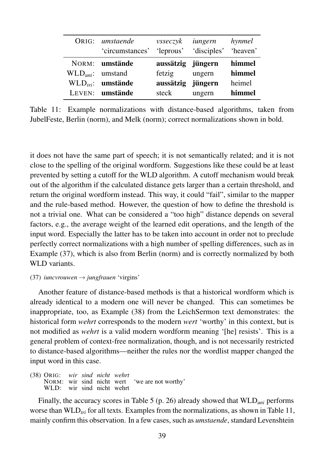|                   | ORIG: umstaende           | vsseczyk          | iungern              | hynmel |
|-------------------|---------------------------|-------------------|----------------------|--------|
|                   | 'circumstances' 'leprous' |                   | 'disciples' 'heaven' |        |
|                   | NORM: umstände            | aussätzig jüngern |                      | himmel |
| $WLDuni:$ umstand |                           | fetzig            | ungern               | himmel |
|                   | $WLD_{tri}$ : umstände    | aussätzig jüngern |                      | heimel |
|                   | LEVEN: umstände           | steck             | ungern               | himmel |

Table 11: Example normalizations with distance-based algorithms, taken from JubelFeste, Berlin (norm), and Melk (norm); correct normalizations shown in bold.

it does not have the same part of speech; it is not semantically related; and it is not close to the spelling of the original wordform. Suggestions like these could be at least prevented by setting a cutoff for the WLD algorithm. A cutoff mechanism would break out of the algorithm if the calculated distance gets larger than a certain threshold, and return the original wordform instead. This way, it could "fail", similar to the mapper and the rule-based method. However, the question of how to define the threshold is not a trivial one. What can be considered a "too high" distance depends on several factors, e.g., the average weight of the learned edit operations, and the length of the input word. Especially the latter has to be taken into account in order not to preclude perfectly correct normalizations with a high number of spelling differences, such as in Example (37), which is also from Berlin (norm) and is correctly normalized by both WLD variants.

#### (37) *iuncvrouwen* → *jungfrauen* 'virgins'

Another feature of distance-based methods is that a historical wordform which is already identical to a modern one will never be changed. This can sometimes be inappropriate, too, as Example (38) from the LeichSermon text demonstrates: the historical form *wehrt* corresponds to the modern *wert* 'worthy' in this context, but is not modified as *wehrt* is a valid modern wordform meaning '[he] resists'. This is a general problem of context-free normalization, though, and is not necessarily restricted to distance-based algorithms—neither the rules nor the wordlist mapper changed the input word in this case.

(38) ORIG: NORM: WLD: wir sind nicht wehrt *wir* wir *sind* sind *nicht* nicht *wehrt* wert 'we are not worthy'

Finally, the accuracy scores in Table 5 (p. 26) already showed that WLD*uni* performs worse than WLD*tri* for all texts. Examples from the normalizations, as shown in Table 11, mainly confirm this observation. In a few cases, such as *umstaende*, standard Levenshtein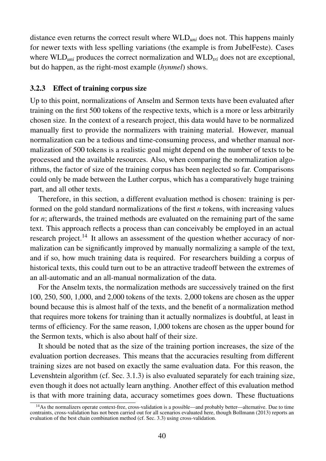distance even returns the correct result where WLD*uni* does not. This happens mainly for newer texts with less spelling variations (the example is from JubelFeste). Cases where WLD<sub>uni</sub> produces the correct normalization and WLD<sub>tri</sub> does not are exceptional, but do happen, as the right-most example (*hynmel*) shows.

## 3.2.3 Effect of training corpus size

Up to this point, normalizations of Anselm and Sermon texts have been evaluated after training on the first 500 tokens of the respective texts, which is a more or less arbitrarily chosen size. In the context of a research project, this data would have to be normalized manually first to provide the normalizers with training material. However, manual normalization can be a tedious and time-consuming process, and whether manual normalization of 500 tokens is a realistic goal might depend on the number of texts to be processed and the available resources. Also, when comparing the normalization algorithms, the factor of size of the training corpus has been neglected so far. Comparisons could only be made between the Luther corpus, which has a comparatively huge training part, and all other texts.

Therefore, in this section, a different evaluation method is chosen: training is performed on the gold standard normalizations of the first *n* tokens, with increasing values for *n*; afterwards, the trained methods are evaluated on the remaining part of the same text. This approach reflects a process than can conceivably be employed in an actual research project.<sup>14</sup> It allows an assessment of the question whether accuracy of normalization can be significantly improved by manually normalizing a sample of the text, and if so, how much training data is required. For researchers building a corpus of historical texts, this could turn out to be an attractive tradeoff between the extremes of an all-automatic and an all-manual normalization of the data.

For the Anselm texts, the normalization methods are successively trained on the first 100, 250, 500, 1,000, and 2,000 tokens of the texts. 2,000 tokens are chosen as the upper bound because this is almost half of the texts, and the benefit of a normalization method that requires more tokens for training than it actually normalizes is doubtful, at least in terms of efficiency. For the same reason, 1,000 tokens are chosen as the upper bound for the Sermon texts, which is also about half of their size.

It should be noted that as the size of the training portion increases, the size of the evaluation portion decreases. This means that the accuracies resulting from different training sizes are not based on exactly the same evaluation data. For this reason, the Levenshtein algorithm (cf. Sec. 3.1.3) is also evaluated separately for each training size, even though it does not actually learn anything. Another effect of this evaluation method is that with more training data, accuracy sometimes goes down. These fluctuations

<sup>&</sup>lt;sup>14</sup>As the normalizers operate context-free, cross-validation is a possible—and probably better—alternative. Due to time contraints, cross-validation has not been carried out for all scenarios evaluated here, though Bollmann (2013) reports an evaluation of the best chain combination method (cf. Sec. 3.3) using cross-validation.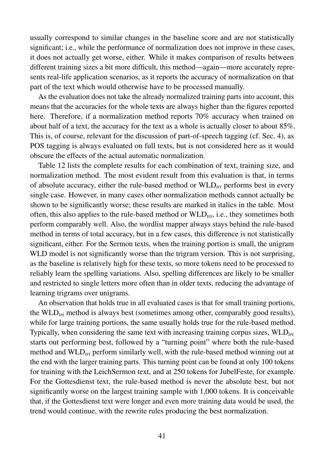usually correspond to similar changes in the baseline score and are not statistically significant; i.e., while the performance of normalization does not improve in these cases, it does not actually get worse, either. While it makes comparison of results between different training sizes a bit more difficult, this method—again—more accurately represents real-life application scenarios, as it reports the accuracy of normalization on that part of the text which would otherwise have to be processed manually.

As the evaluation does not take the already normalized training parts into account, this means that the accuracies for the whole texts are always higher than the figures reported here. Therefore, if a normalization method reports 70% accuracy when trained on about half of a text, the accuracy for the text as a whole is actually closer to about 85%. This is, of course, relevant for the discussion of part-of-speech tagging (cf. Sec. 4), as POS tagging is always evaluated on full texts, but is not considered here as it would obscure the effects of the actual automatic normalization.

Table 12 lists the complete results for each combination of text, training size, and normalization method. The most evident result from this evaluation is that, in terms of absolute accuracy, either the rule-based method or WLD*tri* performs best in every single case. However, in many cases other normalization methods cannot actually be shown to be significantly worse; these results are marked in italics in the table. Most often, this also applies to the rule-based method or WLD*tri*, i.e., they sometimes both perform comparably well. Also, the wordlist mapper always stays behind the rule-based method in terms of total accuracy, but in a few cases, this difference is not statistically significant, either. For the Sermon texts, when the training portion is small, the unigram WLD model is not significantly worse than the trigram version. This is not surprising, as the baseline is relatively high for these texts, so more tokens need to be processed to reliably learn the spelling variations. Also, spelling differences are likely to be smaller and restricted to single letters more often than in older texts, reducing the advantage of learning trigrams over unigrams.

An observation that holds true in all evaluated cases is that for small training portions, the WLD*tri* method is always best (sometimes among other, comparably good results), while for large training portions, the same usually holds true for the rule-based method. Typically, when considering the same text with increasing training corpus sizes, WLD<sub>tri</sub> starts out performing best, followed by a "turning point" where both the rule-based method and WLD*tri* perform similarly well, with the rule-based method winning out at the end with the larger training parts. This turning point can be found at only 100 tokens for training with the LeichSermon text, and at 250 tokens for JubelFeste, for example. For the Gottesdienst text, the rule-based method is never the absolute best, but not significantly worse on the largest training sample with 1,000 tokens. It is conceivable that, if the Gottesdienst text were longer and even more training data would be used, the trend would continue, with the rewrite rules producing the best normalization.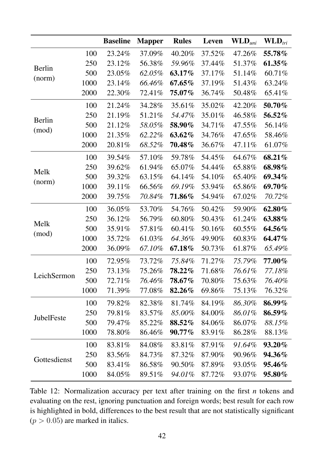|               |      | <b>Baseline</b> | <b>Mapper</b> | <b>Rules</b> | Leven  | $\mathbf{WLD}_{uni}$ | $\mathbf{WLD}_{tri}$ |
|---------------|------|-----------------|---------------|--------------|--------|----------------------|----------------------|
|               | 100  | 23.24%          | 37.09%        | 40.20%       | 37.52% | 47.26%               | 55.78%               |
|               | 250  | 23.12%          | 56.38%        | 59.96%       | 37.44% | 51.37%               | 61.35%               |
| <b>Berlin</b> | 500  | 23.05%          | 62.05%        | 63.17%       | 37.17% | 51.14%               | 60.71%               |
| (norm)        | 1000 | 23.14%          | 66.46%        | $67.65\%$    | 37.19% | 51.43%               | 63.24%               |
|               | 2000 | 22.30%          | 72.41%        | $75.07\%$    | 36.74% | 50.48%               | 65.41%               |
|               | 100  | 21.24%          | 34.28%        | 35.61%       | 35.02% | 42.20%               | 50.70%               |
|               | 250  | 21.19%          | 51.21%        | 54.47%       | 35.01% | 46.58%               | 56.52%               |
| <b>Berlin</b> | 500  | 21.12%          | 58.05%        | 58.90%       | 34.71% | 47.55%               | 56.14%               |
| (mod)         | 1000 | 21.35%          | 62.22%        | 63.62%       | 34.76% | 47.65%               | 58.46%               |
|               | 2000 | 20.81%          | 68.52%        | $70.48\%$    | 36.67% | 47.11%               | 61.07%               |
|               | 100  | 39.54%          | 57.10%        | 59.78%       | 54.45% | 64.67%               | 68.21%               |
|               | 250  | 39.62%          | 61.94%        | 65.07%       | 54.44% | 65.88%               | 68.98%               |
| Melk          | 500  | 39.32%          | 63.15%        | 64.14%       | 54.10% | 65.40%               | 69.34%               |
| (norm)        | 1000 | 39.11%          | 66.56%        | 69.19%       | 53.94% | 65.86%               | 69.70%               |
|               | 2000 | 39.75%          | 70.84%        | 71.86%       | 54.94% | 67.02%               | 70.72%               |
|               | 100  | 36.05%          | 53.70%        | 54.76%       | 50.42% | 59.90%               | 62.80%               |
| Melk          | 250  | 36.12%          | 56.79%        | 60.80%       | 50.43% | 61.24%               | 63.88%               |
|               | 500  | 35.91%          | 57.81%        | 60.41%       | 50.16% | 60.55%               | 64.56%               |
| (mod)         | 1000 | 35.72%          | 61.03%        | 64.36%       | 49.90% | 60.83%               | 64.47%               |
|               | 2000 | 36.09%          | 67.10%        | 67.18%       | 50.73% | 61.87%               | 65.49%               |
|               | 100  | 72.95%          | 73.72%        | 75.84%       | 71.27% | 75.79%               | 77.00%               |
|               | 250  | 73.13%          | 75.26%        | $78.22\%$    | 71.68% | 76.61%               | 77.18%               |
| LeichSermon   | 500  | 72.71%          | 76.46%        | $78.67\%$    | 70.80% | 75.63%               | 76.40%               |
|               | 1000 | 71.39%          | 77.08%        | 82.26%       | 69.86% | 75.13%               | 76.32%               |
|               | 100  | 79.82%          | 82.38%        | 81.74%       | 84.19% | 86.30%               | 86.99%               |
| JubelFeste    | 250  | 79.81%          | 83.57%        | 85.00%       | 84.00% | 86.01%               | 86.59%               |
|               | 500  | 79.47%          | 85.22%        | 88.52%       | 84.06% | 86.07%               | 88.15%               |
|               | 1000 | 78.80%          | 86.46%        | $90.77\%$    | 83.91% | 86.28%               | 88.13%               |
|               | 100  | 83.81%          | 84.08%        | 83.81%       | 87.91% | 91.64%               | 93.20%               |
| Gottesdienst  | 250  | 83.56%          | 84.73%        | 87.32%       | 87.90% | 90.96%               | <b>94.36%</b>        |
|               | 500  | 83.41%          | 86.58%        | 90.50%       | 87.89% | 93.05%               | <b>95.46%</b>        |
|               | 1000 | 84.05%          | 89.51%        | 94.01%       | 87.72% | 93.07%               | 95.80%               |

Table 12: Normalization accuracy per text after training on the first *n* tokens and evaluating on the rest, ignoring punctuation and foreign words; best result for each row is highlighted in bold, differences to the best result that are not statistically significant  $(p > 0.05)$  are marked in italics.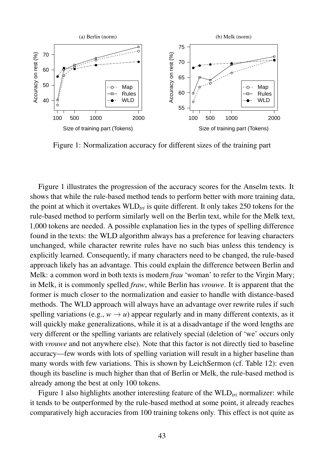

Figure 1: Normalization accuracy for different sizes of the training part

Figure 1 illustrates the progression of the accuracy scores for the Anselm texts. It shows that while the rule-based method tends to perform better with more training data, the point at which it overtakes WLD*tri* is quite different. It only takes 250 tokens for the rule-based method to perform similarly well on the Berlin text, while for the Melk text, 1,000 tokens are needed. A possible explanation lies in the types of spelling difference found in the texts: the WLD algorithm always has a preference for leaving characters unchanged, while character rewrite rules have no such bias unless this tendency is explicitly learned. Consequently, if many characters need to be changed, the rule-based approach likely has an advantage. This could explain the difference between Berlin and Melk: a common word in both texts is modern *frau* 'woman' to refer to the Virgin Mary; in Melk, it is commonly spelled *fraw*, while Berlin has *vrouwe*. It is apparent that the former is much closer to the normalization and easier to handle with distance-based methods. The WLD approach will always have an advantage over rewrite rules if such spelling variations (e.g.,  $w \rightarrow u$ ) appear regularly and in many different contexts, as it will quickly make generalizations, while it is at a disadvantage if the word lengths are very different or the spelling variants are relatively special (deletion of 'we' occurs only with *vrouwe* and not anywhere else). Note that this factor is not directly tied to baseline accuracy—few words with lots of spelling variation will result in a higher baseline than many words with few variations. This is shown by LeichSermon (cf. Table 12): even though its baseline is much higher than that of Berlin or Melk, the rule-based method is already among the best at only 100 tokens.

Figure 1 also highlights another interesting feature of the WLD<sub>tri</sub> normalizer: while it tends to be outperformed by the rule-based method at some point, it already reaches comparatively high accuracies from 100 training tokens only. This effect is not quite as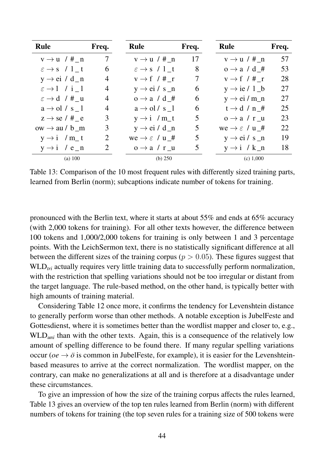| <b>Rule</b>                       | Freq.           | <b>Rule</b>                        | Freq. | <b>Rule</b>                        | Freq. |
|-----------------------------------|-----------------|------------------------------------|-------|------------------------------------|-------|
| $v \rightarrow u$ /# n            | $7\overline{ }$ | $v \rightarrow u$ / # n            | 17    | $v \rightarrow u$ / # n            | 57    |
| $\varepsilon \rightarrow s$ / 1 t | 6               | $\varepsilon \rightarrow s$ / 1 t  | 8     | $o \rightarrow a / d$ #            | 53    |
| $y \rightarrow ei / d_n$          | 4               | $v \rightarrow f$ / # r            | 7     | $v \rightarrow f$ / # r            | 28    |
| $\varepsilon \rightarrow 1$ / i 1 | 4               | $y \rightarrow ei / s_n$           | 6     | $y \rightarrow ie / 1_b$           | 27    |
| $\varepsilon \rightarrow d$ / # u | 4               | $o \rightarrow a / d$ #            | 6     | $y \rightarrow ei/m_n$             | 27    |
| $a \rightarrow o l / s$ 1         | 4               | $a \rightarrow o1/s$ 1             | 6     | $t \rightarrow d / n$ #            | 25    |
| $z \rightarrow$ se / # e          | 3               | $y \rightarrow i$ / m_t            | 5     | $o \rightarrow a / r u$            | 23    |
| $ow \rightarrow au/b$ m           | 3               | $y \rightarrow ei / d_n$           | 5     | we $\rightarrow \varepsilon$ / u_# | 22    |
| $y \rightarrow i$ / m_t           | $\overline{2}$  | we $\rightarrow \varepsilon$ / u_# | 5     | $y \rightarrow ei / s_n$           | 19    |
| $y \rightarrow i$ / e_n           | $\overline{2}$  | $o \rightarrow a / r u$            | 5     | $y \rightarrow i / k_n$            | 18    |
| (a) 100                           |                 | (b) $250$                          |       | (c) 1,000                          |       |

Table 13: Comparison of the 10 most frequent rules with differently sized training parts, learned from Berlin (norm); subcaptions indicate number of tokens for training.

pronounced with the Berlin text, where it starts at about 55% and ends at 65% accuracy (with 2,000 tokens for training). For all other texts however, the difference between 100 tokens and 1,000/2,000 tokens for training is only between 1 and 3 percentage points. With the LeichSermon text, there is no statistically significant difference at all between the different sizes of the training corpus ( $p > 0.05$ ). These figures suggest that WLD<sub>tri</sub> actually requires very little training data to successfully perform normalization, with the restriction that spelling variations should not be too irregular or distant from the target language. The rule-based method, on the other hand, is typically better with high amounts of training material.

Considering Table 12 once more, it confirms the tendency for Levenshtein distance to generally perform worse than other methods. A notable exception is JubelFeste and Gottesdienst, where it is sometimes better than the wordlist mapper and closer to, e.g., WLD<sub>uni</sub> than with the other texts. Again, this is a consequence of the relatively low amount of spelling difference to be found there. If many regular spelling variations occur ( $oe \rightarrow \ddot{o}$  is common in JubelFeste, for example), it is easier for the Levenshteinbased measures to arrive at the correct normalization. The wordlist mapper, on the contrary, can make no generalizations at all and is therefore at a disadvantage under these circumstances.

To give an impression of how the size of the training corpus affects the rules learned, Table 13 gives an overview of the top ten rules learned from Berlin (norm) with different numbers of tokens for training (the top seven rules for a training size of 500 tokens were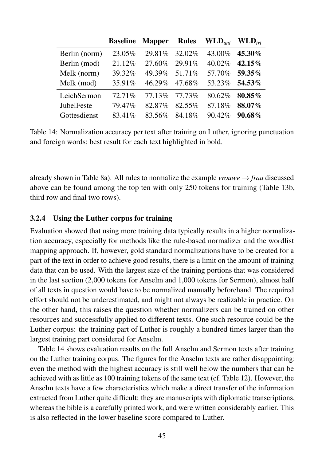|               | <b>Baseline</b> | <b>Mapper</b> | <b>Rules</b> | $\mathbf{WLD}_{uni}$ | $\mathbf{WLD}_{tri}$ |
|---------------|-----------------|---------------|--------------|----------------------|----------------------|
| Berlin (norm) | 23.05%          | 29.81\%       | 32.02%       | 43.00%               | 45.30%               |
| Berlin (mod)  | 21.12%          | 27.60%        | 29.91%       | 40.02%               | 42.15%               |
| Melk (norm)   | 39.32%          | 49.39%        | 51.71%       | 57.70%               | $59.35\%$            |
| Melk (mod)    | 35.91%          | 46.29%        | 47.68%       | 53.23%               | 54.53%               |
| LeichSermon   | 72.71%          | 77.13%        | 77.73%       | 80.62%               | 80.85%               |
| JubelFeste    | 79.47%          | 82.87%        | 82.55%       | 87.18%               | 88.07%               |
| Gottesdienst  | 83.41%          | 83.56%        | 84.18%       | 90.42%               | $90.68\%$            |

Table 14: Normalization accuracy per text after training on Luther, ignoring punctuation and foreign words; best result for each text highlighted in bold.

already shown in Table 8a). All rules to normalize the example *vrouwe*  $\rightarrow$  *frau* discussed above can be found among the top ten with only 250 tokens for training (Table 13b, third row and final two rows).

## 3.2.4 Using the Luther corpus for training

Evaluation showed that using more training data typically results in a higher normalization accuracy, especially for methods like the rule-based normalizer and the wordlist mapping approach. If, however, gold standard normalizations have to be created for a part of the text in order to achieve good results, there is a limit on the amount of training data that can be used. With the largest size of the training portions that was considered in the last section (2,000 tokens for Anselm and 1,000 tokens for Sermon), almost half of all texts in question would have to be normalized manually beforehand. The required effort should not be underestimated, and might not always be realizable in practice. On the other hand, this raises the question whether normalizers can be trained on other resources and successfully applied to different texts. One such resource could be the Luther corpus: the training part of Luther is roughly a hundred times larger than the largest training part considered for Anselm.

Table 14 shows evaluation results on the full Anselm and Sermon texts after training on the Luther training corpus. The figures for the Anselm texts are rather disappointing: even the method with the highest accuracy is still well below the numbers that can be achieved with as little as 100 training tokens of the same text (cf. Table 12). However, the Anselm texts have a few characteristics which make a direct transfer of the information extracted from Luther quite difficult: they are manuscripts with diplomatic transcriptions, whereas the bible is a carefully printed work, and were written considerably earlier. This is also reflected in the lower baseline score compared to Luther.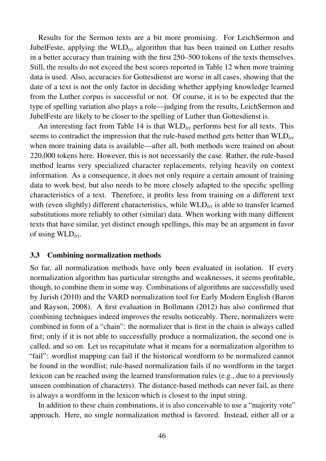Results for the Sermon texts are a bit more promising. For LeichSermon and JubelFeste, applying the WLD*tri* algorithm that has been trained on Luther results in a better accuracy than training with the first 250–500 tokens of the texts themselves. Still, the results do not exceed the best scores reported in Table 12 when more training data is used. Also, accuracies for Gottesdienst are worse in all cases, showing that the date of a text is not the only factor in deciding whether applying knowledge learned from the Luther corpus is successful or not. Of course, it is to be expected that the type of spelling variation also plays a role—judging from the results, LeichSermon and JubelFeste are likely to be closer to the spelling of Luther than Gottesdienst is.

An interesting fact from Table 14 is that WLD*tri* performs best for all texts. This seems to contradict the impression that the rule-based method gets better than WLD*tri* when more training data is available—after all, both methods were trained on about 220,000 tokens here. However, this is not necessarily the case. Rather, the rule-based method learns very specialized character replacements, relying heavily on context information. As a consequence, it does not only require a certain amount of training data to work best, but also needs to be more closely adapted to the specific spelling characteristics of a text. Therefore, it profits less from training on a different text with (even slightly) different characteristics, while  $WLD_{tri}$  is able to transfer learned substitutions more reliably to other (similar) data. When working with many different texts that have similar, yet distinct enough spellings, this may be an argument in favor of using WLD*tri*.

## 3.3 Combining normalization methods

So far, all normalization methods have only been evaluated in isolation. If every normalization algorithm has particular strengths and weaknesses, it seems profitable, though, to combine them in some way. Combinations of algorithms are successfully used by Jurish (2010) and the VARD normalization tool for Early Modern English (Baron and Rayson, 2008). A first evaluation in Bollmann (2012) has also confirmed that combining techniques indeed improves the results noticeably. There, normalizers were combined in form of a "chain": the normalizer that is first in the chain is always called first; only if it is not able to successfully produce a normalization, the second one is called, and so on. Let us recapitulate what it means for a normalization algorithm to "fail": wordlist mapping can fail if the historical wordform to be normalized cannot be found in the wordlist; rule-based normalization fails if no wordform in the target lexicon can be reached using the learned transformation rules (e.g., due to a previously unseen combination of characters). The distance-based methods can never fail, as there is always a wordform in the lexicon which is closest to the input string.

In addition to these chain combinations, it is also conceivable to use a "majority vote" approach. Here, no single normalization method is favored. Instead, either all or a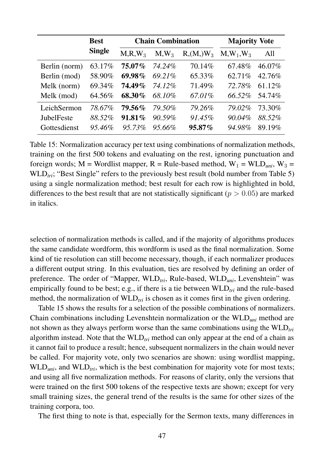|               | <b>Best</b>   |           | <b>Chain Combination</b> | <b>Majority Vote</b> |             |        |
|---------------|---------------|-----------|--------------------------|----------------------|-------------|--------|
|               | <b>Single</b> | $M.R.W_3$ | $M,W_3$                  | $R_1(M_1)W_3$        | $M,W_1,W_3$ | All    |
| Berlin (norm) | 63.17%        | $75.07\%$ | 74.24%                   | 70.14%               | 67.48%      | 46.07% |
| Berlin (mod)  | 58.90%        | 69.98%    | 69.21%                   | 65.33%               | 62.71%      | 42.76% |
| Melk (norm)   | 69.34%        | 74.49%    | 74.12%                   | 71.49%               | 72.78%      | 61.12% |
| Melk (mod)    | 64.56%        | 68.30%    | 68.10%                   | 67.01%               | 66.52%      | 54.74% |
| LeichSermon   | 78.67%        | 79.56%    | 79.50%                   | 79.26%               | 79.02%      | 73.30% |
| JubelFeste    | 88.52%        | $91.81\%$ | 90.59%                   | 91.45%               | 90.04%      | 88.52% |
| Gottesdienst  | 95.46%        | $95.73\%$ | $95.66\%$                | $95.87\%$            | 94.98%      | 89.19% |

Table 15: Normalization accuracy per text using combinations of normalization methods, training on the first 500 tokens and evaluating on the rest, ignoring punctuation and foreign words;  $M =$  Wordlist mapper,  $R =$  Rule-based method,  $W_1 =$  WLD<sub>uni</sub>,  $W_3 =$ WLD<sub>tri</sub>; "Best Single" refers to the previously best result (bold number from Table 5) using a single normalization method; best result for each row is highlighted in bold, differences to the best result that are not statistically significant ( $p > 0.05$ ) are marked in italics.

selection of normalization methods is called, and if the majority of algorithms produces the same candidate wordform, this wordform is used as the final normalization. Some kind of tie resolution can still become necessary, though, if each normalizer produces a different output string. In this evaluation, ties are resolved by defining an order of preference. The order of "Mapper, WLD*tri*, Rule-based, WLD*uni*, Levenshtein" was empirically found to be best; e.g., if there is a tie between WLD<sub>tri</sub> and the rule-based method, the normalization of WLD<sub>tri</sub> is chosen as it comes first in the given ordering.

Table 15 shows the results for a selection of the possible combinations of normalizers. Chain combinations including Levenshtein normalization or the WLD*uni* method are not shown as they always perform worse than the same combinations using the WLD*tri* algorithm instead. Note that the WLD*tri* method can only appear at the end of a chain as it cannot fail to produce a result; hence, subsequent normalizers in the chain would never be called. For majority vote, only two scenarios are shown: using wordlist mapping, WLD<sub>uni</sub>, and WLD<sub>tri</sub>, which is the best combination for majority vote for most texts; and using all five normalization methods. For reasons of clarity, only the versions that were trained on the first 500 tokens of the respective texts are shown; except for very small training sizes, the general trend of the results is the same for other sizes of the training corpora, too.

The first thing to note is that, especially for the Sermon texts, many differences in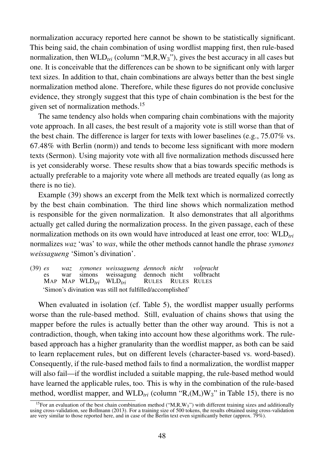normalization accuracy reported here cannot be shown to be statistically significant. This being said, the chain combination of using wordlist mapping first, then rule-based normalization, then  $WLD_{tri}$  (column " $M, R, W_3$ "), gives the best accuracy in all cases but one. It is conceivable that the differences can be shown to be significant only with larger text sizes. In addition to that, chain combinations are always better than the best single normalization method alone. Therefore, while these figures do not provide conclusive evidence, they strongly suggest that this type of chain combination is the best for the given set of normalization methods.<sup>15</sup>

The same tendency also holds when comparing chain combinations with the majority vote approach. In all cases, the best result of a majority vote is still worse than that of the best chain. The difference is larger for texts with lower baselines (e.g., 75.07% vs. 67.48% with Berlin (norm)) and tends to become less significant with more modern texts (Sermon). Using majority vote with all five normalization methods discussed here is yet considerably worse. These results show that a bias towards specific methods is actually preferable to a majority vote where all methods are treated equally (as long as there is no tie).

Example (39) shows an excerpt from the Melk text which is normalized correctly by the best chain combination. The third line shows which normalization method is responsible for the given normalization. It also demonstrates that all algorithms actually get called during the normalization process. In the given passage, each of these normalization methods on its own would have introduced at least one error, too: WLD<sub>tri</sub> normalizes *waz* 'was' to *was*, while the other methods cannot handle the phrase *symones weissagueng* 'Simon's divination'.

(39) *es* es MAP MAP WLD*tri* WLD*tri waz* war *symones weissagueng dennoch nicht* simons weissagung dennoch nicht RULES RULES RULES *volpracht* vollbracht 'Simon's divination was still not fulfilled/accomplished'

When evaluated in isolation (cf. Table 5), the wordlist mapper usually performs worse than the rule-based method. Still, evaluation of chains shows that using the mapper before the rules is actually better than the other way around. This is not a contradiction, though, when taking into account how these algorithms work. The rulebased approach has a higher granularity than the wordlist mapper, as both can be said to learn replacement rules, but on different levels (character-based vs. word-based). Consequently, if the rule-based method fails to find a normalization, the wordlist mapper will also fail—if the wordlist included a suitable mapping, the rule-based method would have learned the applicable rules, too. This is why in the combination of the rule-based method, wordlist mapper, and  $WLD_{tri}$  (column " $R_1(M, W_3)$ " in Table 15), there is no

<sup>&</sup>lt;sup>15</sup>For an evaluation of the best chain combination method ("M,R,W<sub>3</sub>") with different training sizes and additionally using cross-validation, see Bollmann (2013). For a training size of 500 tokens, the results obtained using cross-validation are very similar to those reported here, and in case of the Berlin text even significantly better (approx. 79%).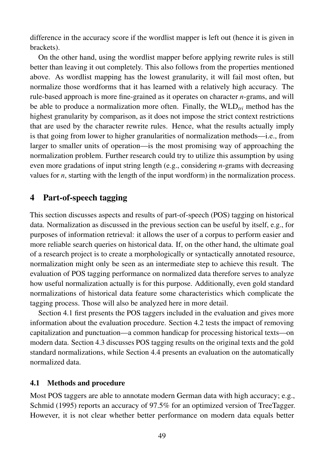difference in the accuracy score if the wordlist mapper is left out (hence it is given in brackets).

On the other hand, using the wordlist mapper before applying rewrite rules is still better than leaving it out completely. This also follows from the properties mentioned above. As wordlist mapping has the lowest granularity, it will fail most often, but normalize those wordforms that it has learned with a relatively high accuracy. The rule-based approach is more fine-grained as it operates on character *n*-grams, and will be able to produce a normalization more often. Finally, the  $WLD_{tri}$  method has the highest granularity by comparison, as it does not impose the strict context restrictions that are used by the character rewrite rules. Hence, what the results actually imply is that going from lower to higher granularities of normalization methods—i.e., from larger to smaller units of operation—is the most promising way of approaching the normalization problem. Further research could try to utilize this assumption by using even more gradations of input string length (e.g., considering *n*-grams with decreasing values for *n*, starting with the length of the input wordform) in the normalization process.

# 4 Part-of-speech tagging

This section discusses aspects and results of part-of-speech (POS) tagging on historical data. Normalization as discussed in the previous section can be useful by itself, e.g., for purposes of information retrieval: it allows the user of a corpus to perform easier and more reliable search queries on historical data. If, on the other hand, the ultimate goal of a research project is to create a morphologically or syntactically annotated resource, normalization might only be seen as an intermediate step to achieve this result. The evaluation of POS tagging performance on normalized data therefore serves to analyze how useful normalization actually is for this purpose. Additionally, even gold standard normalizations of historical data feature some characteristics which complicate the tagging process. Those will also be analyzed here in more detail.

Section 4.1 first presents the POS taggers included in the evaluation and gives more information about the evaluation procedure. Section 4.2 tests the impact of removing capitalization and punctuation—a common handicap for processing historical texts—on modern data. Section 4.3 discusses POS tagging results on the original texts and the gold standard normalizations, while Section 4.4 presents an evaluation on the automatically normalized data.

## 4.1 Methods and procedure

Most POS taggers are able to annotate modern German data with high accuracy; e.g., Schmid (1995) reports an accuracy of 97.5% for an optimized version of TreeTagger. However, it is not clear whether better performance on modern data equals better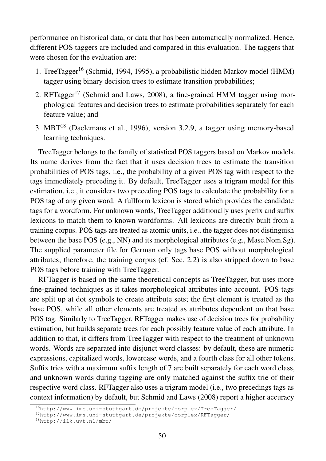performance on historical data, or data that has been automatically normalized. Hence, different POS taggers are included and compared in this evaluation. The taggers that were chosen for the evaluation are:

- 1. TreeTagger<sup>16</sup> (Schmid, 1994, 1995), a probabilistic hidden Markov model (HMM) tagger using binary decision trees to estimate transition probabilities;
- 2. RFTagger<sup>17</sup> (Schmid and Laws, 2008), a fine-grained HMM tagger using morphological features and decision trees to estimate probabilities separately for each feature value; and
- 3. MBT<sup>18</sup> (Daelemans et al., 1996), version 3.2.9, a tagger using memory-based learning techniques.

TreeTagger belongs to the family of statistical POS taggers based on Markov models. Its name derives from the fact that it uses decision trees to estimate the transition probabilities of POS tags, i.e., the probability of a given POS tag with respect to the tags immediately preceding it. By default, TreeTagger uses a trigram model for this estimation, i.e., it considers two preceding POS tags to calculate the probability for a POS tag of any given word. A fullform lexicon is stored which provides the candidate tags for a wordform. For unknown words, TreeTagger additionally uses prefix and suffix lexicons to match them to known wordforms. All lexicons are directly built from a training corpus. POS tags are treated as atomic units, i.e., the tagger does not distinguish between the base POS (e.g., NN) and its morphological attributes (e.g., Masc.Nom.Sg). The supplied parameter file for German only tags base POS without morphological attributes; therefore, the training corpus (cf. Sec. 2.2) is also stripped down to base POS tags before training with TreeTagger.

RFTagger is based on the same theoretical concepts as TreeTagger, but uses more fine-grained techniques as it takes morphological attributes into account. POS tags are split up at dot symbols to create attribute sets; the first element is treated as the base POS, while all other elements are treated as attributes dependent on that base POS tag. Similarly to TreeTagger, RFTagger makes use of decision trees for probability estimation, but builds separate trees for each possibly feature value of each attribute. In addition to that, it differs from TreeTagger with respect to the treatment of unknown words. Words are separated into disjunct word classes: by default, these are numeric expressions, capitalized words, lowercase words, and a fourth class for all other tokens. Suffix tries with a maximum suffix length of 7 are built separately for each word class, and unknown words during tagging are only matched against the suffix trie of their respective word class. RFTagger also uses a trigram model (i.e., two precedings tags as context information) by default, but Schmid and Laws (2008) report a higher accuracy

<sup>16</sup>http://www.ims.uni-stuttgart.de/projekte/corplex/TreeTagger/

<sup>17</sup>http://www.ims.uni-stuttgart.de/projekte/corplex/RFTagger/

<sup>18</sup>http://ilk.uvt.nl/mbt/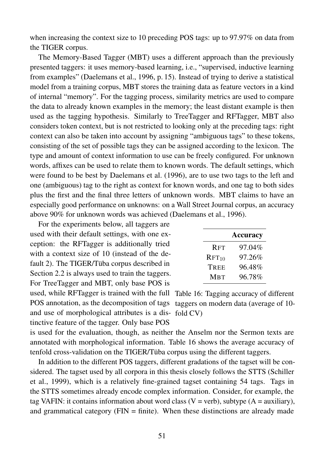when increasing the context size to 10 preceding POS tags: up to 97.97% on data from the TIGER corpus.

The Memory-Based Tagger (MBT) uses a different approach than the previously presented taggers: it uses memory-based learning, i.e., "supervised, inductive learning from examples" (Daelemans et al., 1996, p. 15). Instead of trying to derive a statistical model from a training corpus, MBT stores the training data as feature vectors in a kind of internal "memory". For the tagging process, similarity metrics are used to compare the data to already known examples in the memory; the least distant example is then used as the tagging hypothesis. Similarly to TreeTagger and RFTagger, MBT also considers token context, but is not restricted to looking only at the preceding tags: right context can also be taken into account by assigning "ambiguous tags" to these tokens, consisting of the set of possible tags they can be assigned according to the lexicon. The type and amount of context information to use can be freely configured. For unknown words, affixes can be used to relate them to known words. The default settings, which were found to be best by Daelemans et al. (1996), are to use two tags to the left and one (ambiguous) tag to the right as context for known words, and one tag to both sides plus the first and the final three letters of unknown words. MBT claims to have an especially good performance on unknowns: on a Wall Street Journal corpus, an accuracy above 90% for unknown words was achieved (Daelemans et al., 1996).

used, while RFTagger is trained with the full Table 16: Tagging accuracy of different POS annotation, as the decomposition of tags taggers on modern data (average of 10and use of morphological attributes is a dis- fold CV) For the experiments below, all taggers are used with their default settings, with one exception: the RFTagger is additionally tried with a context size of 10 (instead of the default 2). The TIGER/Tüba corpus described in Section 2.2 is always used to train the taggers. For TreeTagger and MBT, only base POS is tinctive feature of the tagger. Only base POS

|                   | <b>Accuracy</b> |
|-------------------|-----------------|
| <b>RFT</b>        | 97.04%          |
| RFT <sub>10</sub> | 97.26%          |
| TREE              | 96.48%          |
| <b>MBT</b>        | 96.78%          |

is used for the evaluation, though, as neither the Anselm nor the Sermon texts are annotated with morphological information. Table 16 shows the average accuracy of tenfold cross-validation on the TIGER/Tüba corpus using the different taggers.

In addition to the different POS taggers, different gradations of the tagset will be considered. The tagset used by all corpora in this thesis closely follows the STTS (Schiller et al., 1999), which is a relatively fine-grained tagset containing 54 tags. Tags in the STTS sometimes already encode complex information. Consider, for example, the tag VAFIN: it contains information about word class (V = verb), subtype (A = auxiliary), and grammatical category ( $FIN = finite$ ). When these distinctions are already made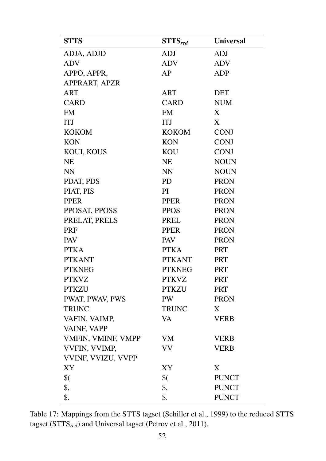| <b>STTS</b>        | $STTS_{red}$      | <b>Universal</b> |
|--------------------|-------------------|------------------|
| ADJA, ADJD         | <b>ADJ</b>        | <b>ADJ</b>       |
| <b>ADV</b>         | <b>ADV</b>        | <b>ADV</b>       |
| APPO, APPR,        | AP                | <b>ADP</b>       |
| APPRART, APZR      |                   |                  |
| ART                | <b>ART</b>        | <b>DET</b>       |
| <b>CARD</b>        | <b>CARD</b>       | <b>NUM</b>       |
| <b>FM</b>          | <b>FM</b>         | X                |
| <b>ITJ</b>         | <b>ITJ</b>        | X                |
| <b>KOKOM</b>       | <b>KOKOM</b>      | <b>CONJ</b>      |
| <b>KON</b>         | <b>KON</b>        | <b>CONJ</b>      |
| KOUI, KOUS         | <b>KOU</b>        | <b>CONJ</b>      |
| <b>NE</b>          | <b>NE</b>         | <b>NOUN</b>      |
| <b>NN</b>          | <b>NN</b>         | <b>NOUN</b>      |
| PDAT, PDS          | <b>PD</b>         | <b>PRON</b>      |
| PIAT, PIS          | PI                | <b>PRON</b>      |
| <b>PPER</b>        | <b>PPER</b>       | <b>PRON</b>      |
| PPOSAT, PPOSS      | <b>PPOS</b>       | <b>PRON</b>      |
| PRELAT, PRELS      | <b>PREL</b>       | <b>PRON</b>      |
| <b>PRF</b>         | <b>PPER</b>       | <b>PRON</b>      |
| <b>PAV</b>         | <b>PAV</b>        | <b>PRON</b>      |
| <b>PTKA</b>        | <b>PTKA</b>       | <b>PRT</b>       |
| <b>PTKANT</b>      | <b>PTKANT</b>     | <b>PRT</b>       |
| <b>PTKNEG</b>      | <b>PTKNEG</b>     | <b>PRT</b>       |
| <b>PTKVZ</b>       | <b>PTKVZ</b>      | <b>PRT</b>       |
| <b>PTKZU</b>       | <b>PTKZU</b>      | <b>PRT</b>       |
| PWAT, PWAV, PWS    | <b>PW</b>         | <b>PRON</b>      |
| <b>TRUNC</b>       | <b>TRUNC</b>      | X                |
| VAFIN, VAIMP,      | VA                | <b>VERB</b>      |
| VAINF, VAPP        |                   |                  |
| VMFIN, VMINF, VMPP | VM                | <b>VERB</b>      |
| VVFIN, VVIMP,      | VV                | <b>VERB</b>      |
| VVINF, VVIZU, VVPP |                   |                  |
| XY                 | XY                | X                |
| $\frac{1}{2}$      | $\sqrt[6]{\cdot}$ | <b>PUNCT</b>     |
| \$,                | \$,               | <b>PUNCT</b>     |
| \$.                | \$.               | <b>PUNCT</b>     |

Table 17: Mappings from the STTS tagset (Schiller et al., 1999) to the reduced STTS tagset (STTS*red*) and Universal tagset (Petrov et al., 2011).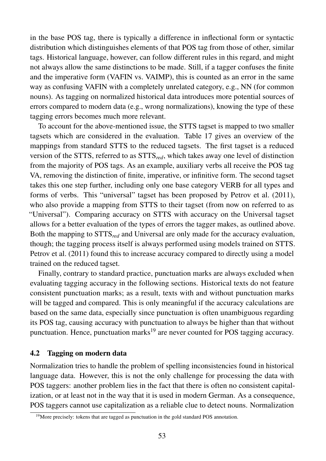in the base POS tag, there is typically a difference in inflectional form or syntactic distribution which distinguishes elements of that POS tag from those of other, similar tags. Historical language, however, can follow different rules in this regard, and might not always allow the same distinctions to be made. Still, if a tagger confuses the finite and the imperative form (VAFIN vs. VAIMP), this is counted as an error in the same way as confusing VAFIN with a completely unrelated category, e.g., NN (for common nouns). As tagging on normalized historical data introduces more potential sources of errors compared to modern data (e.g., wrong normalizations), knowing the type of these tagging errors becomes much more relevant.

To account for the above-mentioned issue, the STTS tagset is mapped to two smaller tagsets which are considered in the evaluation. Table 17 gives an overview of the mappings from standard STTS to the reduced tagsets. The first tagset is a reduced version of the STTS, referred to as STTS*red*, which takes away one level of distinction from the majority of POS tags. As an example, auxiliary verbs all receive the POS tag VA, removing the distinction of finite, imperative, or infinitive form. The second tagset takes this one step further, including only one base category VERB for all types and forms of verbs. This "universal" tagset has been proposed by Petrov et al. (2011), who also provide a mapping from STTS to their tagset (from now on referred to as "Universal"). Comparing accuracy on STTS with accuracy on the Universal tagset allows for a better evaluation of the types of errors the tagger makes, as outlined above. Both the mapping to STTS*red* and Universal are only made for the accuracy evaluation, though; the tagging process itself is always performed using models trained on STTS. Petrov et al. (2011) found this to increase accuracy compared to directly using a model trained on the reduced tagset.

Finally, contrary to standard practice, punctuation marks are always excluded when evaluating tagging accuracy in the following sections. Historical texts do not feature consistent punctuation marks; as a result, texts with and without punctuation marks will be tagged and compared. This is only meaningful if the accuracy calculations are based on the same data, especially since punctuation is often unambiguous regarding its POS tag, causing accuracy with punctuation to always be higher than that without punctuation. Hence, punctuation marks<sup>19</sup> are never counted for POS tagging accuracy.

## 4.2 Tagging on modern data

Normalization tries to handle the problem of spelling inconsistencies found in historical language data. However, this is not the only challenge for processing the data with POS taggers: another problem lies in the fact that there is often no consistent capitalization, or at least not in the way that it is used in modern German. As a consequence, POS taggers cannot use capitalization as a reliable clue to detect nouns. Normalization

<sup>&</sup>lt;sup>19</sup>More precisely: tokens that are tagged as punctuation in the gold standard POS annotation.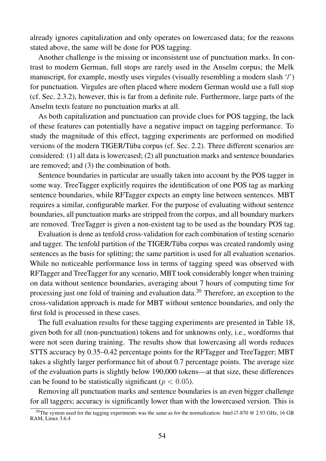already ignores capitalization and only operates on lowercased data; for the reasons stated above, the same will be done for POS tagging.

Another challenge is the missing or inconsistent use of punctuation marks. In contrast to modern German, full stops are rarely used in the Anselm corpus; the Melk manuscript, for example, mostly uses virgules (visually resembling a modern slash '/') for punctuation. Virgules are often placed where modern German would use a full stop (cf. Sec. 2.3.2), however, this is far from a definite rule. Furthermore, large parts of the Anselm texts feature no punctuation marks at all.

As both capitalization and punctuation can provide clues for POS tagging, the lack of these features can potentially have a negative impact on tagging performance. To study the magnitude of this effect, tagging experiments are performed on modified versions of the modern TIGER/Tüba corpus (cf. Sec. 2.2). Three different scenarios are considered: (1) all data is lowercased; (2) all punctuation marks and sentence boundaries are removed; and (3) the combination of both.

Sentence boundaries in particular are usually taken into account by the POS tagger in some way. TreeTagger explicitly requires the identification of one POS tag as marking sentence boundaries, while RFTagger expects an empty line between sentences. MBT requires a similar, configurable marker. For the purpose of evaluating without sentence boundaries, all punctuation marks are stripped from the corpus, and all boundary markers are removed. TreeTagger is given a non-existent tag to be used as the boundary POS tag.

Evaluation is done as tenfold cross-validation for each combination of testing scenario and tagger. The tenfold partition of the TIGER/Tüba corpus was created randomly using sentences as the basis for splitting; the same partition is used for all evaluation scenarios. While no noticeable performance loss in terms of tagging speed was observed with RFTagger and TreeTagger for any scenario, MBT took considerably longer when training on data without sentence boundaries, averaging about 7 hours of computing time for processing just one fold of training and evaluation data.<sup>20</sup> Therefore, an exception to the cross-validation approach is made for MBT without sentence boundaries, and only the first fold is processed in these cases.

The full evaluation results for these tagging experiments are presented in Table 18, given both for all (non-punctuation) tokens and for unknowns only, i.e., wordforms that were not seen during training. The results show that lowercasing all words reduces STTS accuracy by 0.35–0.42 percentage points for the RFTagger and TreeTagger; MBT takes a slightly larger performance hit of about 0.7 percentage points. The average size of the evaluation parts is slightly below 190,000 tokens—at that size, these differences can be found to be statistically significant ( $p < 0.05$ ).

Removing all punctuation marks and sentence boundaries is an even bigger challenge for all taggers; accuracy is significantly lower than with the lowercased version. This is

<sup>&</sup>lt;sup>20</sup>The system used for the tagging experiments was the same as for the normalization: Intel i7-870  $\omega$  2.93 GHz, 16 GB RAM, Linux 3.6.4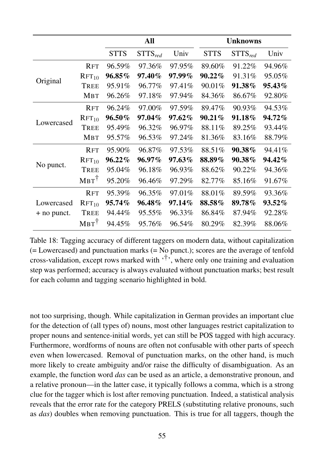|             |                   |             | All          |           |             | <b>Unknowns</b> |        |
|-------------|-------------------|-------------|--------------|-----------|-------------|-----------------|--------|
|             |                   | <b>STTS</b> | $STTS_{red}$ | Univ      | <b>STTS</b> | $STTS_{red}$    | Univ   |
|             | <b>RFT</b>        | 96.59%      | 97.36%       | 97.95%    | 89.60%      | 91.22%          | 94.96% |
|             | RFT <sub>10</sub> | 96.85%      | 97.40%       | 97.99%    | $90.22\%$   | 91.31%          | 95.05% |
| Original    | TREE              | 95.91%      | 96.77%       | 97.41%    | 90.01%      | 91.38%          | 95.43% |
|             | <b>MBT</b>        | 96.26%      | 97.18%       | 97.94%    | 84.36%      | 86.67%          | 92.80% |
|             | <b>RFT</b>        | 96.24%      | 97.00%       | 97.59%    | 89.47%      | 90.93%          | 94.53% |
| Lowercased  | $RFT_{10}$        | 96.50%      | 97.04%       | $97.62\%$ | $90.21\%$   | 91.18%          | 94.72% |
|             | <b>TREE</b>       | 95.49%      | 96.32%       | 96.97%    | 88.11%      | 89.25%          | 93.44% |
|             | <b>MBT</b>        | 95.57%      | 96.53%       | 97.24%    | 81.36%      | 83.16%          | 88.79% |
|             | <b>RFT</b>        | 95.90%      | 96.87%       | 97.53%    | 88.51%      | 90.38%          | 94.41% |
|             | RFT <sub>10</sub> | 96.22%      | 96.97%       | 97.63%    | 88.89%      | 90.38%          | 94.42% |
| No punct.   | <b>TREE</b>       | 95.04%      | 96.18%       | 96.93%    | 88.62%      | 90.22%          | 94.36% |
|             | $MBT^{\dagger}$   | 95.20%      | 96.46%       | 97.29%    | 82.77%      | 85.16%          | 91.67% |
|             | <b>RFT</b>        | 95.39%      | 96.35%       | 97.01%    | 88.01%      | 89.59%          | 93.36% |
| Lowercased  | $RFT_{10}$        | 95.74%      | 96.48%       | 97.14%    | 88.58%      | 89.78%          | 93.52% |
| + no punct. | <b>TREE</b>       | 94.44%      | 95.55%       | 96.33%    | 86.84%      | 87.94%          | 92.28% |
|             | $MBT^{\dagger}$   | 94.45%      | 95.76%       | 96.54%    | 80.29%      | 82.39%          | 88.06% |

Table 18: Tagging accuracy of different taggers on modern data, without capitalization (= Lowercased) and punctuation marks (= No punct.); scores are the average of tenfold cross-validation, except rows marked with  $\mathfrak{f}^{\dagger}$ , where only one training and evaluation step was performed; accuracy is always evaluated without punctuation marks; best result for each column and tagging scenario highlighted in bold.

not too surprising, though. While capitalization in German provides an important clue for the detection of (all types of) nouns, most other languages restrict capitalization to proper nouns and sentence-initial words, yet can still be POS tagged with high accuracy. Furthermore, wordforms of nouns are often not confusable with other parts of speech even when lowercased. Removal of punctuation marks, on the other hand, is much more likely to create ambiguity and/or raise the difficulty of disambiguation. As an example, the function word *das* can be used as an article, a demonstrative pronoun, and a relative pronoun—in the latter case, it typically follows a comma, which is a strong clue for the tagger which is lost after removing punctuation. Indeed, a statistical analysis reveals that the error rate for the category PRELS (substituting relative pronouns, such as *das*) doubles when removing punctuation. This is true for all taggers, though the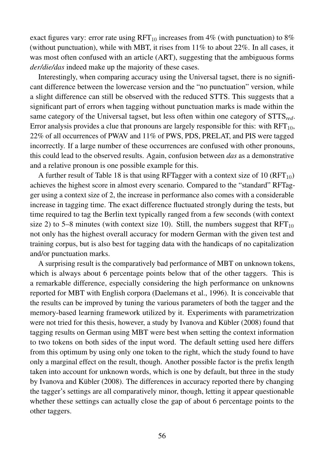exact figures vary: error rate using  $RFT_{10}$  increases from 4% (with punctuation) to 8% (without punctuation), while with MBT, it rises from 11% to about 22%. In all cases, it was most often confused with an article (ART), suggesting that the ambiguous forms *der/die/das* indeed make up the majority of these cases.

Interestingly, when comparing accuracy using the Universal tagset, there is no significant difference between the lowercase version and the "no punctuation" version, while a slight difference can still be observed with the reduced STTS. This suggests that a significant part of errors when tagging without punctuation marks is made within the same category of the Universal tagset, but less often within one category of STTS*red*. Error analysis provides a clue that pronouns are largely responsible for this: with  $RFT_{10}$ , 22% of all occurrences of PWAV and 11% of PWS, PDS, PRELAT, and PIS were tagged incorrectly. If a large number of these occurrences are confused with other pronouns, this could lead to the observed results. Again, confusion between *das* as a demonstrative and a relative pronoun is one possible example for this.

A further result of Table 18 is that using RFTagger with a context size of 10 (RFT<sub>10</sub>) achieves the highest score in almost every scenario. Compared to the "standard" RFTagger using a context size of 2, the increase in performance also comes with a considerable increase in tagging time. The exact difference fluctuated strongly during the tests, but time required to tag the Berlin text typically ranged from a few seconds (with context size 2) to 5–8 minutes (with context size 10). Still, the numbers suggest that  $RFT_{10}$ not only has the highest overall accuracy for modern German with the given test and training corpus, but is also best for tagging data with the handicaps of no capitalization and/or punctuation marks.

A surprising result is the comparatively bad performance of MBT on unknown tokens, which is always about 6 percentage points below that of the other taggers. This is a remarkable difference, especially considering the high performance on unknowns reported for MBT with English corpora (Daelemans et al., 1996). It is conceivable that the results can be improved by tuning the various parameters of both the tagger and the memory-based learning framework utilized by it. Experiments with parametrization were not tried for this thesis, however, a study by Ivanova and Kübler (2008) found that tagging results on German using MBT were best when setting the context information to two tokens on both sides of the input word. The default setting used here differs from this optimum by using only one token to the right, which the study found to have only a marginal effect on the result, though. Another possible factor is the prefix length taken into account for unknown words, which is one by default, but three in the study by Ivanova and Kübler (2008). The differences in accuracy reported there by changing the tagger's settings are all comparatively minor, though, letting it appear questionable whether these settings can actually close the gap of about 6 percentage points to the other taggers.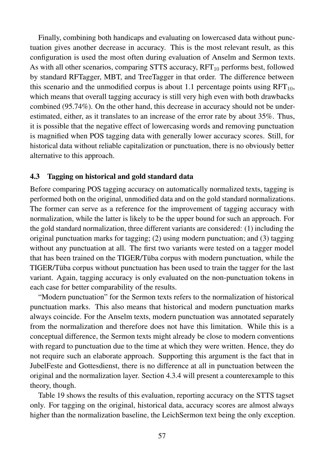Finally, combining both handicaps and evaluating on lowercased data without punctuation gives another decrease in accuracy. This is the most relevant result, as this configuration is used the most often during evaluation of Anselm and Sermon texts. As with all other scenarios, comparing STTS accuracy,  $RFT_{10}$  performs best, followed by standard RFTagger, MBT, and TreeTagger in that order. The difference between this scenario and the unmodified corpus is about 1.1 percentage points using  $RFT_{10}$ , which means that overall tagging accuracy is still very high even with both drawbacks combined (95.74%). On the other hand, this decrease in accuracy should not be underestimated, either, as it translates to an increase of the error rate by about 35%. Thus, it is possible that the negative effect of lowercasing words and removing punctuation is magnified when POS tagging data with generally lower accuracy scores. Still, for historical data without reliable capitalization or punctuation, there is no obviously better alternative to this approach.

## 4.3 Tagging on historical and gold standard data

Before comparing POS tagging accuracy on automatically normalized texts, tagging is performed both on the original, unmodified data and on the gold standard normalizations. The former can serve as a reference for the improvement of tagging accuracy with normalization, while the latter is likely to be the upper bound for such an approach. For the gold standard normalization, three different variants are considered: (1) including the original punctuation marks for tagging; (2) using modern punctuation; and (3) tagging without any punctuation at all. The first two variants were tested on a tagger model that has been trained on the TIGER/Tüba corpus with modern punctuation, while the TIGER/Tüba corpus without punctuation has been used to train the tagger for the last variant. Again, tagging accuracy is only evaluated on the non-punctuation tokens in each case for better comparability of the results.

"Modern punctuation" for the Sermon texts refers to the normalization of historical punctuation marks. This also means that historical and modern punctuation marks always coincide. For the Anselm texts, modern punctuation was annotated separately from the normalization and therefore does not have this limitation. While this is a conceptual difference, the Sermon texts might already be close to modern conventions with regard to punctuation due to the time at which they were written. Hence, they do not require such an elaborate approach. Supporting this argument is the fact that in JubelFeste and Gottesdienst, there is no difference at all in punctuation between the original and the normalization layer. Section 4.3.4 will present a counterexample to this theory, though.

Table 19 shows the results of this evaluation, reporting accuracy on the STTS tagset only. For tagging on the original, historical data, accuracy scores are almost always higher than the normalization baseline, the LeichSermon text being the only exception.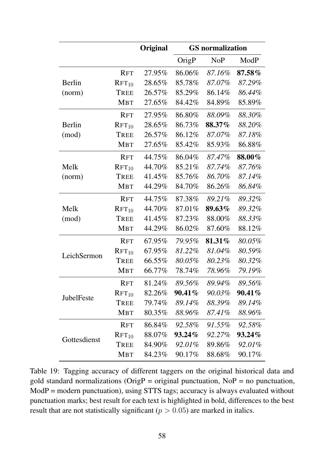|               |                   | Original | <b>GS</b> normalization |                  |           |
|---------------|-------------------|----------|-------------------------|------------------|-----------|
|               |                   |          | OrigP                   | N <sub>o</sub> P | ModP      |
|               | <b>RFT</b>        | 27.95%   | 86.06%                  | 87.16%           | $87.58\%$ |
| Berlin        | RFT <sub>10</sub> | 28.65%   | 85.78%                  | 87.07%           | 87.29%    |
| (norm)        | TREE              | 26.57%   | 85.29%                  | 86.14%           | 86.44%    |
|               | <b>MBT</b>        | 27.65%   | 84.42%                  | 84.89%           | 85.89%    |
|               | <b>RFT</b>        | 27.95%   | 86.80%                  | 88.09%           | 88.30%    |
| <b>Berlin</b> | $RFT_{10}$        | 28.65%   | 86.73%                  | 88.37%           | 88.20%    |
| (mod)         | TREE              | 26.57%   | 86.12%                  | 87.07%           | 87.18%    |
|               | <b>MBT</b>        | 27.65%   | 85.42%                  | 85.93%           | 86.88%    |
|               | <b>RFT</b>        | 44.75%   | 86.04%                  | 87.47%           | 88.00%    |
| Melk          | RFT <sub>10</sub> | 44.70%   | 85.21%                  | 87.74%           | 87.76%    |
| (norm)        | <b>TREE</b>       | 41.45%   | 85.76%                  | 86.70%           | 87.14%    |
|               | <b>MBT</b>        | 44.29%   | 84.70%                  | 86.26%           | 86.84%    |
|               | <b>RFT</b>        | 44.75%   | 87.38%                  | 89.21%           | 89.32%    |
| Melk          | $RFT_{10}$        | 44.70%   | 87.01%                  | 89.63%           | 89.32%    |
| (mod)         | <b>TREE</b>       | 41.45%   | 87.23%                  | 88.00%           | 88.33%    |
|               | <b>MBT</b>        | 44.29%   | 86.02%                  | 87.60%           | 88.12%    |
|               | <b>RFT</b>        | 67.95%   | 79.95%                  | 81.31%           | 80.05%    |
| LeichSermon   | RFT <sub>10</sub> | 67.95%   | 81.22%                  | 81.04%           | 80.59%    |
|               | TREE              | 66.55%   | 80.05%                  | 80.23%           | 80.32%    |
|               | <b>MBT</b>        | 66.77%   | 78.74%                  | 78.96%           | 79.19%    |
|               | <b>RFT</b>        | 81.24%   | 89.56%                  | 89.94%           | 89.56%    |
| JubelFeste    | $RFT_{10}$        | 82.26%   | 90.41%                  | 90.03%           | 90.41%    |
|               | TREE              | 79.74%   | 89.14%                  | 88.39%           | 89.14%    |
|               | <b>MBT</b>        | 80.35%   | 88.96%                  | 87.41%           | 88.96%    |
|               | <b>RFT</b>        | 86.84%   | 92.58%                  | 91.55%           | 92.58%    |
| Gottesdienst  | $RFT_{10}$        | 88.07%   | $93.24\%$               | 92.27%           | $93.24\%$ |
|               | <b>TREE</b>       | 84.90%   | 92.01%                  | 89.86%           | 92.01%    |
|               | <b>MBT</b>        | 84.23%   | 90.17%                  | 88.68%           | 90.17%    |

Table 19: Tagging accuracy of different taggers on the original historical data and gold standard normalizations ( $O$ rig $P =$  original punctuation, No $P =$  no punctuation, ModP = modern punctuation), using STTS tags; accuracy is always evaluated without punctuation marks; best result for each text is highlighted in bold, differences to the best result that are not statistically significant ( $p > 0.05$ ) are marked in italics.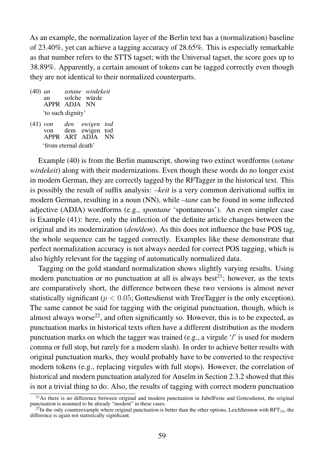As an example, the normalization layer of the Berlin text has a (normalization) baseline of 23.40%, yet can achieve a tagging accuracy of 28.65%. This is especially remarkable as that number refers to the STTS tagset; with the Universal tagset, the score goes up to 38.89%. Apparently, a certain amount of tokens can be tagged correctly even though they are not identical to their normalized counterparts.

- (40) *an* an APPR ADJA NN *sotane wirdekeit* solche würde 'to such dignity'
- (41) *von* von APPR ART ADJA NN *den ewigen tod* dem ewigen tod 'from eternal death'

Example (40) is from the Berlin manuscript, showing two extinct wordforms (*sotane wirdekeit*) along with their modernizations. Even though these words do no longer exist in modern German, they are correctly tagged by the RFTagger in the historical text. This is possibly the result of suffix analysis: *–keit* is a very common derivational suffix in modern German, resulting in a noun (NN), while *–tane* can be found in some inflected adjective (ADJA) wordforms (e.g., *spontane* 'spontaneous'). An even simpler case is Example (41): here, only the inflection of the definite article changes between the original and its modernization (*den/dem*). As this does not influence the base POS tag, the whole sequence can be tagged correctly. Examples like these demonstrate that perfect normalization accuracy is not always needed for correct POS tagging, which is also highly relevant for the tagging of automatically normalized data.

Tagging on the gold standard normalization shows slightly varying results. Using modern punctuation or no punctuation at all is always best<sup>21</sup>; however, as the texts are comparatively short, the difference between these two versions is almost never statistically significant ( $p < 0.05$ ; Gottesdienst with TreeTagger is the only exception). The same cannot be said for tagging with the original punctuation, though, which is almost always worse<sup>22</sup>, and often significantly so. However, this is to be expected, as punctuation marks in historical texts often have a different distribution as the modern punctuation marks on which the tagger was trained (e.g., a virgule '/' is used for modern comma or full stop, but rarely for a modern slash). In order to achieve better results with original punctuation marks, they would probably have to be converted to the respective modern tokens (e.g., replacing virgules with full stops). However, the correlation of historical and modern punctuation analyzed for Anselm in Section 2.3.2 showed that this is not a trivial thing to do. Also, the results of tagging with correct modern punctuation

 $21$ As there is no difference between original and modern punctuation in JubelFeste and Gottesdienst, the original punctuation is assumed to be already "modern" in these cases.

 $^{22}$ In the only counterexample where original punctuation is better than the other options, LeichSermon with RFT<sub>10</sub>, the difference is again not statistically significant.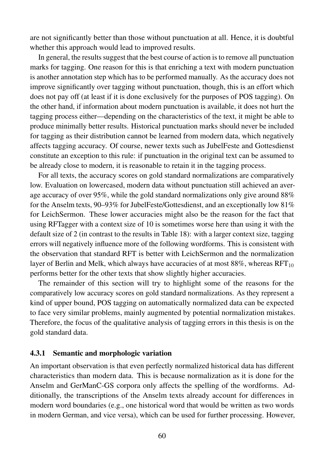are not significantly better than those without punctuation at all. Hence, it is doubtful whether this approach would lead to improved results.

In general, the results suggest that the best course of action is to remove all punctuation marks for tagging. One reason for this is that enriching a text with modern punctuation is another annotation step which has to be performed manually. As the accuracy does not improve significantly over tagging without punctuation, though, this is an effort which does not pay off (at least if it is done exclusively for the purposes of POS tagging). On the other hand, if information about modern punctuation is available, it does not hurt the tagging process either—depending on the characteristics of the text, it might be able to produce minimally better results. Historical punctuation marks should never be included for tagging as their distribution cannot be learned from modern data, which negatively affects tagging accuracy. Of course, newer texts such as JubelFeste and Gottesdienst constitute an exception to this rule: if punctuation in the original text can be assumed to be already close to modern, it is reasonable to retain it in the tagging process.

For all texts, the accuracy scores on gold standard normalizations are comparatively low. Evaluation on lowercased, modern data without punctuation still achieved an average accuracy of over 95%, while the gold standard normalizations only give around 88% for the Anselm texts, 90–93% for JubelFeste/Gottesdienst, and an exceptionally low 81% for LeichSermon. These lower accuracies might also be the reason for the fact that using RFTagger with a context size of 10 is sometimes worse here than using it with the default size of 2 (in contrast to the results in Table 18): with a larger context size, tagging errors will negatively influence more of the following wordforms. This is consistent with the observation that standard RFT is better with LeichSermon and the normalization layer of Berlin and Melk, which always have accuracies of at most  $88\%$ , whereas RFT<sub>10</sub> performs better for the other texts that show slightly higher accuracies.

The remainder of this section will try to highlight some of the reasons for the comparatively low accuracy scores on gold standard normalizations. As they represent a kind of upper bound, POS tagging on automatically normalized data can be expected to face very similar problems, mainly augmented by potential normalization mistakes. Therefore, the focus of the qualitative analysis of tagging errors in this thesis is on the gold standard data.

## 4.3.1 Semantic and morphologic variation

An important observation is that even perfectly normalized historical data has different characteristics than modern data. This is because normalization as it is done for the Anselm and GerManC-GS corpora only affects the spelling of the wordforms. Additionally, the transcriptions of the Anselm texts already account for differences in modern word boundaries (e.g., one historical word that would be written as two words in modern German, and vice versa), which can be used for further processing. However,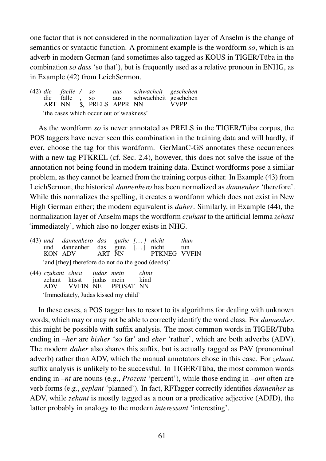one factor that is not considered in the normalization layer of Anselm is the change of semantics or syntactic function. A prominent example is the wordform *so*, which is an adverb in modern German (and sometimes also tagged as KOUS in TIGER/Tüba in the combination *so dass* 'so that'), but is frequently used as a relative pronoun in ENHG, as in Example (42) from LeichSermon.

(42) *die* die ART NN *faelle /* fälle , \$, PRELS APPR NN *so* so *aus* aus *schwacheit* schwachheit geschehen *geschehen* VVPP 'the cases which occur out of weakness'

As the wordform *so* is never annotated as PRELS in the TIGER/Tüba corpus, the POS taggers have never seen this combination in the training data and will hardly, if ever, choose the tag for this wordform. GerManC-GS annotates these occurrences with a new tag PTKREL (cf. Sec. 2.4), however, this does not solve the issue of the annotation not being found in modern training data. Extinct wordforms pose a similar problem, as they cannot be learned from the training corpus either. In Example (43) from LeichSermon, the historical *dannenhero* has been normalized as *dannenher* 'therefore'. While this normalizes the spelling, it creates a wordform which does not exist in New High German either; the modern equivalent is *daher*. Similarly, in Example (44), the normalization layer of Anselm maps the wordform *czuhant* to the artificial lemma *zehant* 'immediately', which also no longer exists in NHG.

|                                                   |  | $(43)$ und dannenhero das guthe $\lceil \ldots \rceil$ nicht<br>und dannenher das gute [] nicht<br>KON ADV ART NN PTKNEG VVFIN |  |  |  |  | thun<br>tun |  |  |
|---------------------------------------------------|--|--------------------------------------------------------------------------------------------------------------------------------|--|--|--|--|-------------|--|--|
| 'and [they] therefore do not do the good (deeds)' |  |                                                                                                                                |  |  |  |  |             |  |  |

(44) *czuhant chust* zehant küsst ADV VVFIN NE *iudas mein* judas mein PPOSAT NN *chint* kind 'Immediately, Judas kissed my child'

In these cases, a POS tagger has to resort to its algorithms for dealing with unknown words, which may or may not be able to correctly identify the word class. For *dannenher*, this might be possible with suffix analysis. The most common words in TIGER/Tüba ending in *–her* are *bisher* 'so far' and *eher* 'rather', which are both adverbs (ADV). The modern *daher* also shares this suffix, but is actually tagged as PAV (pronominal adverb) rather than ADV, which the manual annotators chose in this case. For *zehant*, suffix analysis is unlikely to be successful. In TIGER/Tüba, the most common words ending in *–nt* are nouns (e.g., *Prozent* 'percent'), while those ending in *–ant* often are verb forms (e.g., *geplant* 'planned'). In fact, RFTagger correctly identifies *dannenher* as ADV, while *zehant* is mostly tagged as a noun or a predicative adjective (ADJD), the latter probably in analogy to the modern *interessant* 'interesting'.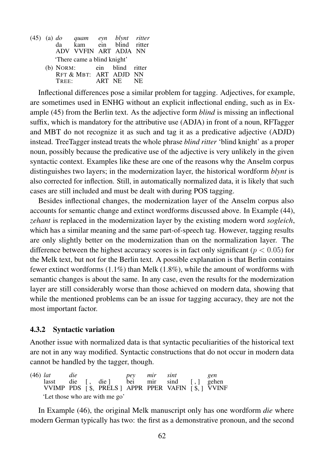|  |       | (45) (a) <i>do</i> quam eyn blynt ritter<br>da kam ein blind ritter |        |      |
|--|-------|---------------------------------------------------------------------|--------|------|
|  |       |                                                                     |        |      |
|  |       | ADV VVFIN ART ADJA NN                                               |        |      |
|  |       | 'There came a blind knight'                                         |        |      |
|  |       | (b) NORM: ein blind ritter                                          |        |      |
|  |       | RFT & MBT: ART ADJD NN                                              |        |      |
|  | TREE: |                                                                     | ART NE | - NE |

Inflectional differences pose a similar problem for tagging. Adjectives, for example, are sometimes used in ENHG without an explicit inflectional ending, such as in Example (45) from the Berlin text. As the adjective form *blind* is missing an inflectional suffix, which is mandatory for the attributive use (ADJA) in front of a noun, RFTagger and MBT do not recognize it as such and tag it as a predicative adjective (ADJD) instead. TreeTagger instead treats the whole phrase *blind ritter* 'blind knight' as a proper noun, possibly because the predicative use of the adjective is very unlikely in the given syntactic context. Examples like these are one of the reasons why the Anselm corpus distinguishes two layers; in the modernization layer, the historical wordform *blynt* is also corrected for inflection. Still, in automatically normalized data, it is likely that such cases are still included and must be dealt with during POS tagging.

Besides inflectional changes, the modernization layer of the Anselm corpus also accounts for semantic change and extinct wordforms discussed above. In Example (44), *zehant* is replaced in the modernization layer by the existing modern word *sogleich*, which has a similar meaning and the same part-of-speech tag. However, tagging results are only slightly better on the modernization than on the normalization layer. The difference between the highest accuracy scores is in fact only significant ( $p < 0.05$ ) for the Melk text, but not for the Berlin text. A possible explanation is that Berlin contains fewer extinct wordforms (1.1%) than Melk (1.8%), while the amount of wordforms with semantic changes is about the same. In any case, even the results for the modernization layer are still considerably worse than those achieved on modern data, showing that while the mentioned problems can be an issue for tagging accuracy, they are not the most important factor.

## 4.3.2 Syntactic variation

Another issue with normalized data is that syntactic peculiarities of the historical text are not in any way modified. Syntactic constructions that do not occur in modern data cannot be handled by the tagger, though.

(46) *lat* lasst VVIMP *die* die PDS [ , [ \$, die ] PRELS ] *pey* bei APPR *mir* mir PPER *sint* sind VAFIN  $[\, ,\,]$  $[$  \$, ] *gen* gehen VVINF 'Let those who are with me go'

In Example (46), the original Melk manuscript only has one wordform *die* where modern German typically has two: the first as a demonstrative pronoun, and the second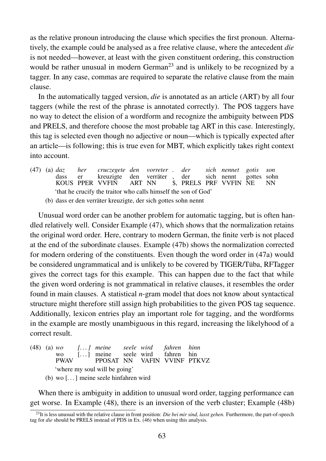as the relative pronoun introducing the clause which specifies the first pronoun. Alternatively, the example could be analysed as a free relative clause, where the antecedent *die* is not needed—however, at least with the given constituent ordering, this construction would be rather unusual in modern German<sup>23</sup> and is unlikely to be recognized by a tagger. In any case, commas are required to separate the relative clause from the main clause.

In the automatically tagged version, *die* is annotated as an article (ART) by all four taggers (while the rest of the phrase is annotated correctly). The POS taggers have no way to detect the elision of a wordform and recognize the ambiguity between PDS and PRELS, and therefore choose the most probable tag ART in this case. Interestingly, this tag is selected even though no adjective or noun—which is typically expected after an article—is following; this is true even for MBT, which explicitly takes right context into account.

(47) (a) *daz* dass KOUS PPER VVFIN *her* er *cruczegete den* kreuzigte den ART NN *vorreter .* verräter , \$, PRELS PRF VVFIN *der* der *sich nennet* sich nennt *gotis* gottes NE *son* sohn NN 'that he crucify the traitor who calls himself the son of God' (b) dass er den verräter kreuzigte, der sich gottes sohn nennt

Unusual word order can be another problem for automatic tagging, but is often handled relatively well. Consider Example (47), which shows that the normalization retains the original word order. Here, contrary to modern German, the finite verb is not placed at the end of the subordinate clauses. Example (47b) shows the normalization corrected for modern ordering of the constituents. Even though the word order in (47a) would be considered ungrammatical and is unlikely to be covered by TIGER/Tüba, RFTagger gives the correct tags for this example. This can happen due to the fact that while the given word ordering is not grammatical in relative clauses, it resembles the order found in main clauses. A statistical *n*-gram model that does not know about syntactical structure might therefore still assign high probabilities to the given POS tag sequence. Additionally, lexicon entries play an important role for tagging, and the wordforms in the example are mostly unambiguous in this regard, increasing the likelyhood of a correct result.

(48) (a) *wo* wo PWAV *[. . . ] meine*  $\lfloor \ldots \rfloor$ meine PPOSAT NN *seele wird* seele wird VAFIN VVINF PTKVZ *fahren* fahren *hinn* hin 'where my soul will be going'

(b) wo [. . . ] meine seele hinfahren wird

When there is ambiguity in addition to unusual word order, tagging performance can get worse. In Example (48), there is an inversion of the verb cluster; Example (48b)

<sup>23</sup>It is less unusual with the relative clause in front position: *Die bei mir sind, lasst gehen.* Furthermore, the part-of-speech tag for *die* should be PRELS instead of PDS in Ex. (46) when using this analysis.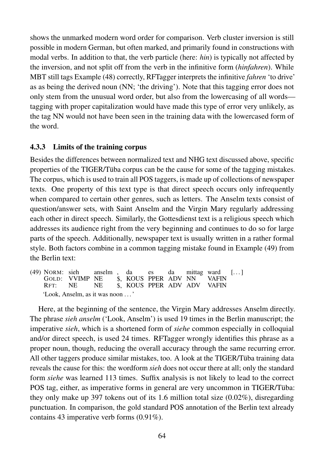shows the unmarked modern word order for comparison. Verb cluster inversion is still possible in modern German, but often marked, and primarily found in constructions with modal verbs. In addition to that, the verb particle (here: *hin*) is typically not affected by the inversion, and not split off from the verb in the infinitive form (*hinfahren*). While MBT still tags Example (48) correctly, RFTagger interprets the infinitive *fahren* 'to drive' as as being the derived noun (NN; 'the driving'). Note that this tagging error does not only stem from the unusual word order, but also from the lowercasing of all words tagging with proper capitalization would have made this type of error very unlikely, as the tag NN would not have been seen in the training data with the lowercased form of the word.

# 4.3.3 Limits of the training corpus

Besides the differences between normalized text and NHG text discussed above, specific properties of the TIGER/Tüba corpus can be the cause for some of the tagging mistakes. The corpus, which is used to train all POS taggers, is made up of collections of newspaper texts. One property of this text type is that direct speech occurs only infrequently when compared to certain other genres, such as letters. The Anselm texts consist of question/answer sets, with Saint Anselm and the Virgin Mary regularly addressing each other in direct speech. Similarly, the Gottesdienst text is a religious speech which addresses its audience right from the very beginning and continues to do so for large parts of the speech. Additionally, newspaper text is usually written in a rather formal style. Both factors combine in a common tagging mistake found in Example (49) from the Berlin text:

(49) NORM: sieh GOLD: VVIMP NE RFT: NE anselm NE , \$, KOUS PPER ADV NN \$, KOUS PPER ADV ADV da es da mittag ward VAFIN VAFIN  $[\dots]$ 'Look, Anselm, as it was noon . . . '

Here, at the beginning of the sentence, the Virgin Mary addresses Anselm directly. The phrase *sieh anselm* ('Look, Anselm') is used 19 times in the Berlin manuscript; the imperative *sieh*, which is a shortened form of *siehe* common especially in colloquial and/or direct speech, is used 24 times. RFTagger wrongly identifies this phrase as a proper noun, though, reducing the overall accuracy through the same recurring error. All other taggers produce similar mistakes, too. A look at the TIGER/Tüba training data reveals the cause for this: the wordform *sieh* does not occur there at all; only the standard form *siehe* was learned 113 times. Suffix analysis is not likely to lead to the correct POS tag, either, as imperative forms in general are very uncommon in TIGER/Tüba: they only make up 397 tokens out of its 1.6 million total size (0.02%), disregarding punctuation. In comparison, the gold standard POS annotation of the Berlin text already contains 43 imperative verb forms (0.91%).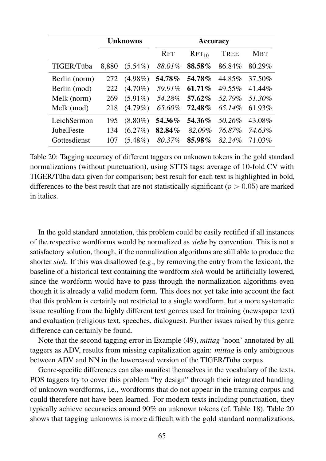|                   | <b>Unknowns</b> |            |               |                   |             |            |
|-------------------|-----------------|------------|---------------|-------------------|-------------|------------|
|                   |                 |            | <b>RFT</b>    | RFT <sub>10</sub> | <b>TREE</b> | <b>MBT</b> |
| TIGER/Tüba        | 8,880           | $(5.54\%)$ | 88.01%        | 88.58%            | 86.84%      | 80.29%     |
| Berlin (norm)     | 272             | $(4.98\%)$ | 54.78%        | 54.78%            | 44.85%      | 37.50%     |
| Berlin (mod)      | 222             | $(4.70\%)$ | 59.91%        | $61.71\%$         | 49.55%      | 41.44%     |
| Melk (norm)       | 269             | $(5.91\%)$ | 54.28%        | 57.62%            | 52.79%      | 51.30%     |
| Melk (mod)        | 218             | $(4.79\%)$ | 65.60%        | 72.48%            | 65.14%      | 61.93%     |
| LeichSermon       | 195             | $(8.80\%)$ | <b>54.36%</b> | 54.36%            | 50.26%      | 43.08%     |
| <b>JubelFeste</b> | 134             | $(6.27\%)$ | 82.84%        | 82.09%            | 76.87%      | 74.63%     |
| Gottesdienst      | 107             | $(5.48\%)$ | 80.37%        | 85.98%            | 82.24%      | 71.03%     |

Table 20: Tagging accuracy of different taggers on unknown tokens in the gold standard normalizations (without punctuation), using STTS tags; average of 10-fold CV with TIGER/Tüba data given for comparison; best result for each text is highlighted in bold, differences to the best result that are not statistically significant ( $p > 0.05$ ) are marked in italics.

In the gold standard annotation, this problem could be easily rectified if all instances of the respective wordforms would be normalized as *siehe* by convention. This is not a satisfactory solution, though, if the normalization algorithms are still able to produce the shorter *sieh*. If this was disallowed (e.g., by removing the entry from the lexicon), the baseline of a historical text containing the wordform *sieh* would be artificially lowered, since the wordform would have to pass through the normalization algorithms even though it is already a valid modern form. This does not yet take into account the fact that this problem is certainly not restricted to a single wordform, but a more systematic issue resulting from the highly different text genres used for training (newspaper text) and evaluation (religious text, speeches, dialogues). Further issues raised by this genre difference can certainly be found.

Note that the second tagging error in Example (49), *mittag* 'noon' annotated by all taggers as ADV, results from missing capitalization again: *mittag* is only ambiguous between ADV and NN in the lowercased version of the TIGER/Tüba corpus.

Genre-specific differences can also manifest themselves in the vocabulary of the texts. POS taggers try to cover this problem "by design" through their integrated handling of unknown wordforms, i.e., wordforms that do not appear in the training corpus and could therefore not have been learned. For modern texts including punctuation, they typically achieve accuracies around 90% on unknown tokens (cf. Table 18). Table 20 shows that tagging unknowns is more difficult with the gold standard normalizations,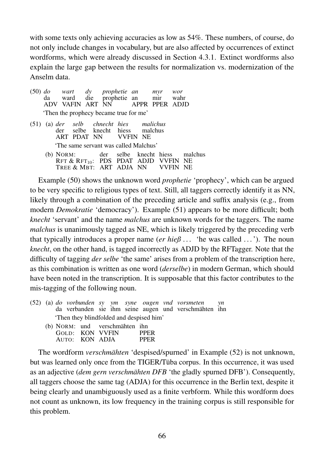with some texts only achieving accuracies as low as 54%. These numbers, of course, do not only include changes in vocabulary, but are also affected by occurrences of extinct wordforms, which were already discussed in Section 4.3.1. Extinct wordforms also explain the large gap between the results for normalization vs. modernization of the Anselm data.

|  |                                                                                                |  |  |     | (50) <i>do</i> wart dy prophetie an myr wor<br>da ward die prophetie an mir wahr<br>ADV VAFIN ART NN APPR PPER ADJD |  |
|--|------------------------------------------------------------------------------------------------|--|--|-----|---------------------------------------------------------------------------------------------------------------------|--|
|  | 'Then the prophecy became true for me'                                                         |  |  |     |                                                                                                                     |  |
|  | (51) (a) der selb chnecht hies malichus<br>der selbe knecht hiess malchus<br>ART PDAT NN VVFIN |  |  | NE. |                                                                                                                     |  |

'The same servant was called Malchus'

(b) NORM: Rft & Rft $_{10}$ : TREE & MBT: ART ADJA NN der PDS selbe PDAT knecht ADJD hiess VVFIN NE VVFIN NE malchus

Example (50) shows the unknown word *prophetie* 'prophecy', which can be argued to be very specific to religious types of text. Still, all taggers correctly identify it as NN, likely through a combination of the preceding article and suffix analysis (e.g., from modern *Demokratie* 'democracy'). Example (51) appears to be more difficult; both *knecht* 'servant' and the name *malchus* are unknown words for the taggers. The name *malchus* is unanimously tagged as NE, which is likely triggered by the preceding verb that typically introduces a proper name (*er hieß* ... 'he was called ...'). The noun *knecht*, on the other hand, is tagged incorrectly as ADJD by the RFTagger. Note that the difficulty of tagging *der selbe* 'the same' arises from a problem of the transcription here, as this combination is written as one word (*derselbe*) in modern German, which should have been noted in the transcription. It is supposable that this factor contributes to the mis-tagging of the following noun.

|                                         |                                                        |  |  |  |  |  | $(52)$ (a) do vorbunden sy ym syne ougen vnd vorsmeten yn<br>da verbanden sie ihm seine augen und verschmähten ihn |  |
|-----------------------------------------|--------------------------------------------------------|--|--|--|--|--|--------------------------------------------------------------------------------------------------------------------|--|
| Then they blindfolded and despised him' |                                                        |  |  |  |  |  |                                                                                                                    |  |
|                                         | (b) NORM: und verschmähten ihn<br>GOLD: KON VVEIN PPER |  |  |  |  |  |                                                                                                                    |  |

|                | GOLD: KON VVFIN | <b>PPER</b> |
|----------------|-----------------|-------------|
| AUTO: KON ADJA |                 | <b>PPER</b> |

The wordform *verschmähten* 'despised/spurned' in Example (52) is not unknown, but was learned only once from the TIGER/Tüba corpus. In this occurrence, it was used as an adjective (*dem gern verschmähten DFB* 'the gladly spurned DFB'). Consequently, all taggers choose the same tag (ADJA) for this occurrence in the Berlin text, despite it being clearly and unambiguously used as a finite verbform. While this wordform does not count as unknown, its low frequency in the training corpus is still responsible for this problem.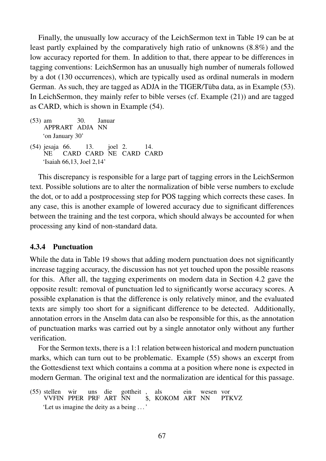Finally, the unusually low accuracy of the LeichSermon text in Table 19 can be at least partly explained by the comparatively high ratio of unknowns (8.8%) and the low accuracy reported for them. In addition to that, there appear to be differences in tagging conventions: LeichSermon has an unusually high number of numerals followed by a dot (130 occurrences), which are typically used as ordinal numerals in modern German. As such, they are tagged as ADJA in the TIGER/Tüba data, as in Example (53). In LeichSermon, they mainly refer to bible verses (cf. Example (21)) and are tagged as CARD, which is shown in Example (54).

- (53) am APPRART ADJA NN 30. Januar 'on January 30'
- (54) jesaja 66. NE CARD CARD NE CARD CARD 13. joel 2. 14. 'Isaiah 66,13, Joel 2,14'

This discrepancy is responsible for a large part of tagging errors in the LeichSermon text. Possible solutions are to alter the normalization of bible verse numbers to exclude the dot, or to add a postprocessing step for POS tagging which corrects these cases. In any case, this is another example of lowered accuracy due to significant differences between the training and the test corpora, which should always be accounted for when processing any kind of non-standard data.

## 4.3.4 Punctuation

While the data in Table 19 shows that adding modern punctuation does not significantly increase tagging accuracy, the discussion has not yet touched upon the possible reasons for this. After all, the tagging experiments on modern data in Section 4.2 gave the opposite result: removal of punctuation led to significantly worse accuracy scores. A possible explanation is that the difference is only relatively minor, and the evaluated texts are simply too short for a significant difference to be detected. Additionally, annotation errors in the Anselm data can also be responsible for this, as the annotation of punctuation marks was carried out by a single annotator only without any further verification.

For the Sermon texts, there is a 1:1 relation between historical and modern punctuation marks, which can turn out to be problematic. Example (55) shows an excerpt from the Gottesdienst text which contains a comma at a position where none is expected in modern German. The original text and the normalization are identical for this passage.

<sup>(55)</sup> stellen VVFIN PPER PRF ART NN wir uns die gottheit , \$, KOKOM ART NN als ein wesen vor PTKVZ 'Let us imagine the deity as a being . . . '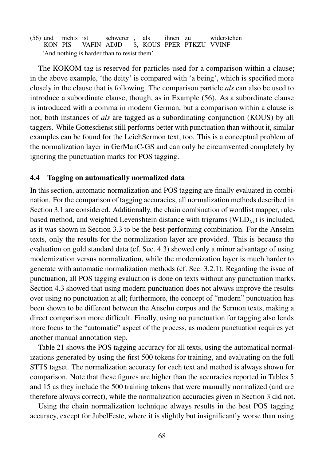(56) und nichts ist KON PIS VAFIN ADJD schwerer , \$, KOUS PPER PTKZU VVINF als ihnen zu widerstehen 'And nothing is harder than to resist them'

The KOKOM tag is reserved for particles used for a comparison within a clause; in the above example, 'the deity' is compared with 'a being', which is specified more closely in the clause that is following. The comparison particle *als* can also be used to introduce a subordinate clause, though, as in Example (56). As a subordinate clause is introduced with a comma in modern German, but a comparison within a clause is not, both instances of *als* are tagged as a subordinating conjunction (KOUS) by all taggers. While Gottesdienst still performs better with punctuation than without it, similar examples can be found for the LeichSermon text, too. This is a conceptual problem of the normalization layer in GerManC-GS and can only be circumvented completely by ignoring the punctuation marks for POS tagging.

## 4.4 Tagging on automatically normalized data

In this section, automatic normalization and POS tagging are finally evaluated in combination. For the comparison of tagging accuracies, all normalization methods described in Section 3.1 are considered. Additionally, the chain combination of wordlist mapper, rulebased method, and weighted Levenshtein distance with trigrams (WLD*tri*) is included, as it was shown in Section 3.3 to be the best-performing combination. For the Anselm texts, only the results for the normalization layer are provided. This is because the evaluation on gold standard data (cf. Sec. 4.3) showed only a minor advantage of using modernization versus normalization, while the modernization layer is much harder to generate with automatic normalization methods (cf. Sec. 3.2.1). Regarding the issue of punctuation, all POS tagging evaluation is done on texts without any punctuation marks. Section 4.3 showed that using modern punctuation does not always improve the results over using no punctuation at all; furthermore, the concept of "modern" punctuation has been shown to be different between the Anselm corpus and the Sermon texts, making a direct comparison more difficult. Finally, using no punctuation for tagging also lends more focus to the "automatic" aspect of the process, as modern punctuation requires yet another manual annotation step.

Table 21 shows the POS tagging accuracy for all texts, using the automatical normalizations generated by using the first 500 tokens for training, and evaluating on the full STTS tagset. The normalization accuracy for each text and method is always shown for comparison. Note that these figures are higher than the accuracies reported in Tables 5 and 15 as they include the 500 training tokens that were manually normalized (and are therefore always correct), while the normalization accuracies given in Section 3 did not.

Using the chain normalization technique always results in the best POS tagging accuracy, except for JubelFeste, where it is slightly but insignificantly worse than using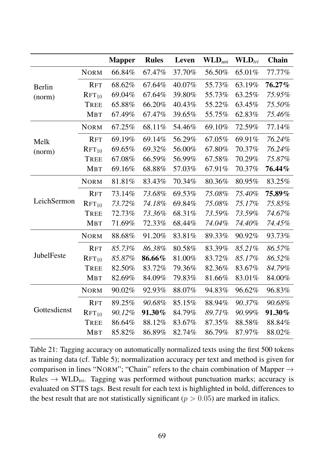|               |                   | <b>Mapper</b> | <b>Rules</b> | Leven  | $\mathbf{WLD}_{uni}$ | $\mathbf{WLD}_{tri}$ | Chain  |
|---------------|-------------------|---------------|--------------|--------|----------------------|----------------------|--------|
|               | <b>NORM</b>       | 66.84%        | 67.47%       | 37.70% | 56.50%               | 65.01%               | 77.77% |
| <b>Berlin</b> | <b>RFT</b>        | 68.62%        | 67.64%       | 40.07% | 55.73%               | 63.19%               | 76.27% |
| (norm)        | $RFT_{10}$        | 69.04%        | 67.64%       | 39.80% | 55.73%               | 63.25%               | 75.95% |
|               | <b>TREE</b>       | 65.88%        | 66.20%       | 40.43% | 55.22%               | 63.45%               | 75.50% |
|               | <b>MBT</b>        | 67.49%        | 67.47%       | 39.65% | 55.75%               | 62.83%               | 75.46% |
|               | <b>NORM</b>       | 67.25%        | 68.11%       | 54.46% | 69.10%               | 72.59%               | 77.14% |
| Melk          | <b>RFT</b>        | 69.19%        | 69.14%       | 56.29% | 67.05%               | 69.91%               | 76.24% |
| (norm)        | RFT <sub>10</sub> | 69.65%        | 69.32%       | 56.00% | 67.80%               | 70.37%               | 76.24% |
|               | <b>TREE</b>       | 67.08%        | 66.59%       | 56.99% | 67.58%               | 70.29%               | 75.87% |
|               | <b>MBT</b>        | 69.16%        | 68.88%       | 57.03% | 67.91%               | 70.37%               | 76.44% |
|               | <b>NORM</b>       | 81.81%        | 83.43%       | 70.34% | 80.36%               | 80.95%               | 83.25% |
|               | <b>RFT</b>        | 73.14%        | 73.68%       | 69.53% | 75.08%               | 75.40%               | 75.89% |
| LeichSermon   | RFT <sub>10</sub> | 73.72%        | 74.18%       | 69.84% | 75.08%               | 75.17%               | 75.85% |
|               | <b>TREE</b>       | 72.73%        | 73.36%       | 68.31% | 73.59%               | 73.59%               | 74.67% |
|               | MBT               | 71.69%        | 72.33%       | 68.44% | 74.04%               | 74.40%               | 74.45% |
|               | <b>NORM</b>       | 88.68%        | 91.20%       | 83.81% | 89.33%               | 90.92%               | 93.73% |
|               | <b>RFT</b>        | 85.73%        | 86.38%       | 80.58% | 83.39%               | 85.21%               | 86.57% |
| JubelFeste    | RFT <sub>10</sub> | 85.87%        | 86.66%       | 81.00% | 83.72%               | 85.17%               | 86.52% |
|               | <b>TREE</b>       | 82.50%        | 83.72%       | 79.36% | 82.36%               | 83.67%               | 84.79% |
|               | <b>MBT</b>        | 82.69%        | 84.09%       | 79.83% | 81.66%               | 83.01%               | 84.00% |
|               | <b>NORM</b>       | 90.02%        | 92.93%       | 88.07% | 94.83%               | 96.62%               | 96.83% |
|               | <b>RFT</b>        | 89.25%        | 90.68%       | 85.15% | 88.94%               | 90.37%               | 90.68% |
| Gottesdienst  | $RFT_{10}$        | 90.12%        | 91.30%       | 84.79% | 89.71%               | 90.99%               | 91.30% |
|               | <b>TREE</b>       | 86.64%        | 88.12%       | 83.67% | 87.35%               | 88.58%               | 88.84% |
|               | <b>MBT</b>        | 85.82%        | 86.89%       | 82.74% | 86.79%               | 87.97%               | 88.02% |

Table 21: Tagging accuracy on automatically normalized texts using the first 500 tokens as training data (cf. Table 5); normalization accuracy per text and method is given for comparison in lines "NORM"; "Chain" refers to the chain combination of Mapper  $\rightarrow$ Rules  $\rightarrow$  WLD<sub>tri</sub>. Tagging was performed without punctuation marks; accuracy is evaluated on STTS tags. Best result for each text is highlighted in bold, differences to the best result that are not statistically significant ( $p > 0.05$ ) are marked in italics.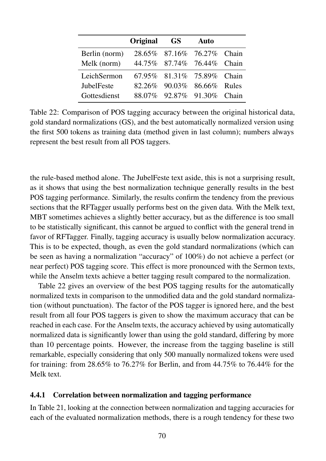|               | Original | GS | <b>Auto</b>                |  |
|---------------|----------|----|----------------------------|--|
| Berlin (norm) |          |    | 28.65% 87.16% 76.27% Chain |  |
| Melk (norm)   |          |    | 44.75% 87.74% 76.44% Chain |  |
| LeichSermon   |          |    | 67.95% 81.31% 75.89% Chain |  |
| JubelFeste    |          |    | 82.26% 90.03% 86.66% Rules |  |
| Gottesdienst  |          |    | 88.07% 92.87% 91.30% Chain |  |

Table 22: Comparison of POS tagging accuracy between the original historical data, gold standard normalizations (GS), and the best automatically normalized version using the first 500 tokens as training data (method given in last column); numbers always represent the best result from all POS taggers.

the rule-based method alone. The JubelFeste text aside, this is not a surprising result, as it shows that using the best normalization technique generally results in the best POS tagging performance. Similarly, the results confirm the tendency from the previous sections that the RFTagger usually performs best on the given data. With the Melk text, MBT sometimes achieves a slightly better accuracy, but as the difference is too small to be statistically significant, this cannot be argued to conflict with the general trend in favor of RFTagger. Finally, tagging accuracy is usually below normalization accuracy. This is to be expected, though, as even the gold standard normalizations (which can be seen as having a normalization "accuracy" of 100%) do not achieve a perfect (or near perfect) POS tagging score. This effect is more pronounced with the Sermon texts, while the Anselm texts achieve a better tagging result compared to the normalization.

Table 22 gives an overview of the best POS tagging results for the automatically normalized texts in comparison to the unmodified data and the gold standard normalization (without punctuation). The factor of the POS tagger is ignored here, and the best result from all four POS taggers is given to show the maximum accuracy that can be reached in each case. For the Anselm texts, the accuracy achieved by using automatically normalized data is significantly lower than using the gold standard, differing by more than 10 percentage points. However, the increase from the tagging baseline is still remarkable, especially considering that only 500 manually normalized tokens were used for training: from 28.65% to 76.27% for Berlin, and from 44.75% to 76.44% for the Melk text.

## 4.4.1 Correlation between normalization and tagging performance

In Table 21, looking at the connection between normalization and tagging accuracies for each of the evaluated normalization methods, there is a rough tendency for these two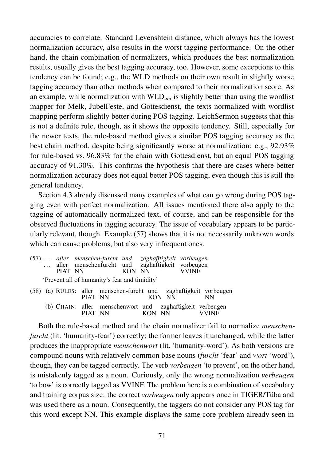accuracies to correlate. Standard Levenshtein distance, which always has the lowest normalization accuracy, also results in the worst tagging performance. On the other hand, the chain combination of normalizers, which produces the best normalization results, usually gives the best tagging accuracy, too. However, some exceptions to this tendency can be found; e.g., the WLD methods on their own result in slightly worse tagging accuracy than other methods when compared to their normalization score. As an example, while normalization with WLD*uni* is slightly better than using the wordlist mapper for Melk, JubelFeste, and Gottesdienst, the texts normalized with wordlist mapping perform slightly better during POS tagging. LeichSermon suggests that this is not a definite rule, though, as it shows the opposite tendency. Still, especially for the newer texts, the rule-based method gives a similar POS tagging accuracy as the best chain method, despite being significantly worse at normalization: e.g., 92.93% for rule-based vs. 96.83% for the chain with Gottesdienst, but an equal POS tagging accuracy of 91.30%. This confirms the hypothesis that there are cases where better normalization accuracy does not equal better POS tagging, even though this is still the general tendency.

Section 4.3 already discussed many examples of what can go wrong during POS tagging even with perfect normalization. All issues mentioned there also apply to the tagging of automatically normalized text, of course, and can be responsible for the observed fluctuations in tagging accuracy. The issue of vocabulary appears to be particularly relevant, though. Example (57) shows that it is not necessarily unknown words which can cause problems, but also very infrequent ones.

|  | PIAT NN | (57)  aller menschen-furcht und zaghafftigkeit vorbeugen<br>aller menschenfurcht und zaghaftigkeit vorbeugen | KON NN |        |        | <b>VVINF</b> |                                                                          |
|--|---------|--------------------------------------------------------------------------------------------------------------|--------|--------|--------|--------------|--------------------------------------------------------------------------|
|  |         | 'Prevent all of humanity's fear and timidity'                                                                |        |        |        |              |                                                                          |
|  |         | PIAT NN                                                                                                      |        |        | KON NN |              | (58) (a) RULES: aller menschen-furcht und zaghaftigkeit vorbeugen<br>NN. |
|  |         | PIAT NN                                                                                                      |        | KON NN |        |              | (b) CHAIN: aller menschenwort und zaghaftigkeit verbeugen                |

Both the rule-based method and the chain normalizer fail to normalize *menschenfurcht* (lit. 'humanity-fear') correctly; the former leaves it unchanged, while the latter produces the inappropriate *menschenwort* (lit. 'humanity-word'). As both versions are compound nouns with relatively common base nouns (*furcht* 'fear' and *wort* 'word'), though, they can be tagged correctly. The verb *vorbeugen* 'to prevent', on the other hand, is mistakenly tagged as a noun. Curiously, only the wrong normalization *verbeugen* 'to bow' is correctly tagged as VVINF. The problem here is a combination of vocabulary and training corpus size: the correct *vorbeugen* only appears once in TIGER/Tüba and was used there as a noun. Consequently, the taggers do not consider any POS tag for this word except NN. This example displays the same core problem already seen in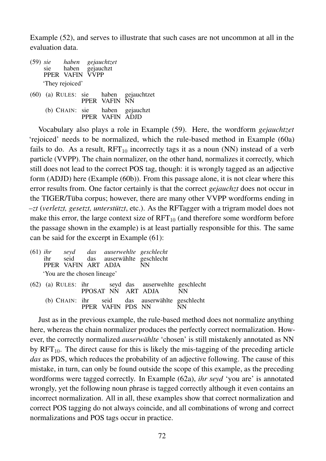Example (52), and serves to illustrate that such cases are not uncommon at all in the evaluation data.

| (59) sie |     |                 | haben gejauchtzet |
|----------|-----|-----------------|-------------------|
|          | sie | haben           | gejauchzt         |
|          |     | PPER VAFIN      | <b>VVPP</b>       |
|          |     | 'They rejoiced' |                   |

(60) (a) RULES: sie PPER VAFIN haben gejauchtzet NN (b) CHAIN: sie PPER VAFIN ADJD haben gejauchzt

Vocabulary also plays a role in Example (59). Here, the wordform *gejauchtzet* 'rejoiced' needs to be normalized, which the rule-based method in Example (60a) fails to do. As a result,  $RFT_{10}$  incorrectly tags it as a noun (NN) instead of a verb particle (VVPP). The chain normalizer, on the other hand, normalizes it correctly, which still does not lead to the correct POS tag, though: it is wrongly tagged as an adjective form (ADJD) here (Example (60b)). From this passage alone, it is not clear where this error results from. One factor certainly is that the correct *gejauchzt* does not occur in the TIGER/Tüba corpus; however, there are many other VVPP wordforms ending in *–zt* (*verletzt, gesetzt, unterstützt*, etc.). As the RFTagger with a trigram model does not make this error, the large context size of  $RFT_{10}$  (and therefore some wordform before the passage shown in the example) is at least partially responsible for this. The same can be said for the excerpt in Example (61):

|  | PPER VAFIN ART ADJA          |                    | (61) ihr seyd das auserwehlte geschlecht<br>ihr seid das auserwählte geschlecht<br>– NN |      |
|--|------------------------------|--------------------|-----------------------------------------------------------------------------------------|------|
|  | 'You are the chosen lineage' |                    |                                                                                         |      |
|  |                              | PPOSAT NN ART ADJA | (62) (a) RULES: ihr seyd das auserwehlte geschlecht                                     | – NN |
|  |                              | PPER VAFIN PDS NN  | (b) CHAIN: ihr seid das auserwählte geschlecht                                          |      |

Just as in the previous example, the rule-based method does not normalize anything here, whereas the chain normalizer produces the perfectly correct normalization. However, the correctly normalized *auserwählte* 'chosen' is still mistakenly annotated as NN by  $RFT<sub>10</sub>$ . The direct cause for this is likely the mis-tagging of the preceding article *das* as PDS, which reduces the probability of an adjective following. The cause of this mistake, in turn, can only be found outside the scope of this example, as the preceding wordforms were tagged correctly. In Example (62a), *ihr seyd* 'you are' is annotated wrongly, yet the following noun phrase is tagged correctly although it even contains an incorrect normalization. All in all, these examples show that correct normalization and correct POS tagging do not always coincide, and all combinations of wrong and correct normalizations and POS tags occur in practice.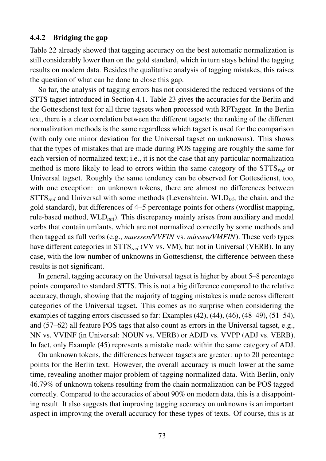## 4.4.2 Bridging the gap

Table 22 already showed that tagging accuracy on the best automatic normalization is still considerably lower than on the gold standard, which in turn stays behind the tagging results on modern data. Besides the qualitative analysis of tagging mistakes, this raises the question of what can be done to close this gap.

So far, the analysis of tagging errors has not considered the reduced versions of the STTS tagset introduced in Section 4.1. Table 23 gives the accuracies for the Berlin and the Gottesdienst text for all three tagsets when processed with RFTagger. In the Berlin text, there is a clear correlation between the different tagsets: the ranking of the different normalization methods is the same regardless which tagset is used for the comparison (with only one minor deviation for the Universal tagset on unknowns). This shows that the types of mistakes that are made during POS tagging are roughly the same for each version of normalized text; i.e., it is not the case that any particular normalization method is more likely to lead to errors within the same category of the STTS*red* or Universal tagset. Roughly the same tendency can be observed for Gottesdienst, too, with one exception: on unknown tokens, there are almost no differences between STTS*red* and Universal with some methods (Levenshtein, WLD*tri*, the chain, and the gold standard), but differences of 4–5 percentage points for others (wordlist mapping, rule-based method, WLD*uni*). This discrepancy mainly arises from auxiliary and modal verbs that contain umlauts, which are not normalized correctly by some methods and then tagged as full verbs (e.g., *muessen/VVFIN* vs. *müssen/VMFIN*). These verb types have different categories in STTS*red* (VV vs. VM), but not in Universal (VERB). In any case, with the low number of unknowns in Gottesdienst, the difference between these results is not significant.

In general, tagging accuracy on the Universal tagset is higher by about 5–8 percentage points compared to standard STTS. This is not a big difference compared to the relative accuracy, though, showing that the majority of tagging mistakes is made across different categories of the Universal tagset. This comes as no surprise when considering the examples of tagging errors discussed so far: Examples (42), (44), (46), (48–49), (51–54), and (57–62) all feature POS tags that also count as errors in the Universal tagset, e.g., NN vs. VVINF (in Universal: NOUN vs. VERB) or ADJD vs. VVPP (ADJ vs. VERB). In fact, only Example (45) represents a mistake made within the same category of ADJ.

On unknown tokens, the differences between tagsets are greater: up to 20 percentage points for the Berlin text. However, the overall accuracy is much lower at the same time, revealing another major problem of tagging normalized data. With Berlin, only 46.79% of unknown tokens resulting from the chain normalization can be POS tagged correctly. Compared to the accuracies of about 90% on modern data, this is a disappointing result. It also suggests that improving tagging accuracy on unknowns is an important aspect in improving the overall accuracy for these types of texts. Of course, this is at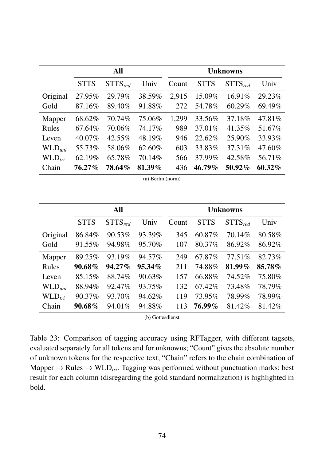|                    |             | All          |        | <b>Unknowns</b> |             |              |        |
|--------------------|-------------|--------------|--------|-----------------|-------------|--------------|--------|
|                    | <b>STTS</b> | $STTS_{red}$ | Univ   | Count           | <b>STTS</b> | $STTS_{red}$ | Univ   |
| Original           | 27.95%      | 29.79%       | 38.59% | 2,915           | 15.09%      | 16.91%       | 29.23% |
| Gold               | 87.16%      | 89.40%       | 91.88% | 272             | 54.78%      | 60.29%       | 69.49% |
| Mapper             | 68.62%      | 70.74%       | 75.06% | 1,299           | 33.56%      | 37.18%       | 47.81% |
| Rules              | 67.64%      | 70.06%       | 74.17% | 989             | 37.01%      | 41.35%       | 51.67% |
| Leven              | 40.07%      | 42.55%       | 48.19% | 946             | 22.62%      | 25.90%       | 33.93% |
| WLD <sub>uni</sub> | 55.73%      | 58.06%       | 62.60% | 603             | 33.83%      | 37.31%       | 47.60% |
| $WLD_{tri}$        | 62.19%      | 65.78%       | 70.14% | 566             | 37.99%      | 42.58%       | 56.71% |
| Chain              | 76.27%      | 78.64%       | 81.39% | 436             | 46.79%      | 50.92%       | 60.32% |

(a) Berlin (norm)

|                      | <b>All</b>  |              |           | <b>Unknowns</b> |             |              |        |
|----------------------|-------------|--------------|-----------|-----------------|-------------|--------------|--------|
|                      | <b>STTS</b> | $STTS_{red}$ | Univ      | Count           | <b>STTS</b> | $STTS_{red}$ | Univ   |
| Original             | 86.84%      | 90.53%       | 93.39%    | 345             | 60.87%      | 70.14%       | 80.58% |
| Gold                 | 91.55%      | 94.98%       | 95.70%    | 107             | 80.37%      | 86.92%       | 86.92% |
| Mapper               | 89.25%      | 93.19%       | 94.57%    | 249             | 67.87%      | 77.51%       | 82.73% |
| Rules                | 90.68%      | 94.27%       | $95.34\%$ | 211             | 74.88%      | 81.99%       | 85.78% |
| Leven                | 85.15%      | 88.74%       | 90.63%    | 157             | 66.88%      | 74.52%       | 75.80% |
| $WLD$ <sub>uni</sub> | 88.94%      | 92.47%       | 93.75%    | 132             | 67.42%      | 73.48%       | 78.79% |
| WLD <sub>tri</sub>   | 90.37%      | 93.70%       | 94.62%    | 119             | 73.95%      | 78.99%       | 78.99% |
| Chain                | 90.68%      | 94.01%       | 94.88%    | 113             | 76.99%      | 81.42%       | 81.42% |

(b) Gottesdienst

Table 23: Comparison of tagging accuracy using RFTagger, with different tagsets, evaluated separately for all tokens and for unknowns; "Count" gives the absolute number of unknown tokens for the respective text, "Chain" refers to the chain combination of Mapper  $\rightarrow$  Rules  $\rightarrow$  WLD<sub>tri</sub>. Tagging was performed without punctuation marks; best result for each column (disregarding the gold standard normalization) is highlighted in bold.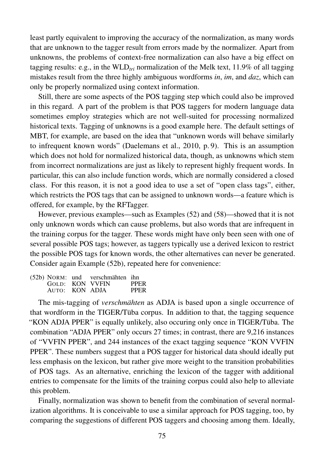least partly equivalent to improving the accuracy of the normalization, as many words that are unknown to the tagger result from errors made by the normalizer. Apart from unknowns, the problems of context-free normalization can also have a big effect on tagging results: e.g., in the  $WLD_{tri}$  normalization of the Melk text, 11.9% of all tagging mistakes result from the three highly ambiguous wordforms *in*, *im*, and *daz*, which can only be properly normalized using context information.

Still, there are some aspects of the POS tagging step which could also be improved in this regard. A part of the problem is that POS taggers for modern language data sometimes employ strategies which are not well-suited for processing normalized historical texts. Tagging of unknowns is a good example here. The default settings of MBT, for example, are based on the idea that "unknown words will behave similarly to infrequent known words" (Daelemans et al., 2010, p. 9). This is an assumption which does not hold for normalized historical data, though, as unknowns which stem from incorrect normalizations are just as likely to represent highly frequent words. In particular, this can also include function words, which are normally considered a closed class. For this reason, it is not a good idea to use a set of "open class tags", either, which restricts the POS tags that can be assigned to unknown words—a feature which is offered, for example, by the RFTagger.

However, previous examples—such as Examples (52) and (58)—showed that it is not only unknown words which can cause problems, but also words that are infrequent in the training corpus for the tagger. These words might have only been seen with one of several possible POS tags; however, as taggers typically use a derived lexicon to restrict the possible POS tags for known words, the other alternatives can never be generated. Consider again Example (52b), repeated here for convenience:

|                | (52b) NORM: und verschmähten ihn |             |
|----------------|----------------------------------|-------------|
|                | GOLD: KON VVFIN                  | <b>PPER</b> |
| AUTO: KON ADJA |                                  | <b>PPER</b> |

The mis-tagging of *verschmähten* as ADJA is based upon a single occurrence of that wordform in the TIGER/Tüba corpus. In addition to that, the tagging sequence "KON ADJA PPER" is equally unlikely, also occuring only once in TIGER/Tüba. The combination "ADJA PPER" only occurs 27 times; in contrast, there are 9,216 instances of "VVFIN PPER", and 244 instances of the exact tagging sequence "KON VVFIN PPER". These numbers suggest that a POS tagger for historical data should ideally put less emphasis on the lexicon, but rather give more weight to the transition probabilities of POS tags. As an alternative, enriching the lexicon of the tagger with additional entries to compensate for the limits of the training corpus could also help to alleviate this problem.

Finally, normalization was shown to benefit from the combination of several normalization algorithms. It is conceivable to use a similar approach for POS tagging, too, by comparing the suggestions of different POS taggers and choosing among them. Ideally,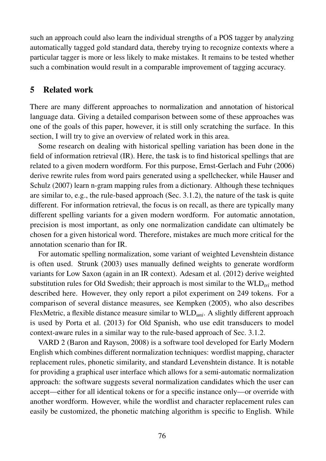such an approach could also learn the individual strengths of a POS tagger by analyzing automatically tagged gold standard data, thereby trying to recognize contexts where a particular tagger is more or less likely to make mistakes. It remains to be tested whether such a combination would result in a comparable improvement of tagging accuracy.

## 5 Related work

There are many different approaches to normalization and annotation of historical language data. Giving a detailed comparison between some of these approaches was one of the goals of this paper, however, it is still only scratching the surface. In this section, I will try to give an overview of related work in this area.

Some research on dealing with historical spelling variation has been done in the field of information retrieval (IR). Here, the task is to find historical spellings that are related to a given modern wordform. For this purpose, Ernst-Gerlach and Fuhr (2006) derive rewrite rules from word pairs generated using a spellchecker, while Hauser and Schulz (2007) learn n-gram mapping rules from a dictionary. Although these techniques are similar to, e.g., the rule-based approach (Sec. 3.1.2), the nature of the task is quite different. For information retrieval, the focus is on recall, as there are typically many different spelling variants for a given modern wordform. For automatic annotation, precision is most important, as only one normalization candidate can ultimately be chosen for a given historical word. Therefore, mistakes are much more critical for the annotation scenario than for IR.

For automatic spelling normalization, some variant of weighted Levenshtein distance is often used. Strunk (2003) uses manually defined weights to generate wordform variants for Low Saxon (again in an IR context). Adesam et al. (2012) derive weighted substitution rules for Old Swedish; their approach is most similar to the  $WLD<sub>tri</sub>$  method described here. However, they only report a pilot experiment on 249 tokens. For a comparison of several distance measures, see Kempken (2005), who also describes FlexMetric, a flexible distance measure similar to WLD*uni*. A slightly different approach is used by Porta et al. (2013) for Old Spanish, who use edit transducers to model context-aware rules in a similar way to the rule-based approach of Sec. 3.1.2.

VARD 2 (Baron and Rayson, 2008) is a software tool developed for Early Modern English which combines different normalization techniques: wordlist mapping, character replacement rules, phonetic similarity, and standard Levenshtein distance. It is notable for providing a graphical user interface which allows for a semi-automatic normalization approach: the software suggests several normalization candidates which the user can accept—either for all identical tokens or for a specific instance only—or override with another wordform. However, while the wordlist and character replacement rules can easily be customized, the phonetic matching algorithm is specific to English. While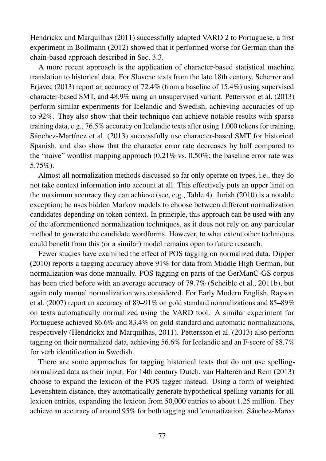Hendrickx and Marquilhas (2011) successfully adapted VARD 2 to Portuguese, a first experiment in Bollmann (2012) showed that it performed worse for German than the chain-based approach described in Sec. 3.3.

A more recent approach is the application of character-based statistical machine translation to historical data. For Slovene texts from the late 18th century, Scherrer and Erjavec (2013) report an accuracy of 72.4% (from a baseline of 15.4%) using supervised character-based SMT, and 48.9% using an unsupervised variant. Pettersson et al. (2013) perform similar experiments for Icelandic and Swedish, achieving accuracies of up to 92%. They also show that their technique can achieve notable results with sparse training data, e.g., 76.5% accuracy on Icelandic texts after using 1,000 tokens for training. Sánchez-Martínez et al. (2013) successfully use character-based SMT for historical Spanish, and also show that the character error rate decreases by half compared to the "naive" wordlist mapping approach (0.21% vs. 0.50%; the baseline error rate was 5.75%).

Almost all normalization methods discussed so far only operate on types, i.e., they do not take context information into account at all. This effectively puts an upper limit on the maximum accuracy they can achieve (see, e.g., Table 4). Jurish (2010) is a notable exception; he uses hidden Markov models to choose between different normalization candidates depending on token context. In principle, this approach can be used with any of the aforementioned normalization techniques, as it does not rely on any particular method to generate the candidate wordforms. However, to what extent other techniques could benefit from this (or a similar) model remains open to future research.

Fewer studies have examined the effect of POS tagging on normalized data. Dipper (2010) reports a tagging accuracy above 91% for data from Middle High German, but normalization was done manually. POS tagging on parts of the GerManC-GS corpus has been tried before with an average accuracy of 79.7% (Scheible et al., 2011b), but again only manual normalization was considered. For Early Modern English, Rayson et al. (2007) report an accuracy of 89–91% on gold standard normalizations and 85–89% on texts automatically normalized using the VARD tool. A similar experiment for Portuguese achieved 86.6% and 83.4% on gold standard and automatic normalizations, respectively (Hendrickx and Marquilhas, 2011). Pettersson et al. (2013) also perform tagging on their normalized data, achieving 56.6% for Icelandic and an F-score of 88.7% for verb identification in Swedish.

There are some approaches for tagging historical texts that do not use spellingnormalized data as their input. For 14th century Dutch, van Halteren and Rem (2013) choose to expand the lexicon of the POS tagger instead. Using a form of weighted Levenshtein distance, they automatically generate hypothetical spelling variants for all lexicon entries, expanding the lexicon from 50,000 entries to about 1.25 million. They achieve an accuracy of around 95% for both tagging and lemmatization. Sánchez-Marco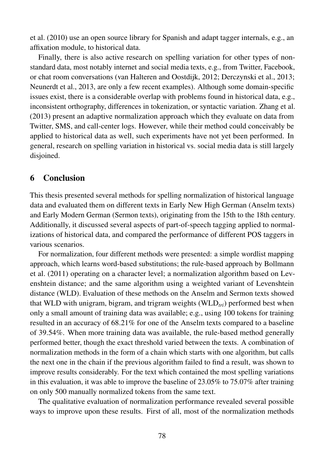et al. (2010) use an open source library for Spanish and adapt tagger internals, e.g., an affixation module, to historical data.

Finally, there is also active research on spelling variation for other types of nonstandard data, most notably internet and social media texts, e.g., from Twitter, Facebook, or chat room conversations (van Halteren and Oostdijk, 2012; Derczynski et al., 2013; Neunerdt et al., 2013, are only a few recent examples). Although some domain-specific issues exist, there is a considerable overlap with problems found in historical data, e.g., inconsistent orthography, differences in tokenization, or syntactic variation. Zhang et al. (2013) present an adaptive normalization approach which they evaluate on data from Twitter, SMS, and call-center logs. However, while their method could conceivably be applied to historical data as well, such experiments have not yet been performed. In general, research on spelling variation in historical vs. social media data is still largely disjoined.

## 6 Conclusion

This thesis presented several methods for spelling normalization of historical language data and evaluated them on different texts in Early New High German (Anselm texts) and Early Modern German (Sermon texts), originating from the 15th to the 18th century. Additionally, it discussed several aspects of part-of-speech tagging applied to normalizations of historical data, and compared the performance of different POS taggers in various scenarios.

For normalization, four different methods were presented: a simple wordlist mapping approach, which learns word-based substitutions; the rule-based approach by Bollmann et al. (2011) operating on a character level; a normalization algorithm based on Levenshtein distance; and the same algorithm using a weighted variant of Levenshtein distance (WLD). Evaluation of these methods on the Anselm and Sermon texts showed that WLD with unigram, bigram, and trigram weights (WLD*tri*) performed best when only a small amount of training data was available; e.g., using 100 tokens for training resulted in an accuracy of 68.21% for one of the Anselm texts compared to a baseline of 39.54%. When more training data was available, the rule-based method generally performed better, though the exact threshold varied between the texts. A combination of normalization methods in the form of a chain which starts with one algorithm, but calls the next one in the chain if the previous algorithm failed to find a result, was shown to improve results considerably. For the text which contained the most spelling variations in this evaluation, it was able to improve the baseline of 23.05% to 75.07% after training on only 500 manually normalized tokens from the same text.

The qualitative evaluation of normalization performance revealed several possible ways to improve upon these results. First of all, most of the normalization methods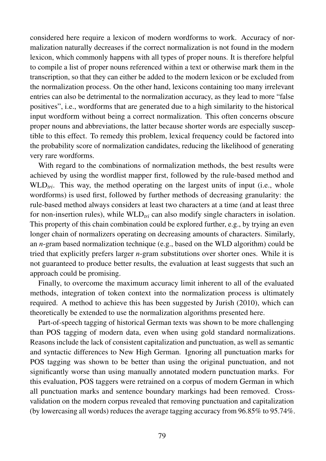considered here require a lexicon of modern wordforms to work. Accuracy of normalization naturally decreases if the correct normalization is not found in the modern lexicon, which commonly happens with all types of proper nouns. It is therefore helpful to compile a list of proper nouns referenced within a text or otherwise mark them in the transcription, so that they can either be added to the modern lexicon or be excluded from the normalization process. On the other hand, lexicons containing too many irrelevant entries can also be detrimental to the normalization accuracy, as they lead to more "false positives", i.e., wordforms that are generated due to a high similarity to the historical input wordform without being a correct normalization. This often concerns obscure proper nouns and abbreviations, the latter because shorter words are especially susceptible to this effect. To remedy this problem, lexical frequency could be factored into the probability score of normalization candidates, reducing the likelihood of generating very rare wordforms.

With regard to the combinations of normalization methods, the best results were achieved by using the wordlist mapper first, followed by the rule-based method and WLD<sub>tri</sub>. This way, the method operating on the largest units of input (i.e., whole wordforms) is used first, followed by further methods of decreasing granularity: the rule-based method always considers at least two characters at a time (and at least three for non-insertion rules), while WLD<sub>tri</sub> can also modify single characters in isolation. This property of this chain combination could be explored further, e.g., by trying an even longer chain of normalizers operating on decreasing amounts of characters. Similarly, an *n*-gram based normalization technique (e.g., based on the WLD algorithm) could be tried that explicitly prefers larger *n*-gram substitutions over shorter ones. While it is not guaranteed to produce better results, the evaluation at least suggests that such an approach could be promising.

Finally, to overcome the maximum accuracy limit inherent to all of the evaluated methods, integration of token context into the normalization process is ultimately required. A method to achieve this has been suggested by Jurish (2010), which can theoretically be extended to use the normalization algorithms presented here.

Part-of-speech tagging of historical German texts was shown to be more challenging than POS tagging of modern data, even when using gold standard normalizations. Reasons include the lack of consistent capitalization and punctuation, as well as semantic and syntactic differences to New High German. Ignoring all punctuation marks for POS tagging was shown to be better than using the original punctuation, and not significantly worse than using manually annotated modern punctuation marks. For this evaluation, POS taggers were retrained on a corpus of modern German in which all punctuation marks and sentence boundary markings had been removed. Crossvalidation on the modern corpus revealed that removing punctuation and capitalization (by lowercasing all words) reduces the average tagging accuracy from 96.85% to 95.74%.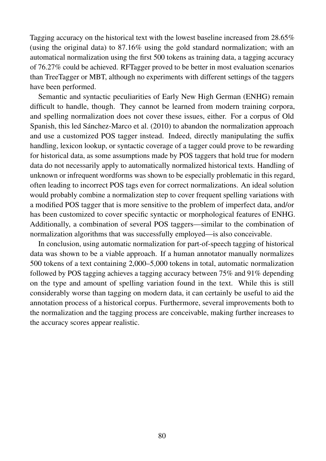Tagging accuracy on the historical text with the lowest baseline increased from 28.65% (using the original data) to 87.16% using the gold standard normalization; with an automatical normalization using the first 500 tokens as training data, a tagging accuracy of 76.27% could be achieved. RFTagger proved to be better in most evaluation scenarios than TreeTagger or MBT, although no experiments with different settings of the taggers have been performed.

Semantic and syntactic peculiarities of Early New High German (ENHG) remain difficult to handle, though. They cannot be learned from modern training corpora, and spelling normalization does not cover these issues, either. For a corpus of Old Spanish, this led Sánchez-Marco et al. (2010) to abandon the normalization approach and use a customized POS tagger instead. Indeed, directly manipulating the suffix handling, lexicon lookup, or syntactic coverage of a tagger could prove to be rewarding for historical data, as some assumptions made by POS taggers that hold true for modern data do not necessarily apply to automatically normalized historical texts. Handling of unknown or infrequent wordforms was shown to be especially problematic in this regard, often leading to incorrect POS tags even for correct normalizations. An ideal solution would probably combine a normalization step to cover frequent spelling variations with a modified POS tagger that is more sensitive to the problem of imperfect data, and/or has been customized to cover specific syntactic or morphological features of ENHG. Additionally, a combination of several POS taggers—similar to the combination of normalization algorithms that was successfully employed—is also conceivable.

In conclusion, using automatic normalization for part-of-speech tagging of historical data was shown to be a viable approach. If a human annotator manually normalizes 500 tokens of a text containing 2,000–5,000 tokens in total, automatic normalization followed by POS tagging achieves a tagging accuracy between 75% and 91% depending on the type and amount of spelling variation found in the text. While this is still considerably worse than tagging on modern data, it can certainly be useful to aid the annotation process of a historical corpus. Furthermore, several improvements both to the normalization and the tagging process are conceivable, making further increases to the accuracy scores appear realistic.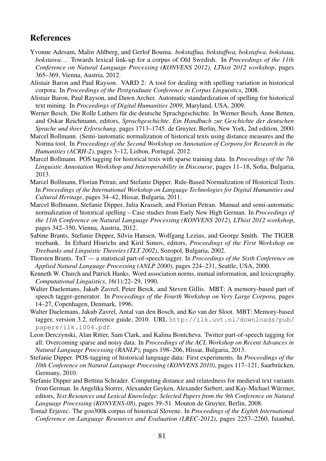## **References**

- Yvonne Adesam, Malin Ahlberg, and Gerlof Bouma. *bokstaffua, bokstaffwa, bokstafwa, bokstaua, bokstawa. . .* Towards lexical link-up for a corpus of Old Swedish. In *Proceedings of the 11th Conference on Natural Language Processing (KONVENS 2012), LThist 2012 workshop*, pages 365–369, Vienna, Austria, 2012.
- Alistair Baron and Paul Rayson. VARD 2: A tool for dealing with spelling variation in historical corpora. In *Proceedings of the Postgraduate Conference in Corpus Linguistics*, 2008.
- Alistair Baron, Paul Rayson, and Dawn Archer. Automatic standardization of spelling for historical text mining. In *Proceedings of Digital Humanities 2009*, Maryland, USA, 2009.
- Werner Besch. Die Rolle Luthers für die deutsche Sprachgeschichte. In Werner Besch, Anne Betten, and Oskar Reichmann, editors, *Sprachgeschichte. Ein Handbuch zur Geschichte der deutschen Sprache und ihrer Erforschung*, pages 1713–1745. de Gruyter, Berlin, New York, 2nd edition, 2000.
- Marcel Bollmann. (Semi-)automatic normalization of historical texts using distance measures and the Norma tool. In *Proceedings of the Second Workshop on Annotation of Corpora for Research in the Humanities (ACRH-2)*, pages 3–12, Lisbon, Portugal, 2012.
- Marcel Bollmann. POS tagging for historical texts with sparse training data. In *Proceedings of the 7th Linguistic Annotation Workshop and Interoperability in Discourse*, pages 11–18, Sofia, Bulgaria, 2013.
- Marcel Bollmann, Florian Petran, and Stefanie Dipper. Rule-Based Normalization of Historical Texts. In *Proceedings of the International Workshop on Language Technologies for Digital Humanities and Cultural Heritage*, pages 34–42, Hissar, Bulgaria, 2011.
- Marcel Bollmann, Stefanie Dipper, Julia Krasselt, and Florian Petran. Manual and semi-automatic normalization of historical spelling – Case studies from Early New High German. In *Proceedings of the 11th Conference on Natural Language Processing (KONVENS 2012), LThist 2012 workshop*, pages 342–350, Vienna, Austria, 2012.
- Sabine Brants, Stefanie Dipper, Silvia Hansen, Wolfgang Lezius, and George Smith. The TIGER treebank. In Erhard Hinrichs and Kiril Simov, editors, *Proceedings of the First Workshop on Treebanks and Linguistic Theories (TLT 2002)*, Sozopol, Bulgaria, 2002.
- Thorsten Brants. TnT a statistical part-of-speech tagger. In *Proceedings of the Sixth Conference on Applied Natural Language Processing (ANLP 2000)*, pages 224–231, Seattle, USA, 2000.
- Kenneth W. Church and Patrick Hanks. Word association norms, mutual information, and lexicography. *Computational Linguistics*, 16(1):22–29, 1990.
- Walter Daelemans, Jakub Zavrel, Peter Berck, and Steven Gillis. MBT: A memory-based part of speech tagger-generator. In *Proceedings of the Fourth Workshop on Very Large Corpora*, pages 14–27, Copenhagen, Denmark, 1996.
- Walter Daelemans, Jakub Zavrel, Antal van den Bosch, and Ko van der Sloot. MBT: Memory-based tagger, version 3.2, reference guide, 2010. URL http://ilk.uvt.nl/downloads/pub/ papers/ilk.1004.pdf.
- Leon Derczynski, Alan Ritter, Sam Clark, and Kalina Bontcheva. Twitter part-of-speech tagging for all: Overcoming sparse and noisy data. In *Proceedings of the ACL Workshop on Recent Advances in Natural Language Processing (RANLP)*, pages 198–206, Hissar, Bulgaria, 2013.
- Stefanie Dipper. POS-tagging of historical language data: First experiments. In *Proceedings of the 10th Conference on Natural Language Processing (KONVENS 2010)*, pages 117–121, Saarbrücken, Germany, 2010.
- Stefanie Dipper and Bettina Schrader. Computing distance and relatedness for medieval text variants from German. In Angelika Storrer, Alexander Geyken, Alexander Siebert, and Kay-Michael Würzner, editors, *Text Resources and Lexical Knowledge. Selected Papers from the 9th Conference on Natural Language Processing (KONVENS-08)*, pages 39–51. Mouton de Gruyter, Berlin, 2008.
- Tomaž Erjavec. The goo300k corpus of historical Slovene. In *Proceedings of the Eighth International Conference on Language Resources and Evaluation (LREC-2012)*, pages 2257–2260, Istanbul,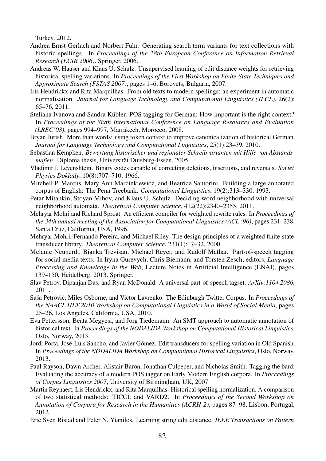Turkey, 2012.

- Andrea Ernst-Gerlach and Norbert Fuhr. Generating search term variants for text collections with historic spellings. In *Proceedings of the 28th European Conference on Information Retrieval Research (ECIR 2006)*. Springer, 2006.
- Andreas W. Hauser and Klaus U. Schulz. Unsupervised learning of edit distance weights for retrieving historical spelling variations. In *Proceedings of the First Workshop on Finite-State Techniques and Approximate Search (FSTAS 2007)*, pages 1–6, Borovets, Bulgaria, 2007.
- Iris Hendrickx and Rita Marquilhas. From old texts to modern spellings: an experiment in automatic normalisation. *Journal for Language Technology and Computational Linguistics (JLCL)*, 26(2): 65–76, 2011.
- Steliana Ivanova and Sandra Kübler. POS tagging for German: How important is the right context? In *Proceedings of the Sixth International Conference on Language Resources and Evaluation (LREC'08)*, pages 994–997, Marrakech, Morocco, 2008.
- Bryan Jurish. More than words: using token context to improve canonicalization of historical German. *Journal for Language Technology and Computational Linguistics*, 25(1):23–39, 2010.
- Sebastian Kempken. *Bewertung historischer und regionaler Schreibvarianten mit Hilfe von Abstandsmaßen*. Diploma thesis, Universität Duisburg-Essen, 2005.
- Vladimir I. Levenshtein. Binary codes capable of correcting deletions, insertions, and reversals. *Soviet Physics Doklady*, 10(8):707–710, 1966.
- Mitchell P. Marcus, Mary Ann Marcinkiewicz, and Beatrice Santorini. Building a large annotated corpus of English: The Penn Treebank. *Computational Linguistics*, 19(2):313–330, 1993.
- Petar Mitankin, Stoyan Mihov, and Klaus U. Schulz. Deciding word neighborhood with universal neighborhood automata. *Theoretical Computer Science*, 412(22):2340–2355, 2011.
- Mehryar Mohri and Richard Sproat. An efficient compiler for weighted rewrite rules. In *Proceedings of the 34th annual meeting of the Association for Computational Linguistics (ACL '96)*, pages 231–238, Santa Cruz, California, USA, 1996.
- Mehryar Mohri, Fernando Pereira, and Michael Riley. The design principles of a weighted finite-state transducer library. *Theoretical Computer Science*, 231(1):17–32, 2000.
- Melanie Neunerdt, Bianka Trevisan, Michael Reyer, and Rudolf Mathar. Part-of-speech tagging for social media texts. In Iryna Gurevych, Chris Biemann, and Torsten Zesch, editors, *Language Processing and Knowledge in the Web*, Lecture Notes in Artificial Intelligence (LNAI), pages 139–150, Heidelberg, 2013. Springer.
- Slav Petrov, Dipanjan Das, and Ryan McDonald. A universal part-of-speech tagset. *ArXiv:1104.2086*, 2011.
- Saša Petrović, Miles Osborne, and Victor Lavrenko. The Edinburgh Twitter Corpus. In *Proceedings of the NAACL HLT 2010 Workshop on Computational Linguistics in a World of Social Media*, pages 25–26, Los Angeles, California, USA, 2010.
- Eva Pettersson, Beáta Megyesi, and Jörg Tiedemann. An SMT approach to automatic annotation of historical text. In *Proceedings of the NODALIDA Workshop on Computational Historical Linguistics*, Oslo, Norway, 2013.
- Jordi Porta, José-Luis Sancho, and Javier Gómez. Edit transducers for spelling variation in Old Spanish. In *Proceedings of the NODALIDA Workshop on Computational Historical Linguistics*, Oslo, Norway, 2013.
- Paul Rayson, Dawn Archer, Alistair Baron, Jonathan Culpeper, and Nicholas Smith. Tagging the bard: Evaluating the accuracy of a modern POS tagger on Early Modern English corpora. In *Proceedings of Corpus Linguistics 2007*, University of Birmingham, UK, 2007.
- Martin Reynaert, Iris Hendrickx, and Rita Marquilhas. Historical spelling normalization. A comparison of two statistical methods: TICCL and VARD2. In *Proceedings of the Second Workshop on Annotation of Corpora for Research in the Humanities (ACRH-2)*, pages 87–98, Lisbon, Portugal, 2012.
- Eric Sven Ristad and Peter N. Yianilos. Learning string edit distance. *IEEE Transactions on Pattern*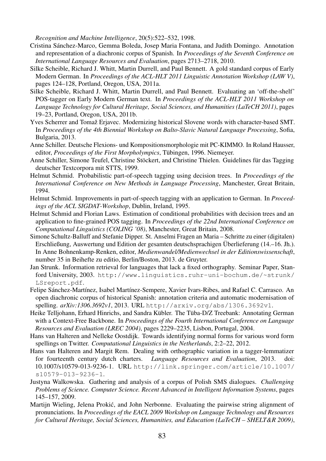*Recognition and Machine Intelligence*, 20(5):522–532, 1998.

- Cristina Sánchez-Marco, Gemma Boleda, Josep Maria Fontana, and Judith Domingo. Annotation and representation of a diachronic corpus of Spanish. In *Proceedings of the Seventh Conference on International Language Resources and Evaluation*, pages 2713–2718, 2010.
- Silke Scheible, Richard J. Whitt, Martin Durrell, and Paul Bennett. A gold standard corpus of Early Modern German. In *Proceedings of the ACL-HLT 2011 Linguistic Annotation Workshop (LAW V)*, pages 124–128, Portland, Oregon, USA, 2011a.
- Silke Scheible, Richard J. Whitt, Martin Durrell, and Paul Bennett. Evaluating an 'off-the-shelf' POS-tagger on Early Modern German text. In *Proceedings of the ACL-HLT 2011 Workshop on Language Technology for Cultural Heritage, Social Sciences, and Humanities (LaTeCH 2011)*, pages 19–23, Portland, Oregon, USA, 2011b.
- Yves Scherrer and Tomaž Erjavec. Modernizing historical Slovene words with character-based SMT. In *Proceedings of the 4th Biennial Workshop on Balto-Slavic Natural Language Processing*, Sofia, Bulgaria, 2013.
- Anne Schiller. Deutsche Flexions- und Kompositionsmorphologie mit PC-KIMMO. In Roland Hausser, editor, *Proceedings of the First Morpholympics*, Tübingen, 1996. Niemeyer.
- Anne Schiller, Simone Teufel, Christine Stöckert, and Christine Thielen. Guidelines für das Tagging deutscher Textcorpora mit STTS, 1999.
- Helmut Schmid. Probabilistic part-of-speech tagging using decision trees. In *Proceedings of the International Conference on New Methods in Language Processing*, Manchester, Great Britain, 1994.
- Helmut Schmid. Improvements in part-of-speech tagging with an application to German. In *Proceedings of the ACL SIGDAT-Workshop*, Dublin, Ireland, 1995.
- Helmut Schmid and Florian Laws. Estimation of conditional probabilities with decision trees and an application to fine-grained POS tagging. In *Proceedings of the 22nd International Conference on Computational Linguistics (COLING '08)*, Manchester, Great Britain, 2008.
- Simone Schultz-Balluff and Stefanie Dipper. St. Anselmi Fragen an Maria Schritte zu einer (digitalen) Erschließung, Auswertung und Edition der gesamten deutschsprachigen Überlieferung (14.–16. Jh.). In Anne Bohnenkamp-Renken, editor, *Medienwandel/Medienwechsel in der Editionswissenschaft*, number 35 in Beihefte zu editio, Berlin/Boston, 2013. de Gruyter.
- Jan Strunk. Information retrieval for languages that lack a fixed orthography. Seminar Paper, Stanford University, 2003. http://www.linguistics.ruhr-uni-bochum.de/~strunk/ LSreport.pdf.
- Felipe Sánchez-Martínez, Isabel Martínez-Sempere, Xavier Ivars-Ribes, and Rafael C. Carrasco. An open diachronic corpus of historical Spanish: annotation criteria and automatic modernisation of spelling. *arXiv:1306.3692v1*, 2013. URL http://arxiv.org/abs/1306.3692v1.
- Heike Telljohann, Erhard Hinrichs, and Sandra Kübler. The Tüba-D/Z Treebank: Annotating German with a Context-Free Backbone. In *Proceedings of the Fourth International Conference on Language Resources and Evaluation (LREC 2004)*, pages 2229–2235, Lisbon, Portugal, 2004.
- Hans van Halteren and Nelleke Oostdijk. Towards identifying normal forms for various word form spellings on Twitter. *Computational Linguistics in the Netherlands*, 2:2–22, 2012.
- Hans van Halteren and Margit Rem. Dealing with orthographic variation in a tagger-lemmatizer for fourteenth century dutch charters. *Language Resources and Evaluation*, 2013. doi: 10.1007/s10579-013-9236-1. URL http://link.springer.com/article/10.1007/ s10579-013-9236-1.
- Justyna Walkowska. Gathering and analysis of a corpus of Polish SMS dialogues. *Challenging Problems of Science. Computer Science. Recent Advanced in Intelligent Information Systems*, pages 145–157, 2009.
- Martijn Wieling, Jelena Prokić, and John Nerbonne. Evaluating the pairwise string alignment of pronunciations. In *Proceedings of the EACL 2009 Workshop on Language Technology and Resources for Cultural Heritage, Social Sciences, Humanities, and Education (LaTeCH – SHELT&R 2009)*,